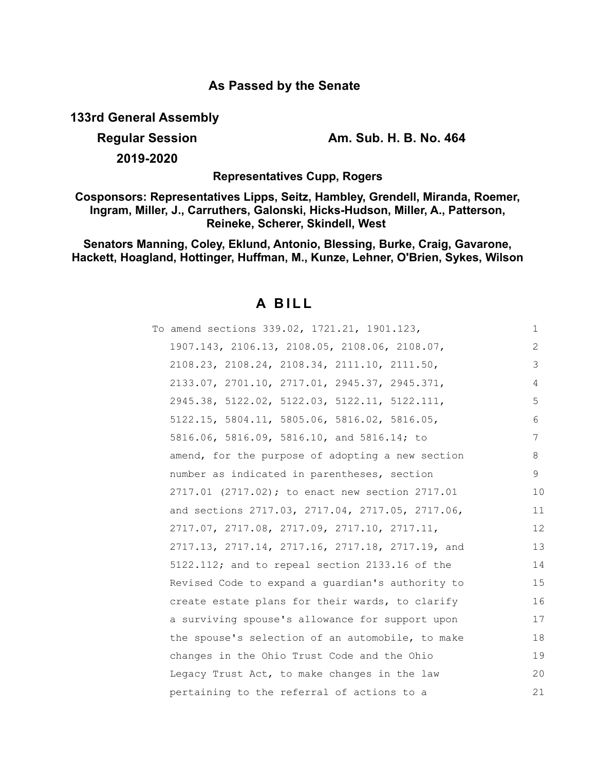## **As Passed by the Senate**

**133rd General Assembly**

**Regular Session Am. Sub. H. B. No. 464**

**2019-2020**

**Representatives Cupp, Rogers**

**Cosponsors: Representatives Lipps, Seitz, Hambley, Grendell, Miranda, Roemer, Ingram, Miller, J., Carruthers, Galonski, Hicks-Hudson, Miller, A., Patterson, Reineke, Scherer, Skindell, West** 

**Senators Manning, Coley, Eklund, Antonio, Blessing, Burke, Craig, Gavarone, Hackett, Hoagland, Hottinger, Huffman, M., Kunze, Lehner, O'Brien, Sykes, Wilson**

# **A B I L L**

| To amend sections 339.02, 1721.21, 1901.123,      | $\mathbf{1}$ |
|---------------------------------------------------|--------------|
| 1907.143, 2106.13, 2108.05, 2108.06, 2108.07,     | 2            |
| 2108.23, 2108.24, 2108.34, 2111.10, 2111.50,      | 3            |
| 2133.07, 2701.10, 2717.01, 2945.37, 2945.371,     | 4            |
| 2945.38, 5122.02, 5122.03, 5122.11, 5122.111,     | 5            |
| 5122.15, 5804.11, 5805.06, 5816.02, 5816.05,      | 6            |
| 5816.06, 5816.09, 5816.10, and 5816.14; to        | 7            |
| amend, for the purpose of adopting a new section  | 8            |
| number as indicated in parentheses, section       | 9            |
| 2717.01 (2717.02); to enact new section 2717.01   | 10           |
| and sections 2717.03, 2717.04, 2717.05, 2717.06,  | 11           |
| 2717.07, 2717.08, 2717.09, 2717.10, 2717.11,      | 12           |
| 2717.13, 2717.14, 2717.16, 2717.18, 2717.19, and  | 13           |
| $5122.112$ ; and to repeal section 2133.16 of the | 14           |
| Revised Code to expand a quardian's authority to  | 15           |
| create estate plans for their wards, to clarify   | 16           |
| a surviving spouse's allowance for support upon   | 17           |
| the spouse's selection of an automobile, to make  | 18           |
| changes in the Ohio Trust Code and the Ohio       | 19           |
| Legacy Trust Act, to make changes in the law      | 20           |
| pertaining to the referral of actions to a        | 21           |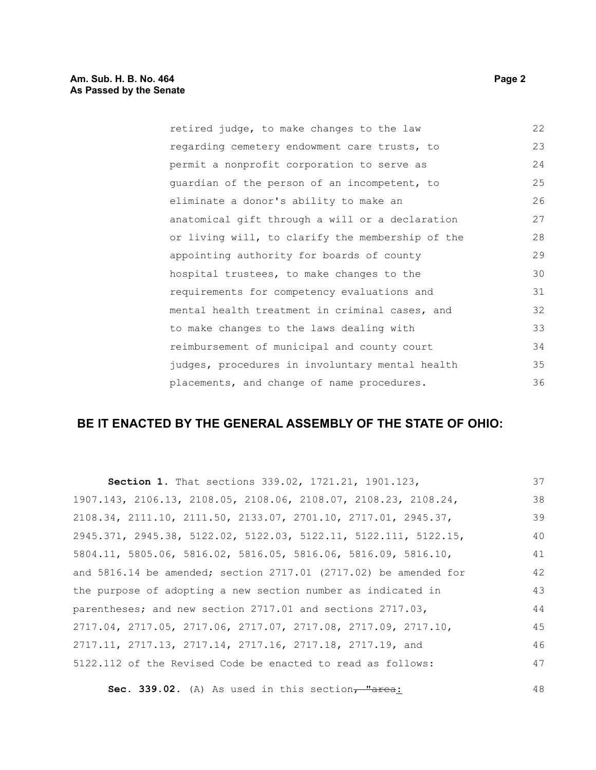| retired judge, to make changes to the law        | 22 |
|--------------------------------------------------|----|
| regarding cemetery endowment care trusts, to     | 23 |
| permit a nonprofit corporation to serve as       | 24 |
| quardian of the person of an incompetent, to     | 25 |
| eliminate a donor's ability to make an           | 26 |
| anatomical gift through a will or a declaration  | 27 |
| or living will, to clarify the membership of the | 28 |
| appointing authority for boards of county        | 29 |
| hospital trustees, to make changes to the        | 30 |
| requirements for competency evaluations and      | 31 |
| mental health treatment in criminal cases, and   | 32 |
| to make changes to the laws dealing with         | 33 |
| reimbursement of municipal and county court      | 34 |
| judges, procedures in involuntary mental health  | 35 |
| placements, and change of name procedures.       | 36 |
|                                                  |    |

## **BE IT ENACTED BY THE GENERAL ASSEMBLY OF THE STATE OF OHIO:**

| Section 1. That sections 339.02, 1721.21, 1901.123,              | 37 |
|------------------------------------------------------------------|----|
| 1907.143, 2106.13, 2108.05, 2108.06, 2108.07, 2108.23, 2108.24,  | 38 |
| 2108.34, 2111.10, 2111.50, 2133.07, 2701.10, 2717.01, 2945.37,   | 39 |
| 2945.371, 2945.38, 5122.02, 5122.03, 5122.11, 5122.111, 5122.15, | 40 |
| 5804.11, 5805.06, 5816.02, 5816.05, 5816.06, 5816.09, 5816.10,   | 41 |
| and 5816.14 be amended; section 2717.01 (2717.02) be amended for | 42 |
| the purpose of adopting a new section number as indicated in     | 43 |
| parentheses; and new section 2717.01 and sections 2717.03,       | 44 |
| 2717.04, 2717.05, 2717.06, 2717.07, 2717.08, 2717.09, 2717.10,   | 45 |
| 2717.11, 2717.13, 2717.14, 2717.16, 2717.18, 2717.19, and        | 46 |
| 5122.112 of the Revised Code be enacted to read as follows:      | 47 |
|                                                                  |    |

Sec. 339.02. (A) As used in this section, "area: 48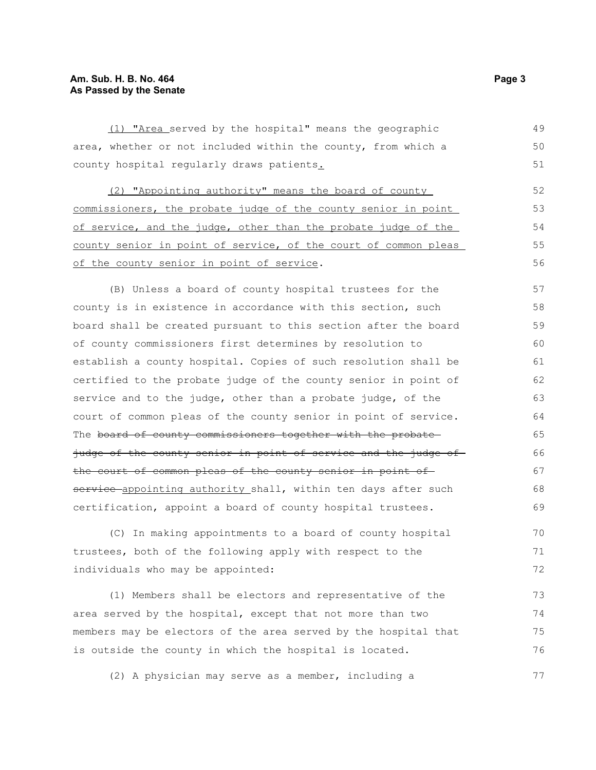#### **Am. Sub. H. B. No. 464 Page 3 As Passed by the Senate**

| (1) "Area_served by the hospital" means the geographic          | 49 |
|-----------------------------------------------------------------|----|
| area, whether or not included within the county, from which a   | 50 |
| county hospital regularly draws patients.                       | 51 |
| (2) "Appointing authority" means the board of county            | 52 |
| commissioners, the probate judge of the county senior in point  | 53 |
| of service, and the judge, other than the probate judge of the  | 54 |
| county senior in point of service, of the court of common pleas | 55 |
| of the county senior in point of service.                       | 56 |
| (B) Unless a board of county hospital trustees for the          | 57 |
| county is in existence in accordance with this section, such    | 58 |
| board shall be created pursuant to this section after the board | 59 |
| of county commissioners first determines by resolution to       | 60 |
| establish a county hospital. Copies of such resolution shall be | 61 |
| certified to the probate judge of the county senior in point of | 62 |
| service and to the judge, other than a probate judge, of the    | 63 |
| court of common pleas of the county senior in point of service. | 64 |
| The board of county commissioners together with the probate     | 65 |
| judge of the county senior in point of service and the judge of | 66 |
| the court of common pleas of the county senior in point of-     | 67 |
| service appointing authority shall, within ten days after such  | 68 |
| certification, appoint a board of county hospital trustees.     | 69 |
| (C) In making appointments to a board of county hospital        | 70 |
| trustees, both of the following apply with respect to the       | 71 |

(1) Members shall be electors and representative of the area served by the hospital, except that not more than two members may be electors of the area served by the hospital that is outside the county in which the hospital is located. 73 74 75 76

individuals who may be appointed:

(2) A physician may serve as a member, including a 77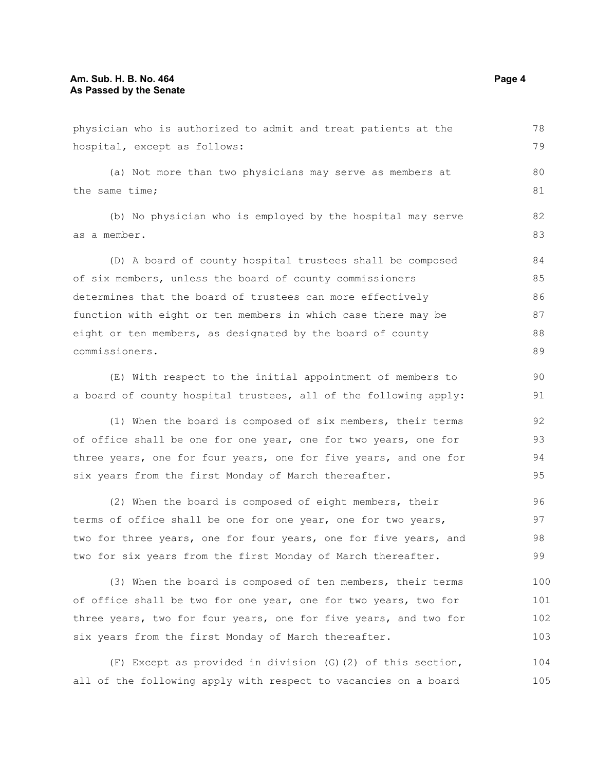| physician who is authorized to admit and treat patients at the   | 78  |
|------------------------------------------------------------------|-----|
| hospital, except as follows:                                     | 79  |
| (a) Not more than two physicians may serve as members at         | 80  |
| the same time;                                                   | 81  |
| (b) No physician who is employed by the hospital may serve       | 82  |
| as a member.                                                     | 83  |
| (D) A board of county hospital trustees shall be composed        | 84  |
| of six members, unless the board of county commissioners         | 85  |
| determines that the board of trustees can more effectively       | 86  |
| function with eight or ten members in which case there may be    | 87  |
| eight or ten members, as designated by the board of county       | 88  |
| commissioners.                                                   | 89  |
| (E) With respect to the initial appointment of members to        | 90  |
| a board of county hospital trustees, all of the following apply: | 91  |
| (1) When the board is composed of six members, their terms       | 92  |
| of office shall be one for one year, one for two years, one for  | 93  |
| three years, one for four years, one for five years, and one for | 94  |
| six years from the first Monday of March thereafter.             | 95  |
| (2) When the board is composed of eight members, their           | 96  |
| terms of office shall be one for one year, one for two years,    | 97  |
| two for three years, one for four years, one for five years, and | 98  |
| two for six years from the first Monday of March thereafter.     | 99  |
| (3) When the board is composed of ten members, their terms       | 100 |
| of office shall be two for one year, one for two years, two for  | 101 |
| three years, two for four years, one for five years, and two for | 102 |
| six years from the first Monday of March thereafter.             | 103 |
| (F) Except as provided in division (G) (2) of this section,      | 104 |
|                                                                  |     |

all of the following apply with respect to vacancies on a board 105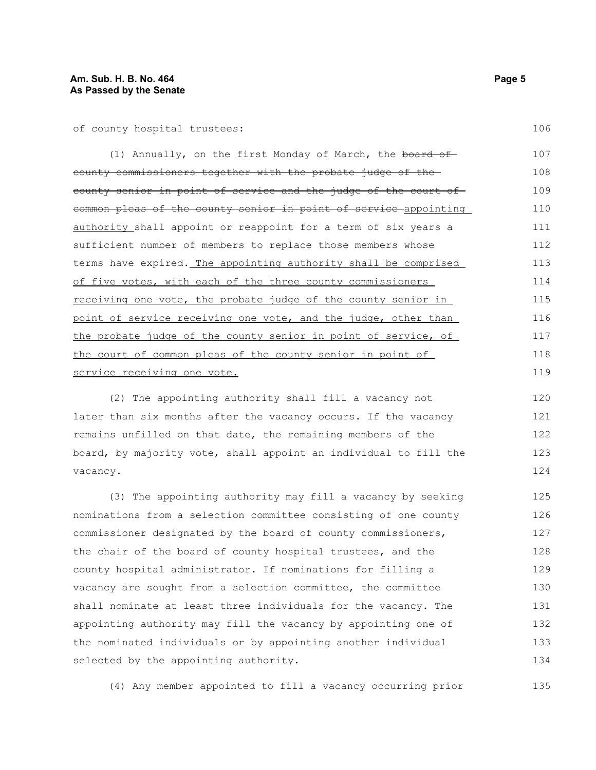of county hospital trustees:

(1) Annually, on the first Monday of March, the board ofcounty commissioners together with the probate judge of the county senior in point of service and the judge of the court of common pleas of the county senior in point of service appointing authority shall appoint or reappoint for a term of six years a sufficient number of members to replace those members whose terms have expired. The appointing authority shall be comprised of five votes, with each of the three county commissioners receiving one vote, the probate judge of the county senior in point of service receiving one vote, and the judge, other than the probate judge of the county senior in point of service, of the court of common pleas of the county senior in point of service receiving one vote. 107 108 109 110 111 112 113 114 115 116 117 118 119

(2) The appointing authority shall fill a vacancy not later than six months after the vacancy occurs. If the vacancy remains unfilled on that date, the remaining members of the board, by majority vote, shall appoint an individual to fill the vacancy.

(3) The appointing authority may fill a vacancy by seeking nominations from a selection committee consisting of one county commissioner designated by the board of county commissioners, the chair of the board of county hospital trustees, and the county hospital administrator. If nominations for filling a vacancy are sought from a selection committee, the committee shall nominate at least three individuals for the vacancy. The appointing authority may fill the vacancy by appointing one of the nominated individuals or by appointing another individual selected by the appointing authority. 125 126 127 128 129 130 131 132 133 134

(4) Any member appointed to fill a vacancy occurring prior 135

106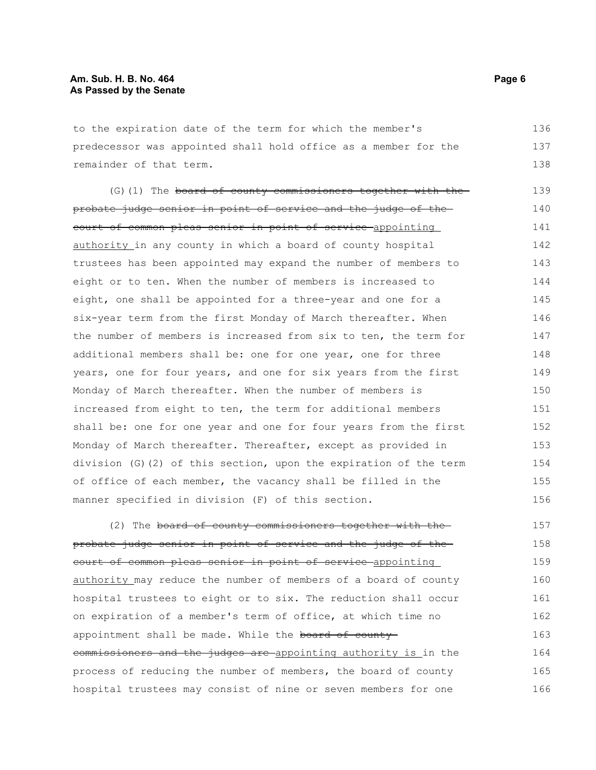to the expiration date of the term for which the member's predecessor was appointed shall hold office as a member for the remainder of that term. 136 137 138

(G)(1) The board of county commissioners together with the probate judge senior in point of service and the judge of the court of common pleas senior in point of service appointing authority in any county in which a board of county hospital trustees has been appointed may expand the number of members to eight or to ten. When the number of members is increased to eight, one shall be appointed for a three-year and one for a six-year term from the first Monday of March thereafter. When the number of members is increased from six to ten, the term for additional members shall be: one for one year, one for three years, one for four years, and one for six years from the first Monday of March thereafter. When the number of members is increased from eight to ten, the term for additional members shall be: one for one year and one for four years from the first Monday of March thereafter. Thereafter, except as provided in division (G)(2) of this section, upon the expiration of the term of office of each member, the vacancy shall be filled in the manner specified in division (F) of this section. 139 140 141 142 143 144 145 146 147 148 149 150 151 152 153 154 155 156

(2) The board of county commissioners together with the probate judge senior in point of service and the judge of the court of common pleas senior in point of service appointing authority may reduce the number of members of a board of county hospital trustees to eight or to six. The reduction shall occur on expiration of a member's term of office, at which time no appointment shall be made. While the board of countycommissioners and the judges are appointing authority is in the process of reducing the number of members, the board of county hospital trustees may consist of nine or seven members for one 157 158 159 160 161 162 163 164 165 166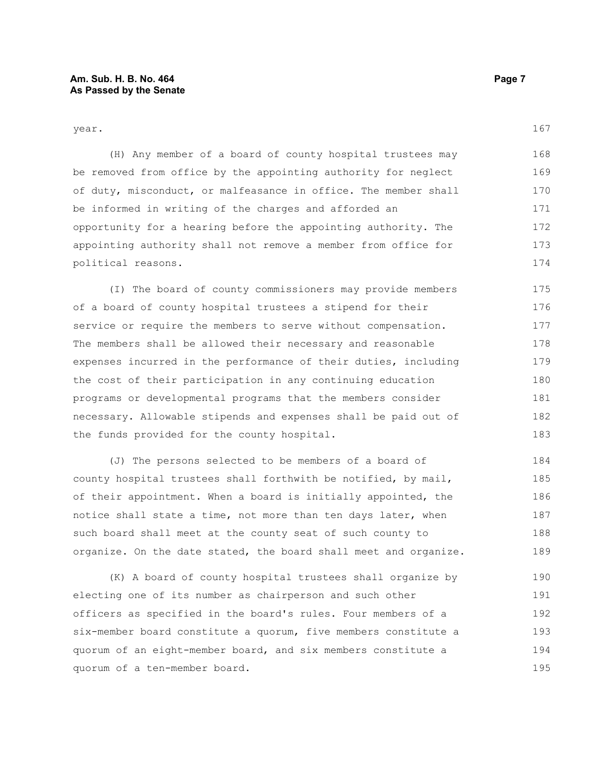167

#### year.

(H) Any member of a board of county hospital trustees may be removed from office by the appointing authority for neglect of duty, misconduct, or malfeasance in office. The member shall be informed in writing of the charges and afforded an opportunity for a hearing before the appointing authority. The appointing authority shall not remove a member from office for political reasons. 168 169 170 171 172 173 174

(I) The board of county commissioners may provide members of a board of county hospital trustees a stipend for their service or require the members to serve without compensation. The members shall be allowed their necessary and reasonable expenses incurred in the performance of their duties, including the cost of their participation in any continuing education programs or developmental programs that the members consider necessary. Allowable stipends and expenses shall be paid out of the funds provided for the county hospital. 175 176 177 178 179 180 181 182 183

(J) The persons selected to be members of a board of county hospital trustees shall forthwith be notified, by mail, of their appointment. When a board is initially appointed, the notice shall state a time, not more than ten days later, when such board shall meet at the county seat of such county to organize. On the date stated, the board shall meet and organize. 184 185 186 187 188 189

(K) A board of county hospital trustees shall organize by electing one of its number as chairperson and such other officers as specified in the board's rules. Four members of a six-member board constitute a quorum, five members constitute a quorum of an eight-member board, and six members constitute a quorum of a ten-member board. 190 191 192 193 194 195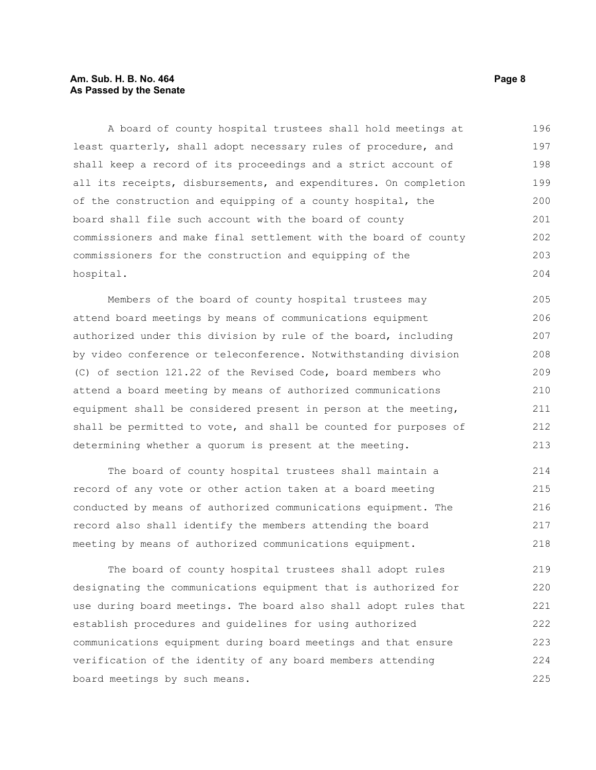#### **Am. Sub. H. B. No. 464 Page 8 Page 8 As Passed by the Senate**

A board of county hospital trustees shall hold meetings at least quarterly, shall adopt necessary rules of procedure, and shall keep a record of its proceedings and a strict account of all its receipts, disbursements, and expenditures. On completion of the construction and equipping of a county hospital, the board shall file such account with the board of county commissioners and make final settlement with the board of county commissioners for the construction and equipping of the hospital. 196 197 198 199 200 201 202 203 204

Members of the board of county hospital trustees may attend board meetings by means of communications equipment authorized under this division by rule of the board, including by video conference or teleconference. Notwithstanding division (C) of section 121.22 of the Revised Code, board members who attend a board meeting by means of authorized communications equipment shall be considered present in person at the meeting, shall be permitted to vote, and shall be counted for purposes of determining whether a quorum is present at the meeting. 205 206 207 208 209 210 211 212 213

The board of county hospital trustees shall maintain a record of any vote or other action taken at a board meeting conducted by means of authorized communications equipment. The record also shall identify the members attending the board meeting by means of authorized communications equipment. 214 215 216 217 218

The board of county hospital trustees shall adopt rules designating the communications equipment that is authorized for use during board meetings. The board also shall adopt rules that establish procedures and guidelines for using authorized communications equipment during board meetings and that ensure verification of the identity of any board members attending board meetings by such means. 219 220 221 222 223 224 225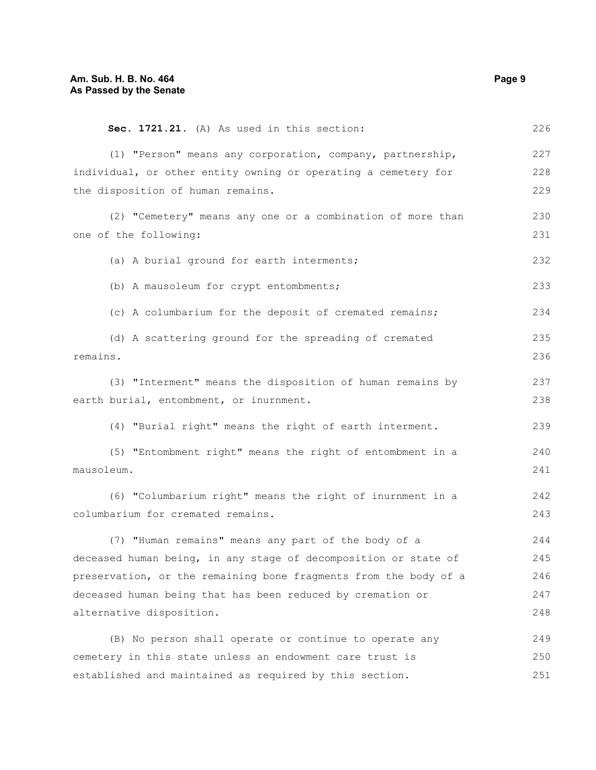| Sec. 1721.21. (A) As used in this section:                       | 226 |
|------------------------------------------------------------------|-----|
| (1) "Person" means any corporation, company, partnership,        | 227 |
| individual, or other entity owning or operating a cemetery for   | 228 |
| the disposition of human remains.                                | 229 |
| (2) "Cemetery" means any one or a combination of more than       | 230 |
| one of the following:                                            | 231 |
| (a) A burial ground for earth interments;                        | 232 |
| (b) A mausoleum for crypt entombments;                           | 233 |
| (c) A columbarium for the deposit of cremated remains;           | 234 |
| (d) A scattering ground for the spreading of cremated            | 235 |
| remains.                                                         | 236 |
| (3) "Interment" means the disposition of human remains by        | 237 |
| earth burial, entombment, or inurnment.                          | 238 |
| (4) "Burial right" means the right of earth interment.           | 239 |
| (5) "Entombment right" means the right of entombment in a        | 240 |
| mausoleum.                                                       | 241 |
| (6) "Columbarium right" means the right of inurnment in a        | 242 |
| columbarium for cremated remains.                                | 243 |
| (7) "Human remains" means any part of the body of a              | 244 |
| deceased human being, in any stage of decomposition or state of  | 245 |
| preservation, or the remaining bone fragments from the body of a | 246 |
| deceased human being that has been reduced by cremation or       | 247 |
| alternative disposition.                                         | 248 |
| (B) No person shall operate or continue to operate any           | 249 |
| cemetery in this state unless an endowment care trust is         | 250 |
| established and maintained as required by this section.          | 251 |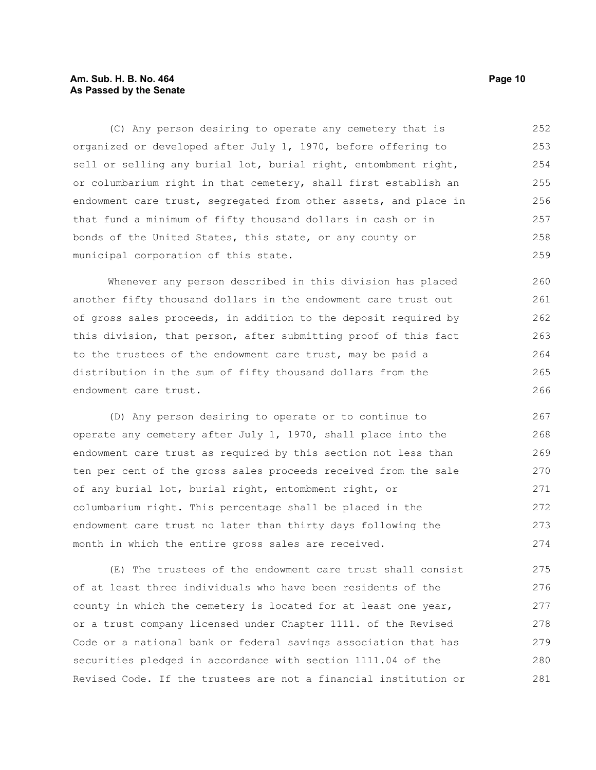#### **Am. Sub. H. B. No. 464 Page 10 As Passed by the Senate**

(C) Any person desiring to operate any cemetery that is organized or developed after July 1, 1970, before offering to sell or selling any burial lot, burial right, entombment right, or columbarium right in that cemetery, shall first establish an endowment care trust, segregated from other assets, and place in that fund a minimum of fifty thousand dollars in cash or in bonds of the United States, this state, or any county or municipal corporation of this state. 252 253 254 255 256 257 258 259

Whenever any person described in this division has placed another fifty thousand dollars in the endowment care trust out of gross sales proceeds, in addition to the deposit required by this division, that person, after submitting proof of this fact to the trustees of the endowment care trust, may be paid a distribution in the sum of fifty thousand dollars from the endowment care trust.

(D) Any person desiring to operate or to continue to operate any cemetery after July 1, 1970, shall place into the endowment care trust as required by this section not less than ten per cent of the gross sales proceeds received from the sale of any burial lot, burial right, entombment right, or columbarium right. This percentage shall be placed in the endowment care trust no later than thirty days following the month in which the entire gross sales are received. 267 268 269 270 271 272 273 274

(E) The trustees of the endowment care trust shall consist of at least three individuals who have been residents of the county in which the cemetery is located for at least one year, or a trust company licensed under Chapter 1111. of the Revised Code or a national bank or federal savings association that has securities pledged in accordance with section 1111.04 of the Revised Code. If the trustees are not a financial institution or 275 276 277 278 279 280 281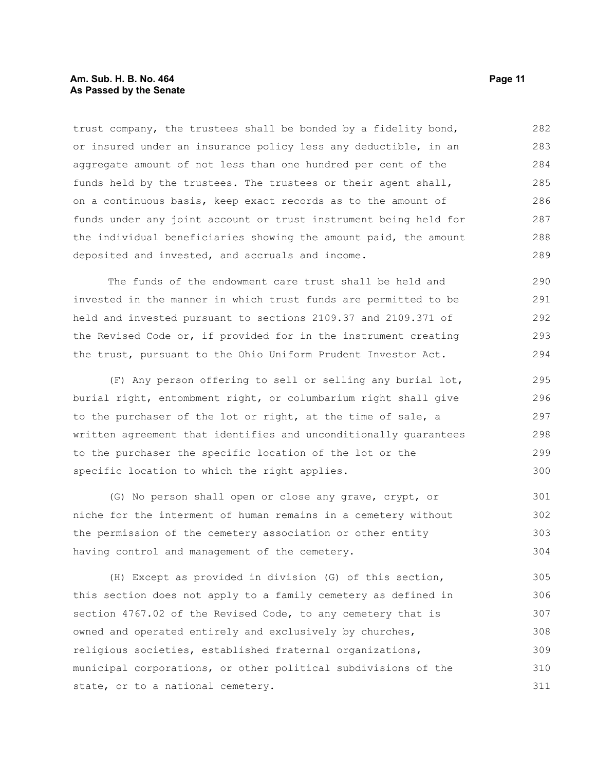#### **Am. Sub. H. B. No. 464 Page 11 As Passed by the Senate**

trust company, the trustees shall be bonded by a fidelity bond, or insured under an insurance policy less any deductible, in an aggregate amount of not less than one hundred per cent of the funds held by the trustees. The trustees or their agent shall, on a continuous basis, keep exact records as to the amount of funds under any joint account or trust instrument being held for the individual beneficiaries showing the amount paid, the amount deposited and invested, and accruals and income. 282 283 284 285 286 287 288 289

The funds of the endowment care trust shall be held and invested in the manner in which trust funds are permitted to be held and invested pursuant to sections 2109.37 and 2109.371 of the Revised Code or, if provided for in the instrument creating the trust, pursuant to the Ohio Uniform Prudent Investor Act. 290 291 292 293 294

(F) Any person offering to sell or selling any burial lot, burial right, entombment right, or columbarium right shall give to the purchaser of the lot or right, at the time of sale, a written agreement that identifies and unconditionally guarantees to the purchaser the specific location of the lot or the specific location to which the right applies. 295 296 297 298 299 300

(G) No person shall open or close any grave, crypt, or niche for the interment of human remains in a cemetery without the permission of the cemetery association or other entity having control and management of the cemetery. 301 302 303 304

(H) Except as provided in division (G) of this section, this section does not apply to a family cemetery as defined in section 4767.02 of the Revised Code, to any cemetery that is owned and operated entirely and exclusively by churches, religious societies, established fraternal organizations, municipal corporations, or other political subdivisions of the state, or to a national cemetery. 305 306 307 308 309 310 311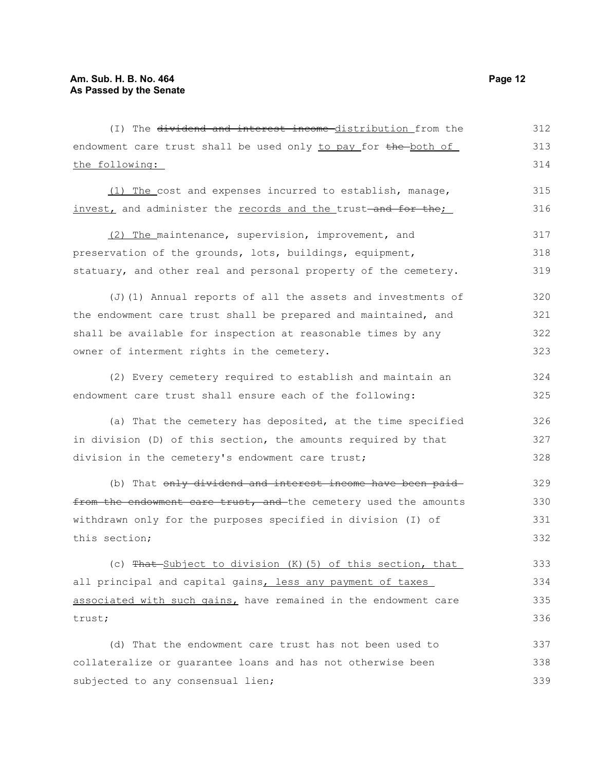| endowment care trust shall be used only to pay for the both of   | 313 |
|------------------------------------------------------------------|-----|
| the following:                                                   | 314 |
| (1) The cost and expenses incurred to establish, manage,         | 315 |
| invest, and administer the records and the trust-and for the;    | 316 |
| (2) The maintenance, supervision, improvement, and               | 317 |
| preservation of the grounds, lots, buildings, equipment,         | 318 |
| statuary, and other real and personal property of the cemetery.  | 319 |
| (J)(1) Annual reports of all the assets and investments of       | 320 |
| the endowment care trust shall be prepared and maintained, and   | 321 |
| shall be available for inspection at reasonable times by any     | 322 |
| owner of interment rights in the cemetery.                       | 323 |
| (2) Every cemetery required to establish and maintain an         | 324 |
| endowment care trust shall ensure each of the following:         | 325 |
| (a) That the cemetery has deposited, at the time specified       | 326 |
| in division (D) of this section, the amounts required by that    | 327 |
| division in the cemetery's endowment care trust;                 | 328 |
| (b) That only dividend and interest income have been paid        | 329 |
| from the endowment care trust, and the cemetery used the amounts | 330 |
| withdrawn only for the purposes specified in division (I) of     | 331 |
| this section;                                                    | 332 |
| (c) That Subject to division (K) (5) of this section, that       | 333 |
| all principal and capital gains, less any payment of taxes       | 334 |
| associated with such gains, have remained in the endowment care  | 335 |
| trust;                                                           | 336 |
| (d) That the endowment care trust has not been used to           | 337 |
| collateralize or guarantee loans and has not otherwise been      | 338 |
| subjected to any consensual lien;                                | 339 |

(I) The dividend and interest income distribution from the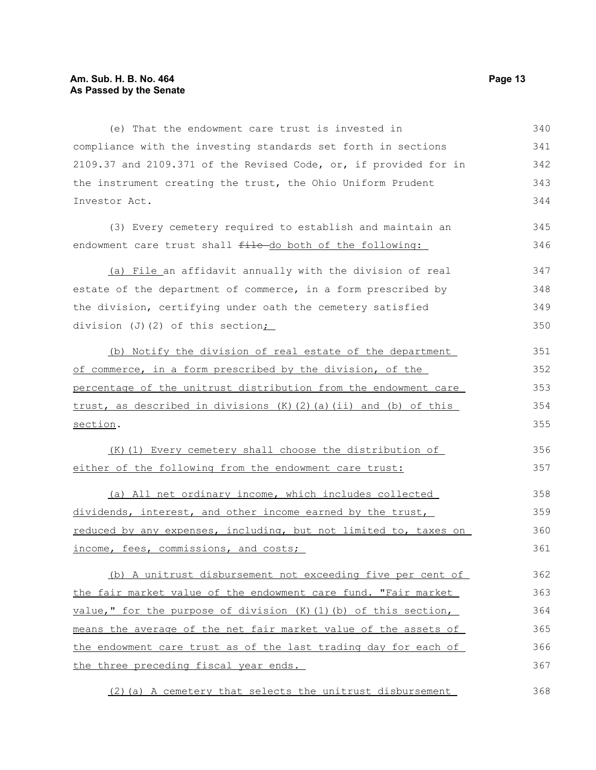### **Am. Sub. H. B. No. 464** Page 13 **As Passed by the Senate**

| (e) That the endowment care trust is invested in                 | 340 |
|------------------------------------------------------------------|-----|
| compliance with the investing standards set forth in sections    | 341 |
| 2109.37 and 2109.371 of the Revised Code, or, if provided for in | 342 |
| the instrument creating the trust, the Ohio Uniform Prudent      | 343 |
| Investor Act.                                                    | 344 |
| (3) Every cemetery required to establish and maintain an         | 345 |
| endowment care trust shall file-do both of the following:        | 346 |
| (a) File an affidavit annually with the division of real         | 347 |
| estate of the department of commerce, in a form prescribed by    | 348 |
| the division, certifying under oath the cemetery satisfied       | 349 |
| division (J)(2) of this section;                                 | 350 |
| (b) Notify the division of real estate of the department         | 351 |
| of commerce, in a form prescribed by the division, of the        | 352 |
| percentage of the unitrust distribution from the endowment care  | 353 |
| trust, as described in divisions (K)(2)(a)(ii) and (b) of this   | 354 |
| section.                                                         | 355 |
| (K) (1) Every cemetery shall choose the distribution of          | 356 |
| either of the following from the endowment care trust:           | 357 |
| (a) All net ordinary income, which includes collected            | 358 |
| dividends, interest, and other income earned by the trust,       | 359 |
| reduced by any expenses, including, but not limited to, taxes on | 360 |
| income, fees, commissions, and costs;                            | 361 |
| (b) A unitrust disbursement not exceeding five per cent of       | 362 |
| the fair market value of the endowment care fund. "Fair market   | 363 |
| value," for the purpose of division (K)(1)(b) of this section,   | 364 |
| means the average of the net fair market value of the assets of  | 365 |
| the endowment care trust as of the last trading day for each of  | 366 |
| the three preceding fiscal year ends.                            | 367 |

(2)(a) A cemetery that selects the unitrust disbursement 368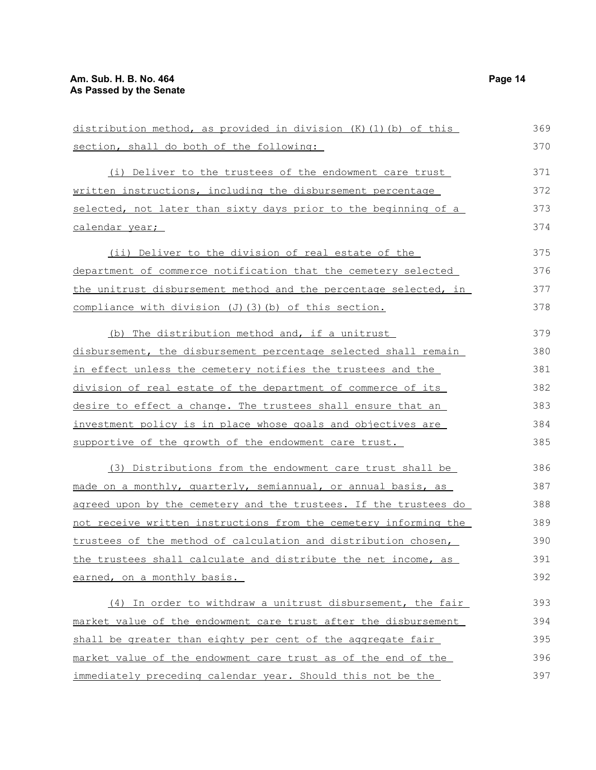| distribution method, as provided in division (K) (1) (b) of this | 369 |
|------------------------------------------------------------------|-----|
| section, shall do both of the following:                         | 370 |
| (i) Deliver to the trustees of the endowment care trust          | 371 |
| written instructions, including the disbursement percentage      | 372 |
| selected, not later than sixty days prior to the beginning of a  | 373 |
| calendar year;                                                   | 374 |
| (ii) Deliver to the division of real estate of the               | 375 |
| department of commerce notification that the cemetery selected   | 376 |
| the unitrust disbursement method and the percentage selected, in | 377 |
| compliance with division (J) (3) (b) of this section.            | 378 |
| (b) The distribution method and, if a unitrust                   | 379 |
| disbursement, the disbursement percentage selected shall remain  | 380 |
| in effect unless the cemetery notifies the trustees and the      | 381 |
| division of real estate of the department of commerce of its     | 382 |
| desire to effect a change. The trustees shall ensure that an     | 383 |
| investment policy is in place whose goals and objectives are     | 384 |
| supportive of the growth of the endowment care trust.            | 385 |
| (3) Distributions from the endowment care trust shall be         | 386 |
| made on a monthly, quarterly, semiannual, or annual basis, as    | 387 |
| agreed upon by the cemetery and the trustees. If the trustees do | 388 |
| not receive written instructions from the cemetery informing the | 389 |
| trustees of the method of calculation and distribution chosen,   | 390 |
| the trustees shall calculate and distribute the net income, as   | 391 |
| earned, on a monthly basis.                                      | 392 |
| (4) In order to withdraw a unitrust disbursement, the fair       | 393 |
| market value of the endowment care trust after the disbursement  | 394 |
| shall be greater than eighty per cent of the aggregate fair      | 395 |
| market value of the endowment care trust as of the end of the    | 396 |
| immediately preceding calendar year. Should this not be the      | 397 |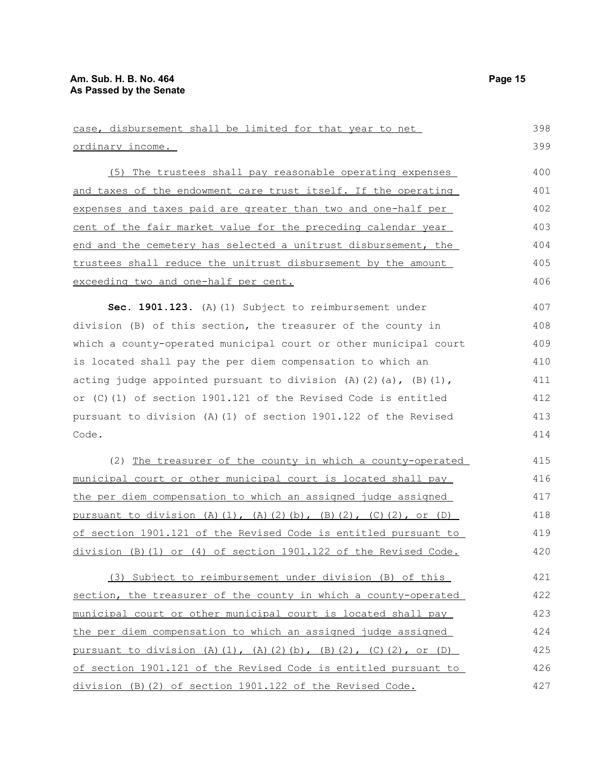| case, disbursement shall be limited for that year to net         | 398 |
|------------------------------------------------------------------|-----|
| ordinary income.                                                 | 399 |
| (5) The trustees shall pay reasonable operating expenses         | 400 |
|                                                                  | 401 |
| and taxes of the endowment care trust itself. If the operating   |     |
| expenses and taxes paid are greater than two and one-half per    | 402 |
| cent of the fair market value for the preceding calendar year    | 403 |
| end and the cemetery has selected a unitrust disbursement, the   | 404 |
| trustees shall reduce the unitrust disbursement by the amount    | 405 |
| exceeding two and one-half per cent.                             | 406 |
| Sec. 1901.123. (A) (1) Subject to reimbursement under            | 407 |
| division (B) of this section, the treasurer of the county in     | 408 |
| which a county-operated municipal court or other municipal court | 409 |
| is located shall pay the per diem compensation to which an       | 410 |
| acting judge appointed pursuant to division (A)(2)(a), (B)(1),   | 411 |
| or $(C)$ (1) of section 1901.121 of the Revised Code is entitled | 412 |
| pursuant to division (A) (1) of section 1901.122 of the Revised  | 413 |
| Code.                                                            | 414 |
| (2) The treasurer of the county in which a county-operated       | 415 |
| municipal court or other municipal court is located shall pay    | 416 |
| the per diem compensation to which an assigned judge assigned    | 417 |
| pursuant to division (A)(1), (A)(2)(b), (B)(2), (C)(2), or (D)   | 418 |
| of section 1901.121 of the Revised Code is entitled pursuant to  | 419 |
| division (B)(1) or (4) of section 1901.122 of the Revised Code.  | 420 |
| (3) Subject to reimbursement under division (B) of this          | 421 |
| section, the treasurer of the county in which a county-operated  | 422 |
| municipal court or other municipal court is located shall pay    | 423 |
| the per diem compensation to which an assigned judge assigned    | 424 |
| pursuant to division (A)(1), (A)(2)(b), (B)(2), (C)(2), or (D)   | 425 |
| of section 1901.121 of the Revised Code is entitled pursuant to  | 426 |
| division (B) (2) of section 1901.122 of the Revised Code.        | 427 |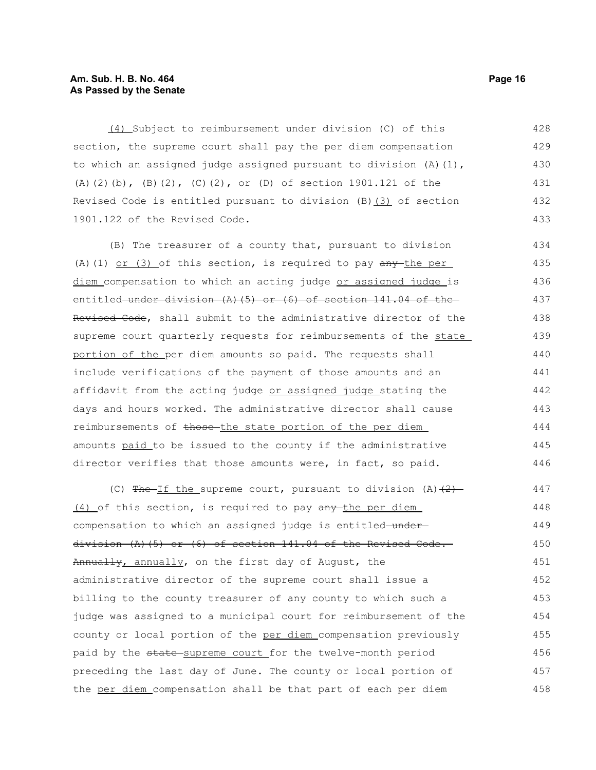#### **Am. Sub. H. B. No. 464 Page 16 As Passed by the Senate**

(4) Subject to reimbursement under division (C) of this section, the supreme court shall pay the per diem compensation to which an assigned judge assigned pursuant to division  $(A)$   $(1)$ , (A)(2)(b),  $(B)(2)$ ,  $(C)(2)$ , or  $(D)$  of section 1901.121 of the Revised Code is entitled pursuant to division  $(B)$  (3) of section 1901.122 of the Revised Code. 428 429 430 431 432 433

(B) The treasurer of a county that, pursuant to division (A)(1) or (3) of this section, is required to pay  $\frac{any - the}{per}$ diem compensation to which an acting judge or assigned judge is entitled under division  $(A)$  (5) or (6) of section 141.04 of the Revised Code, shall submit to the administrative director of the supreme court quarterly requests for reimbursements of the state portion of the per diem amounts so paid. The requests shall include verifications of the payment of those amounts and an affidavit from the acting judge or assigned judge stating the days and hours worked. The administrative director shall cause reimbursements of those-the state portion of the per diem amounts paid to be issued to the county if the administrative director verifies that those amounts were, in fact, so paid. 434 435 436 437 438 439 440 441 442 443 444 445 446

(C) The If the supreme court, pursuant to division  $(A)$   $(2)$ (4) of this section, is required to pay any the per diem compensation to which an assigned judge is entitled under division  $(A)$  (5) or (6) of section 141.04 of the Revised Code. Annually, annually, on the first day of August, the administrative director of the supreme court shall issue a billing to the county treasurer of any county to which such a judge was assigned to a municipal court for reimbursement of the county or local portion of the per diem compensation previously paid by the state-supreme court for the twelve-month period preceding the last day of June. The county or local portion of the per diem compensation shall be that part of each per diem 447 448 449 450 451 452 453 454 455 456 457 458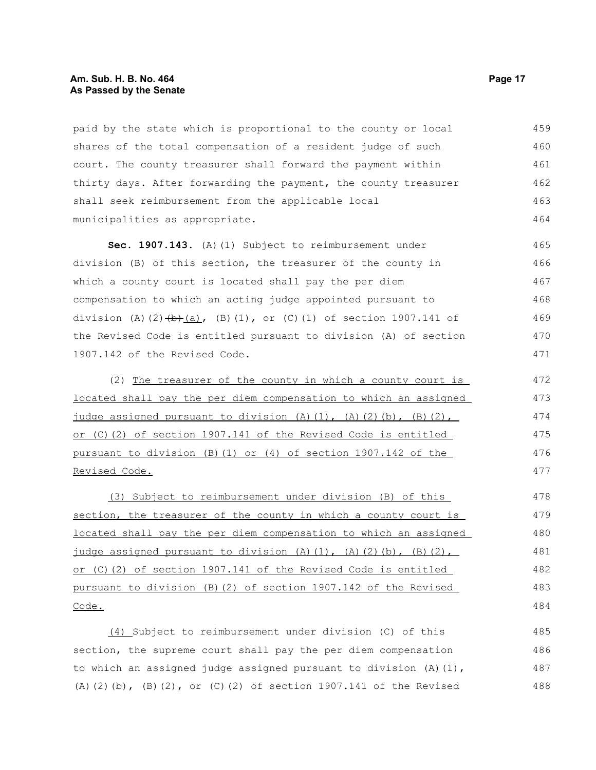#### **Am. Sub. H. B. No. 464 Page 17 As Passed by the Senate**

paid by the state which is proportional to the county or local shares of the total compensation of a resident judge of such court. The county treasurer shall forward the payment within thirty days. After forwarding the payment, the county treasurer shall seek reimbursement from the applicable local municipalities as appropriate. 459 460 461 462 463 464

Sec. 1907.143. (A)(1) Subject to reimbursement under division (B) of this section, the treasurer of the county in which a county court is located shall pay the per diem compensation to which an acting judge appointed pursuant to division (A)(2) $\frac{1}{b}(a)$ , (B)(1), or (C)(1) of section 1907.141 of the Revised Code is entitled pursuant to division (A) of section 1907.142 of the Revised Code. 465 466 467 468 469 470 471

(2) The treasurer of the county in which a county court is located shall pay the per diem compensation to which an assigned judge assigned pursuant to division (A)(1), (A)(2)(b), (B)(2), or (C)(2) of section 1907.141 of the Revised Code is entitled pursuant to division (B)(1) or (4) of section 1907.142 of the Revised Code.

(3) Subject to reimbursement under division (B) of this section, the treasurer of the county in which a county court is located shall pay the per diem compensation to which an assigned judge assigned pursuant to division (A)(1), (A)(2)(b), (B)(2), or (C)(2) of section 1907.141 of the Revised Code is entitled pursuant to division (B)(2) of section 1907.142 of the Revised Code. 478 479 480 481 482 483 484

(4) Subject to reimbursement under division (C) of this section, the supreme court shall pay the per diem compensation to which an assigned judge assigned pursuant to division  $(A)$  (1), (A)(2)(b), (B)(2), or (C)(2) of section 1907.141 of the Revised 485 486 487 488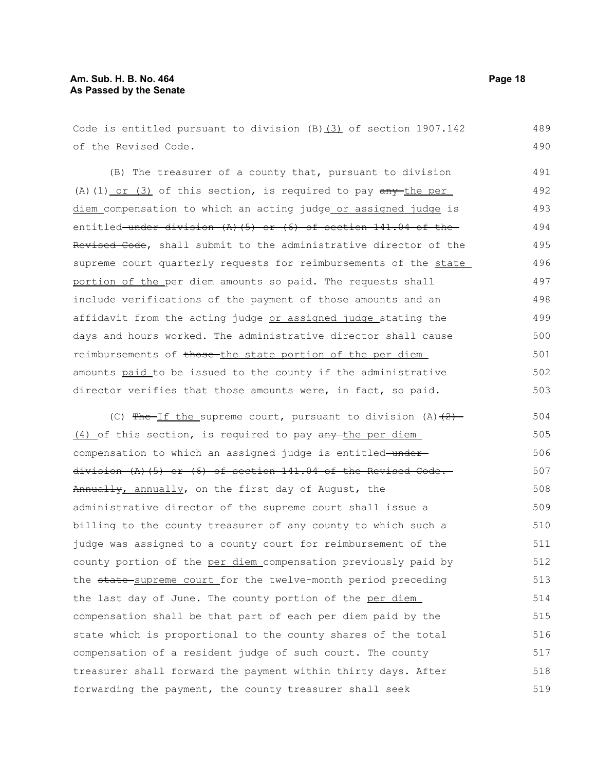Code is entitled pursuant to division  $(B)(3)$  of section 1907.142 of the Revised Code. 489 490

(B) The treasurer of a county that, pursuant to division (A)(1) or (3) of this section, is required to pay  $\frac{any - the per}{}$ diem compensation to which an acting judge or assigned judge is entitled under division  $(A)$  (5) or (6) of section 141.04 of the Revised Code, shall submit to the administrative director of the supreme court quarterly requests for reimbursements of the state portion of the per diem amounts so paid. The requests shall include verifications of the payment of those amounts and an affidavit from the acting judge or assigned judge stating the days and hours worked. The administrative director shall cause reimbursements of those the state portion of the per diem amounts paid to be issued to the county if the administrative director verifies that those amounts were, in fact, so paid. 491 492 493 494 495 496 497 498 499 500 501 502 503

(C) The If the supreme court, pursuant to division  $(A)$   $(2)$  $(4)$  of this section, is required to pay  $\frac{any - the}{per}$  diem compensation to which an assigned judge is entitled under division (A)(5) or (6) of section 141.04 of the Revised Code. Annually, annually, on the first day of August, the administrative director of the supreme court shall issue a billing to the county treasurer of any county to which such a judge was assigned to a county court for reimbursement of the county portion of the per diem compensation previously paid by the state supreme court for the twelve-month period preceding the last day of June. The county portion of the per diem compensation shall be that part of each per diem paid by the state which is proportional to the county shares of the total compensation of a resident judge of such court. The county treasurer shall forward the payment within thirty days. After forwarding the payment, the county treasurer shall seek 504 505 506 507 508 509 510 511 512 513 514 515 516 517 518 519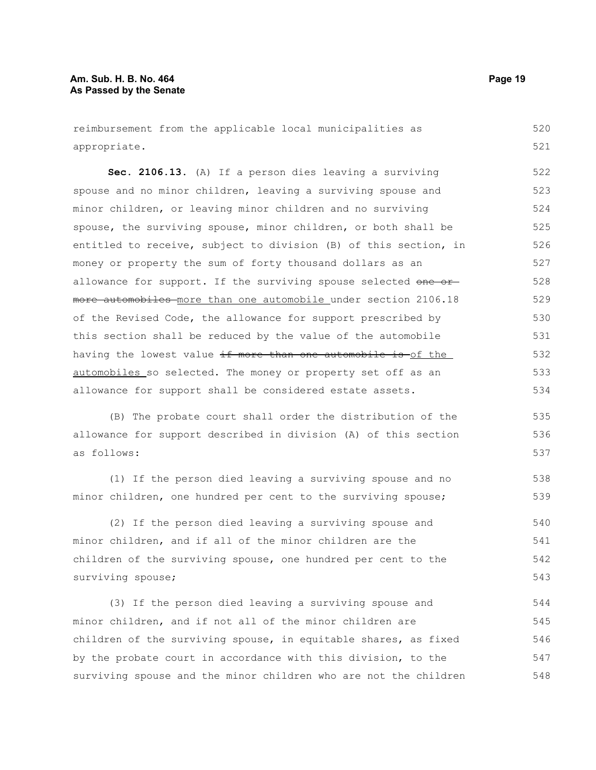#### **Am. Sub. H. B. No. 464 Page 19 As Passed by the Senate**

reimbursement from the applicable local municipalities as appropriate. 520 521

**Sec. 2106.13.** (A) If a person dies leaving a surviving spouse and no minor children, leaving a surviving spouse and minor children, or leaving minor children and no surviving spouse, the surviving spouse, minor children, or both shall be entitled to receive, subject to division (B) of this section, in money or property the sum of forty thousand dollars as an allowance for support. If the surviving spouse selected one ormore automobiles more than one automobile under section 2106.18 of the Revised Code, the allowance for support prescribed by this section shall be reduced by the value of the automobile having the lowest value if more than one automobile is of the automobiles so selected. The money or property set off as an allowance for support shall be considered estate assets. 522 523 524 525 526 527 528 529 530 531 532 533 534

(B) The probate court shall order the distribution of the allowance for support described in division (A) of this section as follows:

(1) If the person died leaving a surviving spouse and no minor children, one hundred per cent to the surviving spouse;

(2) If the person died leaving a surviving spouse and minor children, and if all of the minor children are the children of the surviving spouse, one hundred per cent to the surviving spouse; 540 541 542 543

(3) If the person died leaving a surviving spouse and minor children, and if not all of the minor children are children of the surviving spouse, in equitable shares, as fixed by the probate court in accordance with this division, to the surviving spouse and the minor children who are not the children 544 545 546 547 548

535 536 537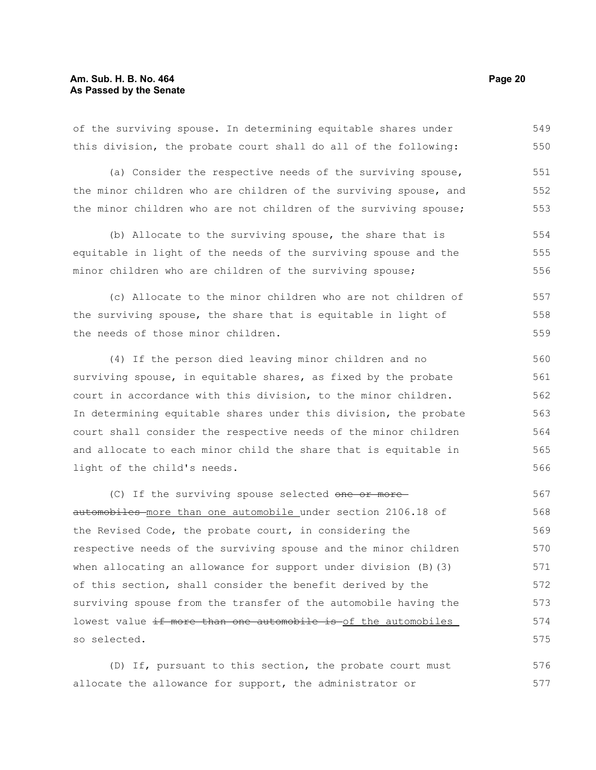#### **Am. Sub. H. B. No. 464 Page 20 As Passed by the Senate**

of the surviving spouse. In determining equitable shares under this division, the probate court shall do all of the following: 549 550

(a) Consider the respective needs of the surviving spouse, the minor children who are children of the surviving spouse, and the minor children who are not children of the surviving spouse; 551 552 553

(b) Allocate to the surviving spouse, the share that is equitable in light of the needs of the surviving spouse and the minor children who are children of the surviving spouse; 554 555 556

(c) Allocate to the minor children who are not children of the surviving spouse, the share that is equitable in light of the needs of those minor children. 557 558 559

(4) If the person died leaving minor children and no surviving spouse, in equitable shares, as fixed by the probate court in accordance with this division, to the minor children. In determining equitable shares under this division, the probate court shall consider the respective needs of the minor children and allocate to each minor child the share that is equitable in light of the child's needs.

(C) If the surviving spouse selected one or more automobiles more than one automobile under section 2106.18 of the Revised Code, the probate court, in considering the respective needs of the surviving spouse and the minor children when allocating an allowance for support under division (B)(3) of this section, shall consider the benefit derived by the surviving spouse from the transfer of the automobile having the lowest value if more than one automobile is of the automobiles so selected. 567 568 569 570 571 572 573 574 575

(D) If, pursuant to this section, the probate court must allocate the allowance for support, the administrator or 576 577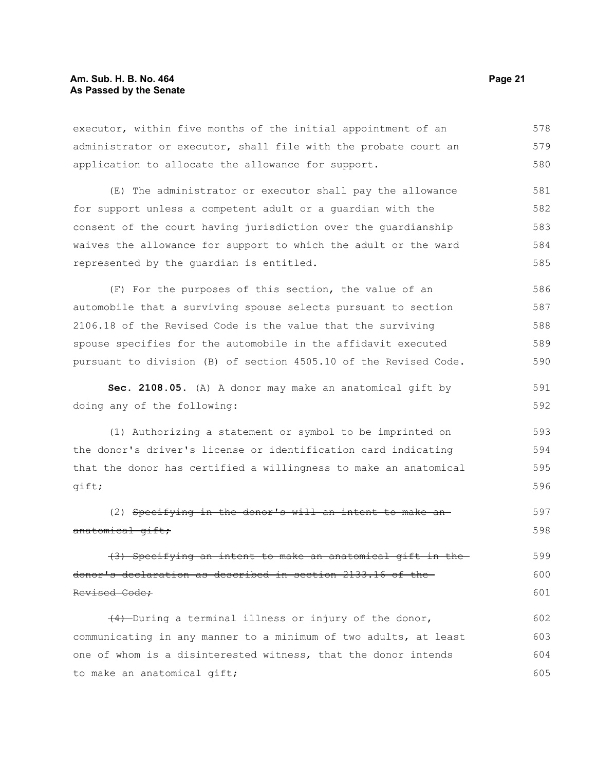executor, within five months of the initial appointment of an administrator or executor, shall file with the probate court an application to allocate the allowance for support. 578 579 580

(E) The administrator or executor shall pay the allowance for support unless a competent adult or a guardian with the consent of the court having jurisdiction over the guardianship waives the allowance for support to which the adult or the ward represented by the guardian is entitled. 581 582 583 584 585

(F) For the purposes of this section, the value of an automobile that a surviving spouse selects pursuant to section 2106.18 of the Revised Code is the value that the surviving spouse specifies for the automobile in the affidavit executed pursuant to division (B) of section 4505.10 of the Revised Code. 586 587 588 589 590

**Sec. 2108.05.** (A) A donor may make an anatomical gift by doing any of the following:

(1) Authorizing a statement or symbol to be imprinted on the donor's driver's license or identification card indicating that the donor has certified a willingness to make an anatomical gift; 593 594 595 596

(2) Specifying in the donor's will an intent to make an anatomical gift; 597 598

(3) Specifying an intent to make an anatomical gift in the donor's declaration as described in section 2133.16 of the Revised Code; 599 600 601

(4) During a terminal illness or injury of the donor, communicating in any manner to a minimum of two adults, at least one of whom is a disinterested witness, that the donor intends to make an anatomical gift; 602 603 604 605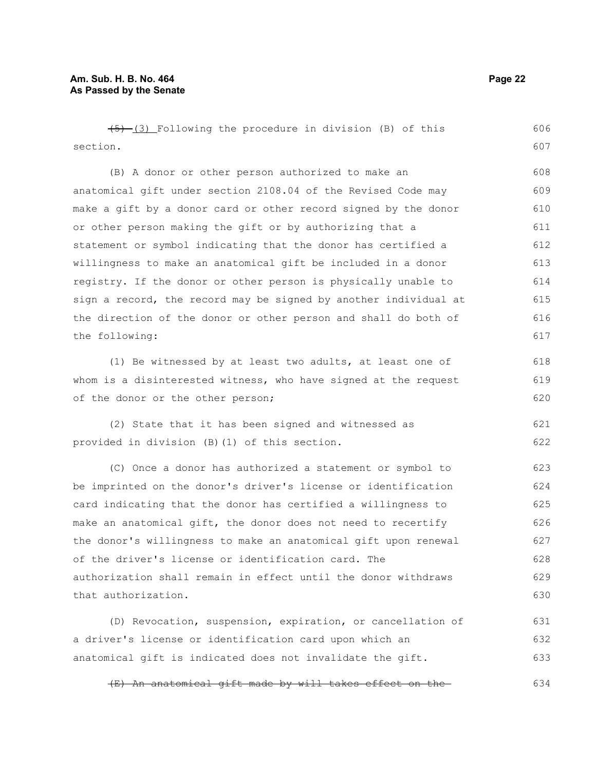$(5)$  (3) Following the procedure in division (B) of this section. (B) A donor or other person authorized to make an anatomical gift under section 2108.04 of the Revised Code may make a gift by a donor card or other record signed by the donor or other person making the gift or by authorizing that a statement or symbol indicating that the donor has certified a willingness to make an anatomical gift be included in a donor registry. If the donor or other person is physically unable to sign a record, the record may be signed by another individual at the direction of the donor or other person and shall do both of the following: (1) Be witnessed by at least two adults, at least one of whom is a disinterested witness, who have signed at the request of the donor or the other person; (2) State that it has been signed and witnessed as provided in division (B)(1) of this section. (C) Once a donor has authorized a statement or symbol to be imprinted on the donor's driver's license or identification 606 607 608 609 610 611 612 613 614 615 616 617 618 619 620 621 622 623 624

card indicating that the donor has certified a willingness to make an anatomical gift, the donor does not need to recertify the donor's willingness to make an anatomical gift upon renewal of the driver's license or identification card. The authorization shall remain in effect until the donor withdraws that authorization. 625 626 627 628 629 630

(D) Revocation, suspension, expiration, or cancellation of a driver's license or identification card upon which an anatomical gift is indicated does not invalidate the gift. 631 632 633

(E) An anatomical gift made by will takes effect on the 634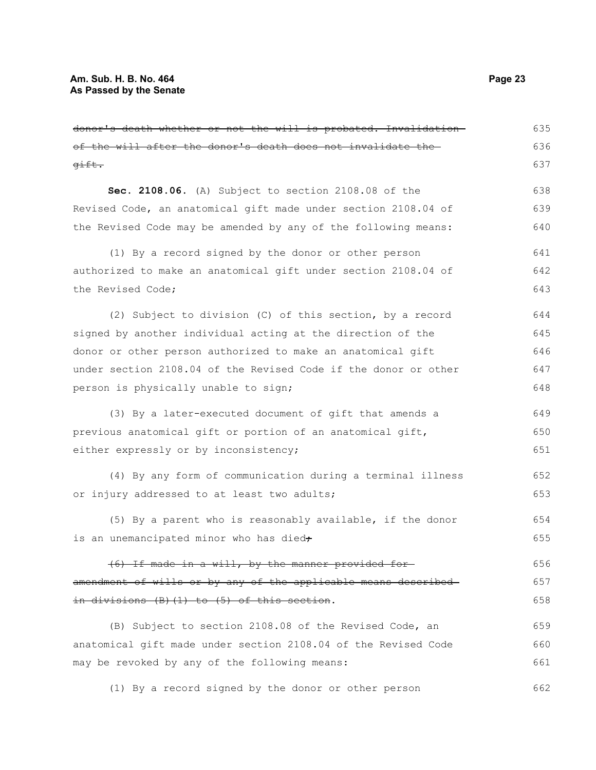| donor's death whether or not the will is probated. Invalidation- | 635 |
|------------------------------------------------------------------|-----|
| of the will after the donor's death does not invalidate the      | 636 |
| gift.                                                            | 637 |
| Sec. 2108.06. (A) Subject to section 2108.08 of the              | 638 |
| Revised Code, an anatomical gift made under section 2108.04 of   | 639 |
| the Revised Code may be amended by any of the following means:   | 640 |
| (1) By a record signed by the donor or other person              | 641 |
| authorized to make an anatomical gift under section 2108.04 of   | 642 |
| the Revised Code;                                                | 643 |
| (2) Subject to division (C) of this section, by a record         | 644 |
| signed by another individual acting at the direction of the      | 645 |
| donor or other person authorized to make an anatomical gift      | 646 |
| under section 2108.04 of the Revised Code if the donor or other  | 647 |
| person is physically unable to sign;                             | 648 |
| (3) By a later-executed document of gift that amends a           | 649 |
| previous anatomical gift or portion of an anatomical gift,       | 650 |
| either expressly or by inconsistency;                            | 651 |
| (4) By any form of communication during a terminal illness       | 652 |
| or injury addressed to at least two adults;                      | 653 |
| (5) By a parent who is reasonably available, if the donor        | 654 |
| is an unemancipated minor who has died+                          | 655 |
| (6) If made in a will, by the manner provided for-               | 656 |
| amendment of wills or by any of the applicable means described-  | 657 |
| in divisions (B) (1) to (5) of this section.                     | 658 |
| (B) Subject to section 2108.08 of the Revised Code, an           | 659 |
| anatomical gift made under section 2108.04 of the Revised Code   | 660 |
| may be revoked by any of the following means:                    | 661 |
| (1) By a record signed by the donor or other person              | 662 |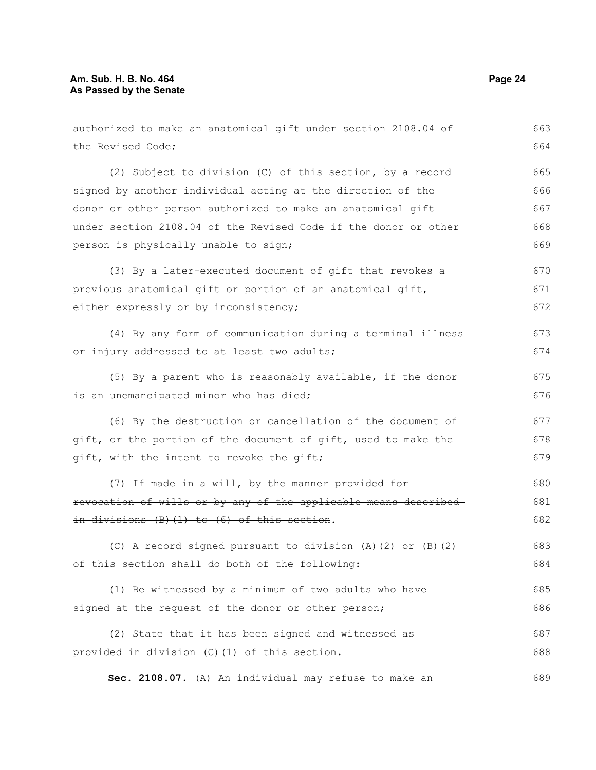```
authorized to make an anatomical gift under section 2108.04 of
the Revised Code;
      (2) Subject to division (C) of this section, by a record
signed by another individual acting at the direction of the
donor or other person authorized to make an anatomical gift
under section 2108.04 of the Revised Code if the donor or other
person is physically unable to sign;
      (3) By a later-executed document of gift that revokes a
previous anatomical gift or portion of an anatomical gift,
either expressly or by inconsistency;
      (4) By any form of communication during a terminal illness
or injury addressed to at least two adults;
      (5) By a parent who is reasonably available, if the donor
is an unemancipated minor who has died;
      (6) By the destruction or cancellation of the document of
gift, or the portion of the document of gift, used to make the
gift, with the intent to revoke the gift\dot{\tau}(7) If made in a will, by the manner provided for
revocation of wills or by any of the applicable means described
in divisions (B)(1) to (6) of this section.
      (C) A record signed pursuant to division (A)(2) or (B)(2)
of this section shall do both of the following:
      (1) Be witnessed by a minimum of two adults who have
signed at the request of the donor or other person;
      (2) State that it has been signed and witnessed as
provided in division (C)(1) of this section.
                                                                             663
                                                                             664
                                                                             665
                                                                            666
                                                                            667
                                                                             668
                                                                             669
                                                                            670
                                                                             671
                                                                             672
                                                                             673
                                                                             674
                                                                             675
                                                                             676
                                                                             677
                                                                             678
                                                                             679
                                                                             680
                                                                             681
                                                                             682
                                                                             683
                                                                             684
                                                                             685
                                                                             686
                                                                             687
                                                                             688
```
**Sec. 2108.07.** (A) An individual may refuse to make an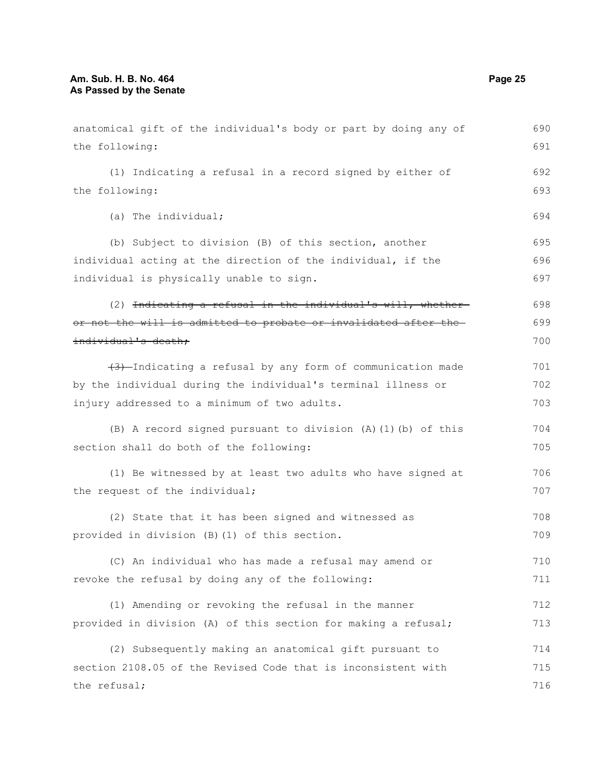| anatomical gift of the individual's body or part by doing any of<br>the following: | 690<br>691 |
|------------------------------------------------------------------------------------|------------|
| (1) Indicating a refusal in a record signed by either of                           | 692        |
| the following:                                                                     | 693        |
| (a) The individual;                                                                | 694        |
| (b) Subject to division (B) of this section, another                               | 695        |
| individual acting at the direction of the individual, if the                       | 696        |
| individual is physically unable to sign.                                           | 697        |
| (2) Indicating a refusal in the individual's will, whether-                        | 698        |
| or not the will is admitted to probate or invalidated after the-                   | 699        |
| individual's death;                                                                | 700        |
| (3) Indicating a refusal by any form of communication made                         | 701        |
| by the individual during the individual's terminal illness or                      | 702        |
| injury addressed to a minimum of two adults.                                       | 703        |
| (B) A record signed pursuant to division (A)(1)(b) of this                         | 704        |
| section shall do both of the following:                                            | 705        |
| (1) Be witnessed by at least two adults who have signed at                         | 706        |
| the request of the individual;                                                     | 707        |
| (2) State that it has been signed and witnessed as                                 | 708        |
| provided in division (B) (1) of this section.                                      | 709        |
| (C) An individual who has made a refusal may amend or                              | 710        |
| revoke the refusal by doing any of the following:                                  | 711        |
| (1) Amending or revoking the refusal in the manner                                 | 712        |
| provided in division (A) of this section for making a refusal;                     | 713        |
| (2) Subsequently making an anatomical gift pursuant to                             | 714        |
| section 2108.05 of the Revised Code that is inconsistent with                      | 715        |
| the refusal;                                                                       | 716        |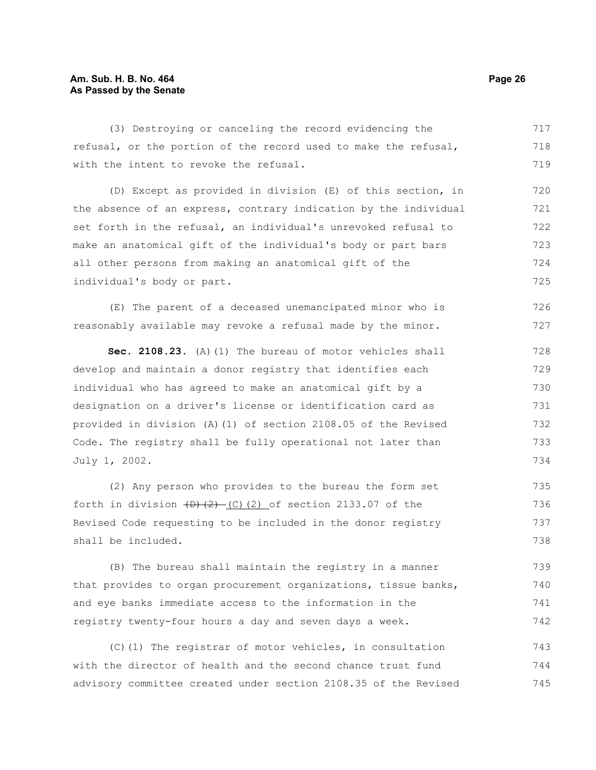#### **Am. Sub. H. B. No. 464 Page 26 As Passed by the Senate**

(3) Destroying or canceling the record evidencing the refusal, or the portion of the record used to make the refusal, with the intent to revoke the refusal. 717 718 719

(D) Except as provided in division (E) of this section, in the absence of an express, contrary indication by the individual set forth in the refusal, an individual's unrevoked refusal to make an anatomical gift of the individual's body or part bars all other persons from making an anatomical gift of the individual's body or part. 720 721 722 723 724 725

(E) The parent of a deceased unemancipated minor who is reasonably available may revoke a refusal made by the minor. 726 727

**Sec. 2108.23.** (A)(1) The bureau of motor vehicles shall develop and maintain a donor registry that identifies each individual who has agreed to make an anatomical gift by a designation on a driver's license or identification card as provided in division (A)(1) of section 2108.05 of the Revised Code. The registry shall be fully operational not later than July 1, 2002. 728 729 730 731 732 733 734

(2) Any person who provides to the bureau the form set forth in division  $(D)$   $(2)$   $(C)$   $(2)$  of section 2133.07 of the Revised Code requesting to be included in the donor registry shall be included. 735 736 737 738

(B) The bureau shall maintain the registry in a manner that provides to organ procurement organizations, tissue banks, and eye banks immediate access to the information in the registry twenty-four hours a day and seven days a week. 739 740 741 742

(C)(1) The registrar of motor vehicles, in consultation with the director of health and the second chance trust fund advisory committee created under section 2108.35 of the Revised 743 744 745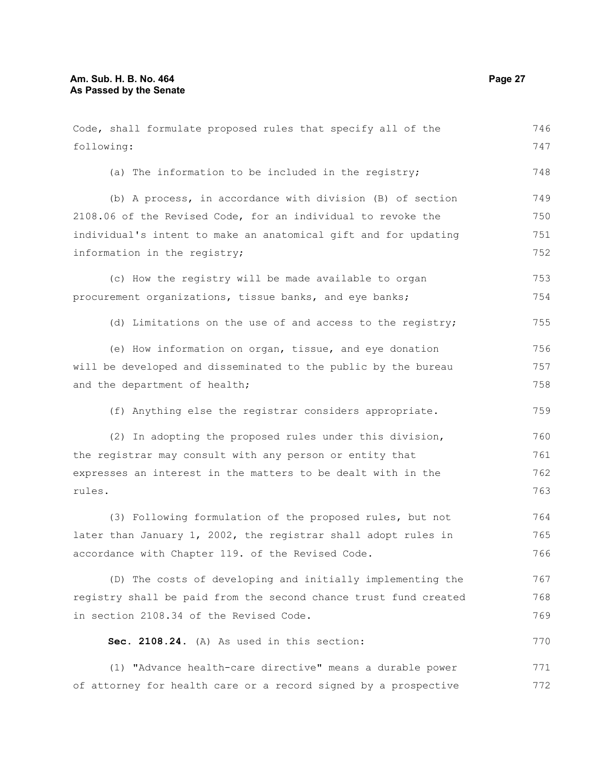| Code, shall formulate proposed rules that specify all of the     | 746 |
|------------------------------------------------------------------|-----|
| following:                                                       | 747 |
| (a) The information to be included in the registry;              | 748 |
| (b) A process, in accordance with division (B) of section        | 749 |
| 2108.06 of the Revised Code, for an individual to revoke the     | 750 |
| individual's intent to make an anatomical gift and for updating  | 751 |
| information in the registry;                                     | 752 |
| (c) How the registry will be made available to organ             | 753 |
| procurement organizations, tissue banks, and eye banks;          | 754 |
| (d) Limitations on the use of and access to the registry;        | 755 |
| (e) How information on organ, tissue, and eye donation           | 756 |
| will be developed and disseminated to the public by the bureau   | 757 |
| and the department of health;                                    | 758 |
| (f) Anything else the registrar considers appropriate.           | 759 |
| (2) In adopting the proposed rules under this division,          | 760 |
| the registrar may consult with any person or entity that         | 761 |
| expresses an interest in the matters to be dealt with in the     | 762 |
| rules.                                                           | 763 |
| (3) Following formulation of the proposed rules, but not         | 764 |
| later than January 1, 2002, the registrar shall adopt rules in   | 765 |
| accordance with Chapter 119. of the Revised Code.                | 766 |
| (D) The costs of developing and initially implementing the       | 767 |
| registry shall be paid from the second chance trust fund created | 768 |
| in section 2108.34 of the Revised Code.                          | 769 |
| Sec. 2108.24. (A) As used in this section:                       | 770 |
| (1) "Advance health-care directive" means a durable power        | 771 |

of attorney for health care or a record signed by a prospective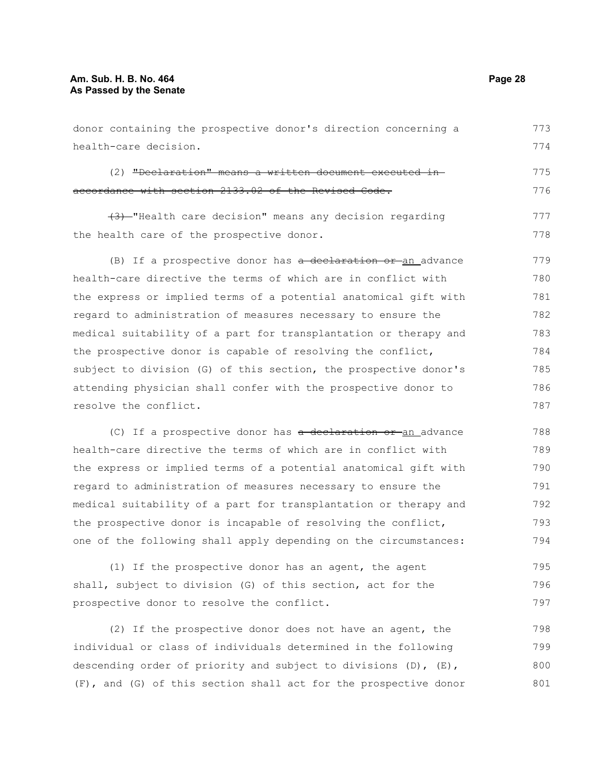donor containing the prospective donor's direction concerning a health-care decision. (2) "Declaration" means a written document executed in accordance with section 2133.02 of the Revised Code. (3) "Health care decision" means any decision regarding the health care of the prospective donor. (B) If a prospective donor has a declaration or an advance health-care directive the terms of which are in conflict with the express or implied terms of a potential anatomical gift with regard to administration of measures necessary to ensure the medical suitability of a part for transplantation or therapy and the prospective donor is capable of resolving the conflict, subject to division (G) of this section, the prospective donor's attending physician shall confer with the prospective donor to resolve the conflict. (C) If a prospective donor has a declaration or an advance health-care directive the terms of which are in conflict with the express or implied terms of a potential anatomical gift with regard to administration of measures necessary to ensure the 773 774 775 776 777 778 779 780 781 782 783 784 785 786 787 788 789 790 791

medical suitability of a part for transplantation or therapy and the prospective donor is incapable of resolving the conflict, one of the following shall apply depending on the circumstances: 792 793 794

(1) If the prospective donor has an agent, the agent shall, subject to division (G) of this section, act for the prospective donor to resolve the conflict. 795 796 797

(2) If the prospective donor does not have an agent, the individual or class of individuals determined in the following descending order of priority and subject to divisions (D), (E), (F), and (G) of this section shall act for the prospective donor 798 799 800 801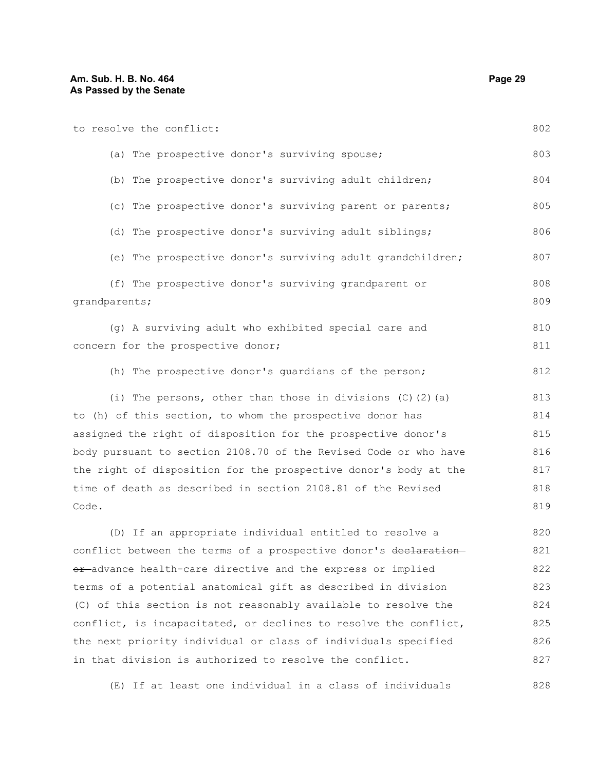| to resolve the conflict:                                         | 802 |
|------------------------------------------------------------------|-----|
| (a) The prospective donor's surviving spouse;                    | 803 |
| (b) The prospective donor's surviving adult children;            | 804 |
| (c) The prospective donor's surviving parent or parents;         | 805 |
| (d) The prospective donor's surviving adult siblings;            | 806 |
| (e) The prospective donor's surviving adult grandchildren;       | 807 |
| (f) The prospective donor's surviving grandparent or             | 808 |
| grandparents;                                                    | 809 |
| (g) A surviving adult who exhibited special care and             | 810 |
| concern for the prospective donor;                               | 811 |
| (h) The prospective donor's guardians of the person;             | 812 |
| (i) The persons, other than those in divisions $(C)$ $(2)$ $(a)$ | 813 |
| to (h) of this section, to whom the prospective donor has        | 814 |
| assigned the right of disposition for the prospective donor's    | 815 |
| body pursuant to section 2108.70 of the Revised Code or who have | 816 |
| the right of disposition for the prospective donor's body at the | 817 |
| time of death as described in section 2108.81 of the Revised     | 818 |
| Code.                                                            | 819 |
| (D) If an appropriate individual entitled to resolve a           | 820 |
| conflict between the terms of a prospective donor's declaration  | 821 |
| or advance health-care directive and the express or implied      | 822 |
| terms of a potential anatomical gift as described in division    | 823 |
| (C) of this section is not reasonably available to resolve the   | 824 |
| conflict, is incapacitated, or declines to resolve the conflict, | 825 |
| the next priority individual or class of individuals specified   | 826 |
| in that division is authorized to resolve the conflict.          | 827 |

(E) If at least one individual in a class of individuals 828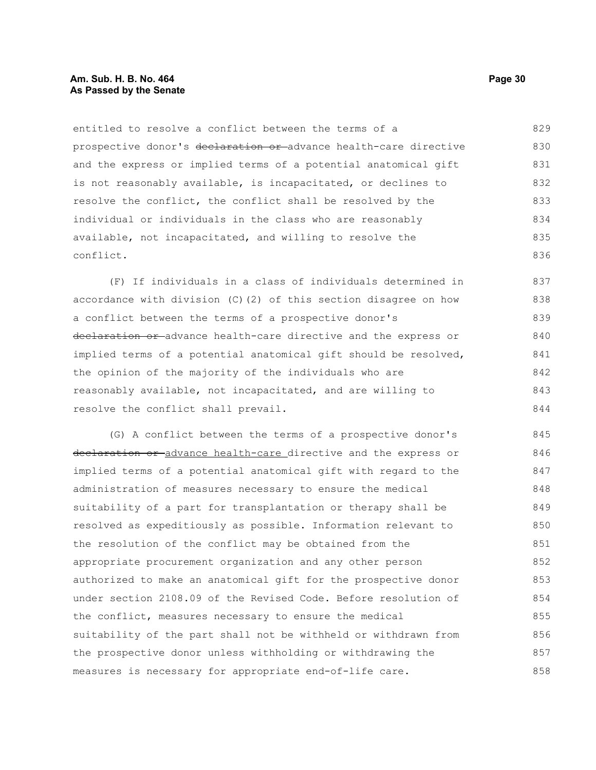#### **Am. Sub. H. B. No. 464 Page 30 As Passed by the Senate**

entitled to resolve a conflict between the terms of a prospective donor's declaration or advance health-care directive and the express or implied terms of a potential anatomical gift is not reasonably available, is incapacitated, or declines to resolve the conflict, the conflict shall be resolved by the individual or individuals in the class who are reasonably available, not incapacitated, and willing to resolve the conflict. 829 830 831 832 833 834 835 836

(F) If individuals in a class of individuals determined in accordance with division (C)(2) of this section disagree on how a conflict between the terms of a prospective donor's declaration or advance health-care directive and the express or implied terms of a potential anatomical gift should be resolved, the opinion of the majority of the individuals who are reasonably available, not incapacitated, and are willing to resolve the conflict shall prevail. 837 838 839 840 841 842 843 844

(G) A conflict between the terms of a prospective donor's declaration or advance health-care directive and the express or implied terms of a potential anatomical gift with regard to the administration of measures necessary to ensure the medical suitability of a part for transplantation or therapy shall be resolved as expeditiously as possible. Information relevant to the resolution of the conflict may be obtained from the appropriate procurement organization and any other person authorized to make an anatomical gift for the prospective donor under section 2108.09 of the Revised Code. Before resolution of the conflict, measures necessary to ensure the medical suitability of the part shall not be withheld or withdrawn from the prospective donor unless withholding or withdrawing the measures is necessary for appropriate end-of-life care. 845 846 847 848 849 850 851 852 853 854 855 856 857 858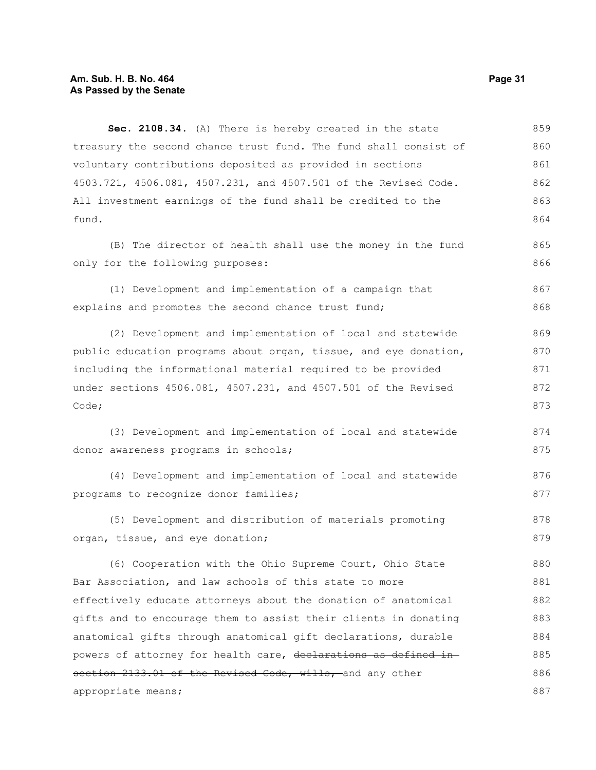**Sec. 2108.34.** (A) There is hereby created in the state treasury the second chance trust fund. The fund shall consist of voluntary contributions deposited as provided in sections 4503.721, 4506.081, 4507.231, and 4507.501 of the Revised Code. All investment earnings of the fund shall be credited to the fund. 859 860 861 862 863 864

(B) The director of health shall use the money in the fund only for the following purposes:

(1) Development and implementation of a campaign that explains and promotes the second chance trust fund; 867 868

(2) Development and implementation of local and statewide public education programs about organ, tissue, and eye donation, including the informational material required to be provided under sections 4506.081, 4507.231, and 4507.501 of the Revised Code; 869 870 871 872 873

(3) Development and implementation of local and statewide donor awareness programs in schools; 874 875

(4) Development and implementation of local and statewide programs to recognize donor families; 876 877

(5) Development and distribution of materials promoting organ, tissue, and eye donation; 878 879

(6) Cooperation with the Ohio Supreme Court, Ohio State Bar Association, and law schools of this state to more effectively educate attorneys about the donation of anatomical gifts and to encourage them to assist their clients in donating anatomical gifts through anatomical gift declarations, durable powers of attorney for health care, declarations as defined insection 2133.01 of the Revised Code, wills, and any other appropriate means; 880 881 882 883 884 885 886 887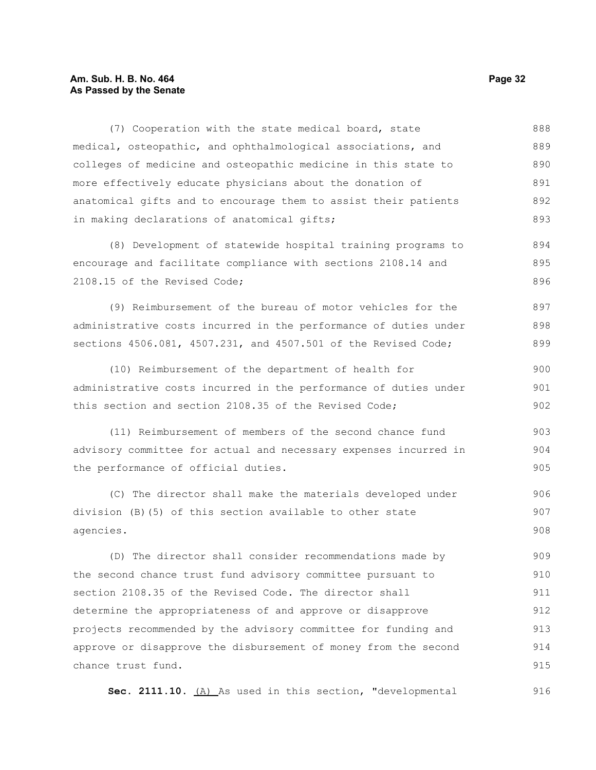### Am. Sub. H. B. No. 464 **Page 32 As Passed by the Senate**

| (7) Cooperation with the state medical board, state              | 888 |
|------------------------------------------------------------------|-----|
| medical, osteopathic, and ophthalmological associations, and     | 889 |
| colleges of medicine and osteopathic medicine in this state to   | 890 |
| more effectively educate physicians about the donation of        | 891 |
| anatomical gifts and to encourage them to assist their patients  | 892 |
| in making declarations of anatomical gifts;                      | 893 |
| (8) Development of statewide hospital training programs to       | 894 |
| encourage and facilitate compliance with sections 2108.14 and    | 895 |
| 2108.15 of the Revised Code;                                     | 896 |
| (9) Reimbursement of the bureau of motor vehicles for the        | 897 |
| administrative costs incurred in the performance of duties under | 898 |
| sections 4506.081, 4507.231, and 4507.501 of the Revised Code;   | 899 |
| (10) Reimbursement of the department of health for               | 900 |
| administrative costs incurred in the performance of duties under | 901 |
| this section and section 2108.35 of the Revised Code;            | 902 |
| (11) Reimbursement of members of the second chance fund          | 903 |
| advisory committee for actual and necessary expenses incurred in | 904 |
| the performance of official duties.                              | 905 |
| (C) The director shall make the materials developed under        | 906 |
| division (B) (5) of this section available to other state        | 907 |
| agencies.                                                        | 908 |
| (D) The director shall consider recommendations made by          | 909 |
| the second chance trust fund advisory committee pursuant to      | 910 |
| section 2108.35 of the Revised Code. The director shall          | 911 |
| determine the appropriateness of and approve or disapprove       | 912 |
| projects recommended by the advisory committee for funding and   | 913 |
| approve or disapprove the disbursement of money from the second  | 914 |
| chance trust fund.                                               | 915 |
|                                                                  |     |

Sec. 2111.10. (A) As used in this section, "developmental 916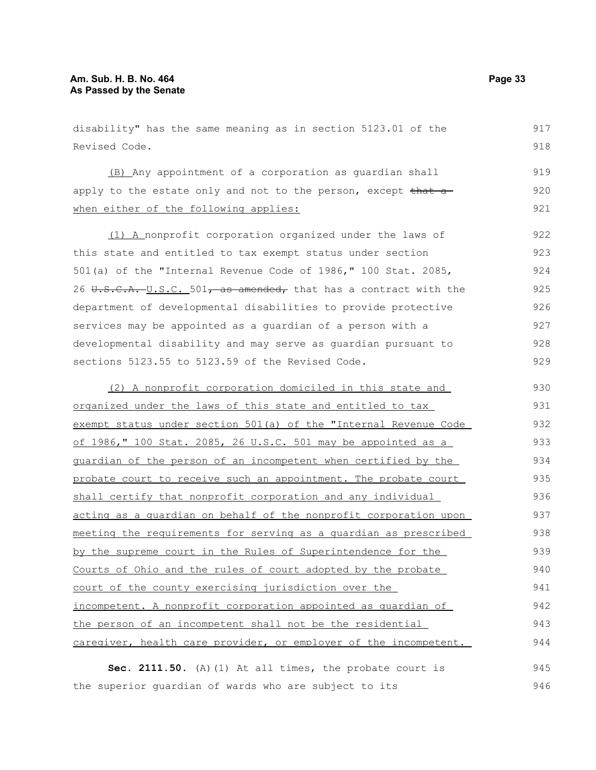disability" has the same meaning as in section 5123.01 of the Revised Code. (B) Any appointment of a corporation as guardian shall apply to the estate only and not to the person, except that a when either of the following applies: (1) A nonprofit corporation organized under the laws of this state and entitled to tax exempt status under section 501(a) of the "Internal Revenue Code of 1986," 100 Stat. 2085, 26 U.S.C.A. U.S.C. 501, as amended, that has a contract with the department of developmental disabilities to provide protective services may be appointed as a guardian of a person with a developmental disability and may serve as guardian pursuant to sections 5123.55 to 5123.59 of the Revised Code. (2) A nonprofit corporation domiciled in this state and organized under the laws of this state and entitled to tax exempt status under section 501(a) of the "Internal Revenue Code of 1986," 100 Stat. 2085, 26 U.S.C. 501 may be appointed as a guardian of the person of an incompetent when certified by the probate court to receive such an appointment. The probate court shall certify that nonprofit corporation and any individual acting as a guardian on behalf of the nonprofit corporation upon meeting the requirements for serving as a guardian as prescribed by the supreme court in the Rules of Superintendence for the Courts of Ohio and the rules of court adopted by the probate court of the county exercising jurisdiction over the incompetent. A nonprofit corporation appointed as guardian of the person of an incompetent shall not be the residential caregiver, health care provider, or employer of the incompetent. 918 919 920 921 922 923 924 925 926 927 928 929 930 931 932 933 934 935 936 937 938 939 940 941 942 943 944

**Sec. 2111.50.** (A)(1) At all times, the probate court is the superior guardian of wards who are subject to its 945 946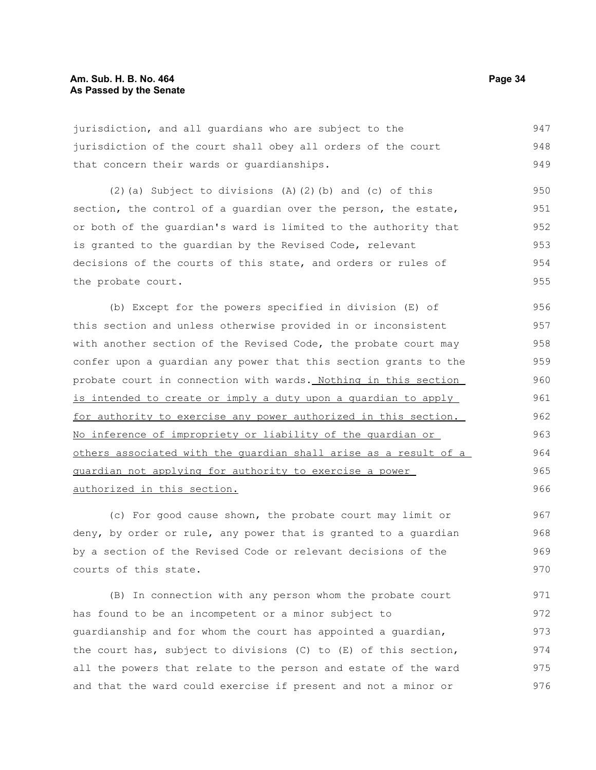jurisdiction, and all guardians who are subject to the jurisdiction of the court shall obey all orders of the court that concern their wards or guardianships. 947 948 949

(2)(a) Subject to divisions (A)(2)(b) and (c) of this section, the control of a guardian over the person, the estate, or both of the guardian's ward is limited to the authority that is granted to the guardian by the Revised Code, relevant decisions of the courts of this state, and orders or rules of the probate court. 950 951 952 953 954 955

(b) Except for the powers specified in division (E) of this section and unless otherwise provided in or inconsistent with another section of the Revised Code, the probate court may confer upon a guardian any power that this section grants to the probate court in connection with wards. Nothing in this section is intended to create or imply a duty upon a guardian to apply for authority to exercise any power authorized in this section. No inference of impropriety or liability of the guardian or others associated with the guardian shall arise as a result of a guardian not applying for authority to exercise a power authorized in this section. 956 957 958 959 960 961 962 963 964 965 966

(c) For good cause shown, the probate court may limit or deny, by order or rule, any power that is granted to a guardian by a section of the Revised Code or relevant decisions of the courts of this state.

(B) In connection with any person whom the probate court has found to be an incompetent or a minor subject to guardianship and for whom the court has appointed a guardian, the court has, subject to divisions (C) to (E) of this section, all the powers that relate to the person and estate of the ward and that the ward could exercise if present and not a minor or 971 972 973 974 975 976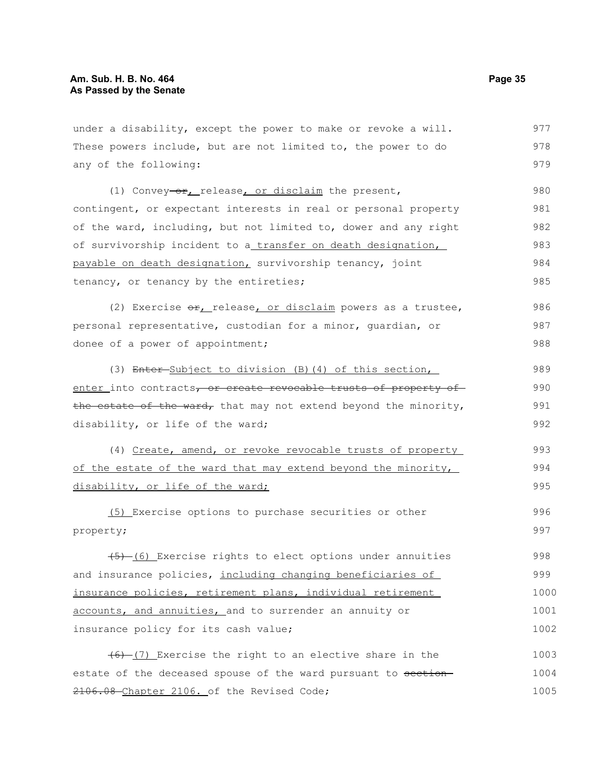| under a disability, except the power to make or revoke a will.                      | 977  |
|-------------------------------------------------------------------------------------|------|
| These powers include, but are not limited to, the power to do                       | 978  |
| any of the following:                                                               | 979  |
| (1) Convey-or, release, or disclaim the present,                                    | 980  |
| contingent, or expectant interests in real or personal property                     | 981  |
| of the ward, including, but not limited to, dower and any right                     | 982  |
| of survivorship incident to a_transfer on death designation,_                       | 983  |
| payable on death designation, survivorship tenancy, joint                           | 984  |
| tenancy, or tenancy by the entireties;                                              | 985  |
| (2) Exercise $\sigma f$ release, or disclaim powers as a trustee,                   | 986  |
| personal representative, custodian for a minor, guardian, or                        | 987  |
| donee of a power of appointment;                                                    | 988  |
| (3) Enter-Subject to division (B) (4) of this section,                              | 989  |
| <u>enter into contracts<del>, or create revocable trusts of property of -</del></u> | 990  |
| the estate of the ward, that may not extend beyond the minority,                    | 991  |
| disability, or life of the ward;                                                    | 992  |
| (4) Create, amend, or revoke revocable trusts of property                           | 993  |
| of the estate of the ward that may extend beyond the minority,                      | 994  |
| <u>disability, or life of the ward;</u>                                             | 995  |
| (5) Exercise options to purchase securities or other                                | 996  |
| property;                                                                           | 997  |
| $(5)$ (6) Exercise rights to elect options under annuities                          | 998  |
| and insurance policies, <u>including changing beneficiaries of</u>                  | 999  |
| insurance policies, retirement plans, individual retirement                         | 1000 |
| accounts, and annuities, and to surrender an annuity or                             | 1001 |
| insurance policy for its cash value;                                                | 1002 |
| $(6)$ (7) Exercise the right to an elective share in the                            | 1003 |
| estate of the deceased spouse of the ward pursuant to <del>section</del> -          | 1004 |
| 2106.08 Chapter 2106. of the Revised Code;                                          | 1005 |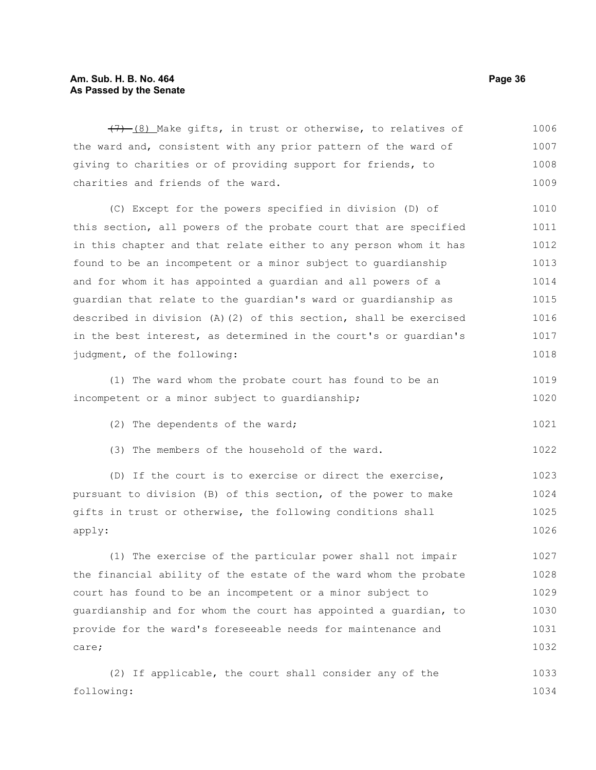#### **Am. Sub. H. B. No. 464 Page 36 As Passed by the Senate**

 $(7)$  (8) Make gifts, in trust or otherwise, to relatives of the ward and, consistent with any prior pattern of the ward of giving to charities or of providing support for friends, to charities and friends of the ward. (C) Except for the powers specified in division (D) of this section, all powers of the probate court that are specified in this chapter and that relate either to any person whom it has found to be an incompetent or a minor subject to guardianship and for whom it has appointed a guardian and all powers of a guardian that relate to the guardian's ward or guardianship as 1006 1007 1008 1009 1010 1011 1012 1013 1014 1015

described in division (A)(2) of this section, shall be exercised in the best interest, as determined in the court's or guardian's judgment, of the following: 1016 1017 1018

(1) The ward whom the probate court has found to be an incompetent or a minor subject to guardianship; 1019 1020

(2) The dependents of the ward;

(3) The members of the household of the ward.

(D) If the court is to exercise or direct the exercise, pursuant to division (B) of this section, of the power to make gifts in trust or otherwise, the following conditions shall apply: 1023 1024 1025 1026

(1) The exercise of the particular power shall not impair the financial ability of the estate of the ward whom the probate court has found to be an incompetent or a minor subject to guardianship and for whom the court has appointed a guardian, to provide for the ward's foreseeable needs for maintenance and care; 1027 1028 1029 1030 1031 1032

(2) If applicable, the court shall consider any of the following: 1033 1034

1021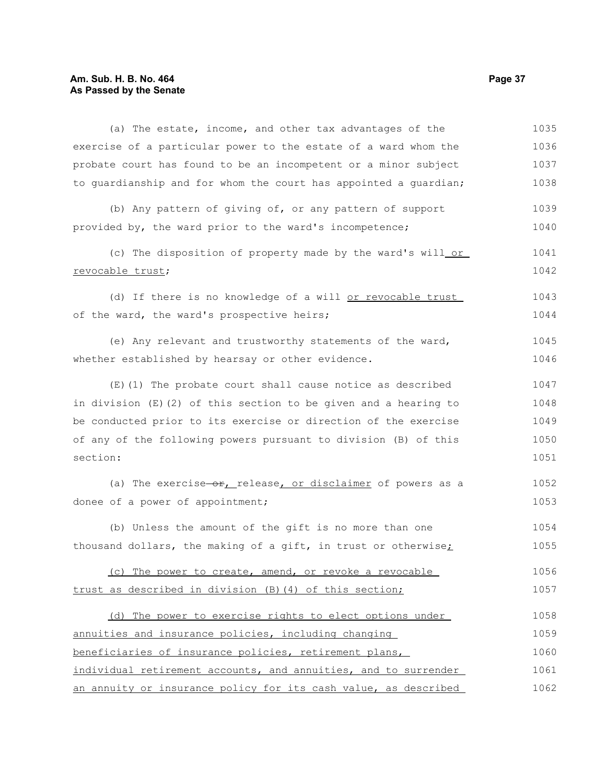# **Am. Sub. H. B. No. 464 Page 37 As Passed by the Senate**

| (a) The estate, income, and other tax advantages of the            | 1035 |
|--------------------------------------------------------------------|------|
| exercise of a particular power to the estate of a ward whom the    | 1036 |
| probate court has found to be an incompetent or a minor subject    | 1037 |
| to quardianship and for whom the court has appointed a quardian;   | 1038 |
| (b) Any pattern of giving of, or any pattern of support            | 1039 |
| provided by, the ward prior to the ward's incompetence;            | 1040 |
| (c) The disposition of property made by the ward's will_or_        | 1041 |
| revocable trust;                                                   | 1042 |
| (d) If there is no knowledge of a will or revocable trust          | 1043 |
| of the ward, the ward's prospective heirs;                         | 1044 |
| (e) Any relevant and trustworthy statements of the ward,           | 1045 |
| whether established by hearsay or other evidence.                  | 1046 |
| (E)(1) The probate court shall cause notice as described           | 1047 |
| in division $(E)$ (2) of this section to be given and a hearing to | 1048 |
| be conducted prior to its exercise or direction of the exercise    | 1049 |
| of any of the following powers pursuant to division (B) of this    | 1050 |
| section:                                                           | 1051 |
| (a) The exercise-or, release, or disclaimer of powers as a         | 1052 |
| donee of a power of appointment;                                   | 1053 |
| (b) Unless the amount of the gift is no more than one              | 1054 |
| thousand dollars, the making of a gift, in trust or otherwise;     | 1055 |
| (c) The power to create, amend, or revoke a revocable              | 1056 |
| trust as described in division (B) (4) of this section;            | 1057 |
| (d) The power to exercise rights to elect options under            | 1058 |
| annuities and insurance policies, including changing               | 1059 |
| beneficiaries of insurance policies, retirement plans,             | 1060 |
| individual retirement accounts, and annuities, and to surrender    | 1061 |
| an annuity or insurance policy for its cash value, as described    | 1062 |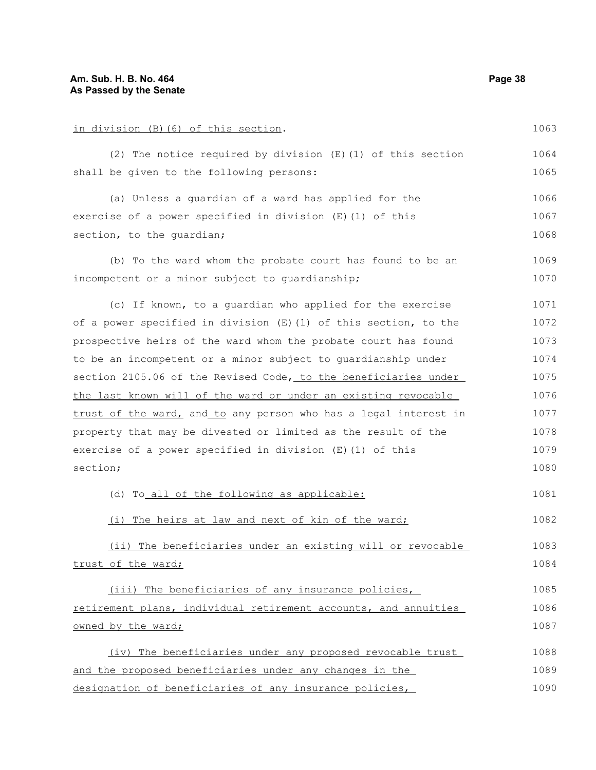| in division (B) (6) of this section.                               | 1063 |
|--------------------------------------------------------------------|------|
| (2) The notice required by division $(E)$ (1) of this section      | 1064 |
| shall be given to the following persons:                           | 1065 |
| (a) Unless a guardian of a ward has applied for the                | 1066 |
| exercise of a power specified in division (E) (1) of this          | 1067 |
| section, to the guardian;                                          | 1068 |
| (b) To the ward whom the probate court has found to be an          | 1069 |
| incompetent or a minor subject to quardianship;                    | 1070 |
| (c) If known, to a guardian who applied for the exercise           | 1071 |
| of a power specified in division $(E)$ (1) of this section, to the | 1072 |
| prospective heirs of the ward whom the probate court has found     | 1073 |
| to be an incompetent or a minor subject to quardianship under      | 1074 |
| section 2105.06 of the Revised Code, to the beneficiaries under    | 1075 |
| the last known will of the ward or under an existing revocable     | 1076 |
| trust of the ward, and to any person who has a legal interest in   | 1077 |
| property that may be divested or limited as the result of the      | 1078 |
| exercise of a power specified in division (E) (1) of this          | 1079 |
| section;                                                           | 1080 |
| (d) To_all of the following as applicable:                         | 1081 |
| (i) The heirs at law and next of kin of the ward;                  | 1082 |
| (ii) The beneficiaries under an existing will or revocable         | 1083 |
| trust of the ward;                                                 | 1084 |
| (iii) The beneficiaries of any insurance policies,                 | 1085 |
| retirement plans, individual retirement accounts, and annuities    | 1086 |
| owned by the ward;                                                 | 1087 |
| (iv) The beneficiaries under any proposed revocable trust          | 1088 |
| and the proposed beneficiaries under any changes in the            | 1089 |
| designation of beneficiaries of any insurance policies,            | 1090 |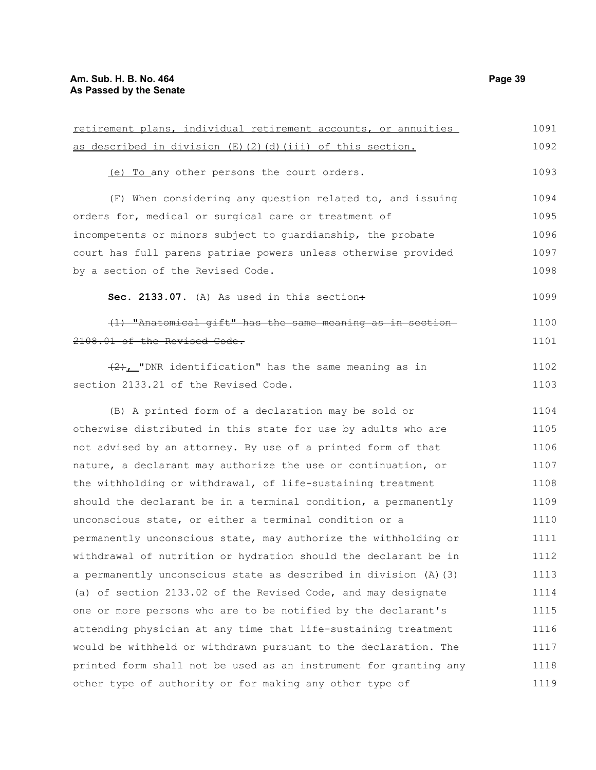| retirement plans, individual retirement accounts, or annuities             | 1091 |
|----------------------------------------------------------------------------|------|
| as described in division (E) (2) (d) (iii) of this section.                | 1092 |
| (e) To any other persons the court orders.                                 | 1093 |
| (F) When considering any question related to, and issuing                  | 1094 |
| orders for, medical or surgical care or treatment of                       | 1095 |
| incompetents or minors subject to quardianship, the probate                | 1096 |
| court has full parens patriae powers unless otherwise provided             | 1097 |
| by a section of the Revised Code.                                          | 1098 |
| Sec. 2133.07. (A) As used in this section÷                                 | 1099 |
| (1) "Anatomical gift" has the same meaning as in section-                  | 1100 |
| 2108.01 of the Revised Code.                                               | 1101 |
| $\left(\frac{2}{2}\right)$ "DNR identification" has the same meaning as in | 1102 |
| section 2133.21 of the Revised Code.                                       | 1103 |
| (B) A printed form of a declaration may be sold or                         | 1104 |
| otherwise distributed in this state for use by adults who are              | 1105 |
| not advised by an attorney. By use of a printed form of that               | 1106 |
| nature, a declarant may authorize the use or continuation, or              | 1107 |
| the withholding or withdrawal, of life-sustaining treatment                | 1108 |
| should the declarant be in a terminal condition, a permanently             | 1109 |
| unconscious state, or either a terminal condition or a                     | 1110 |
| permanently unconscious state, may authorize the withholding or            | 1111 |
| withdrawal of nutrition or hydration should the declarant be in            | 1112 |
| a permanently unconscious state as described in division (A) (3)           | 1113 |
| (a) of section 2133.02 of the Revised Code, and may designate              | 1114 |
| one or more persons who are to be notified by the declarant's              | 1115 |
| attending physician at any time that life-sustaining treatment             | 1116 |
| would be withheld or withdrawn pursuant to the declaration. The            | 1117 |
| printed form shall not be used as an instrument for granting any           | 1118 |
| other type of authority or for making any other type of                    | 1119 |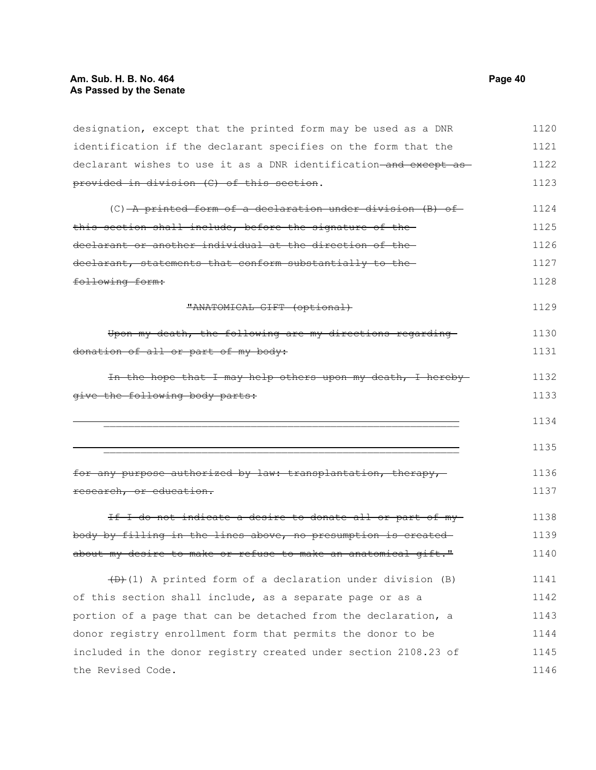| designation, except that the printed form may be used as a DNR                | 1120 |
|-------------------------------------------------------------------------------|------|
| identification if the declarant specifies on the form that the                | 1121 |
| declarant wishes to use it as a DNR identification-and except as-             | 1122 |
| provided in division (C) of this section.                                     | 1123 |
| (C) -A printed form of a declaration under division (B) of                    | 1124 |
| this section shall include, before the signature of the                       | 1125 |
| declarant or another individual at the direction of the                       | 1126 |
| declarant, statements that conform substantially to the                       | 1127 |
| following form:                                                               | 1128 |
| "ANATOMICAL GIFT (optional)                                                   | 1129 |
| Upon my death, the following are my directions regarding                      | 1130 |
| donation of all or part of my body:                                           | 1131 |
| In the hope that I may help others upon my death, I hereby-                   | 1132 |
| give the following body parts:                                                | 1133 |
|                                                                               | 1134 |
|                                                                               | 1135 |
| for any purpose authorized by law: transplantation, therapy,                  | 1136 |
| research, or education.                                                       | 1137 |
| If I do not indicate a desire to donate all or part of my-                    | 1138 |
| body by filling in the lines above, no presumption is created                 | 1139 |
| about my desire to make or refuse to make an anatomical gift."                | 1140 |
| $\left(\frac{1}{2}\right)$ A printed form of a declaration under division (B) | 1141 |
| of this section shall include, as a separate page or as a                     | 1142 |
| portion of a page that can be detached from the declaration, a                | 1143 |
| donor registry enrollment form that permits the donor to be                   | 1144 |
| included in the donor registry created under section 2108.23 of               | 1145 |
| the Revised Code.                                                             | 1146 |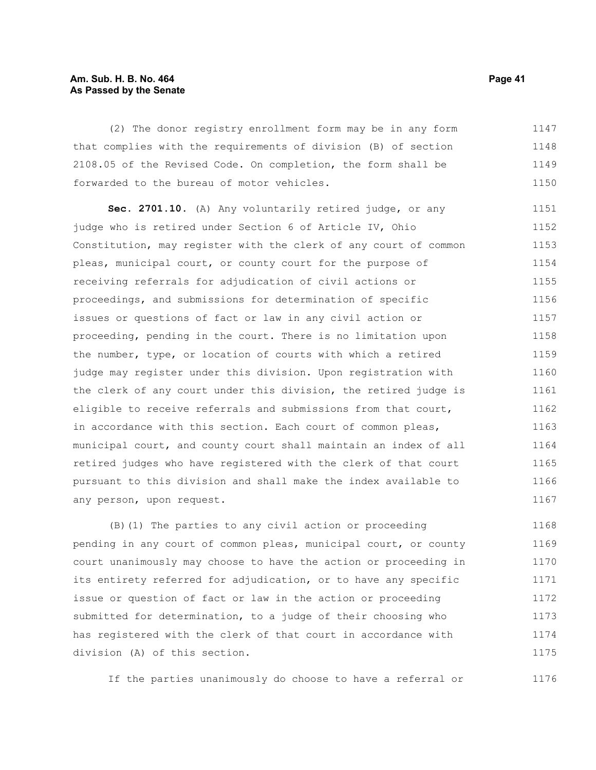## **Am. Sub. H. B. No. 464 Page 41 As Passed by the Senate**

(2) The donor registry enrollment form may be in any form that complies with the requirements of division (B) of section 2108.05 of the Revised Code. On completion, the form shall be forwarded to the bureau of motor vehicles. 1147 1148 1149 1150

**Sec. 2701.10.** (A) Any voluntarily retired judge, or any judge who is retired under Section 6 of Article IV, Ohio Constitution, may register with the clerk of any court of common pleas, municipal court, or county court for the purpose of receiving referrals for adjudication of civil actions or proceedings, and submissions for determination of specific issues or questions of fact or law in any civil action or proceeding, pending in the court. There is no limitation upon the number, type, or location of courts with which a retired judge may register under this division. Upon registration with the clerk of any court under this division, the retired judge is eligible to receive referrals and submissions from that court, in accordance with this section. Each court of common pleas, municipal court, and county court shall maintain an index of all retired judges who have registered with the clerk of that court pursuant to this division and shall make the index available to any person, upon request. 1151 1152 1153 1154 1155 1156 1157 1158 1159 1160 1161 1162 1163 1164 1165 1166 1167

(B)(1) The parties to any civil action or proceeding pending in any court of common pleas, municipal court, or county court unanimously may choose to have the action or proceeding in its entirety referred for adjudication, or to have any specific issue or question of fact or law in the action or proceeding submitted for determination, to a judge of their choosing who has registered with the clerk of that court in accordance with division (A) of this section. 1168 1169 1170 1171 1172 1173 1174 1175

If the parties unanimously do choose to have a referral or 1176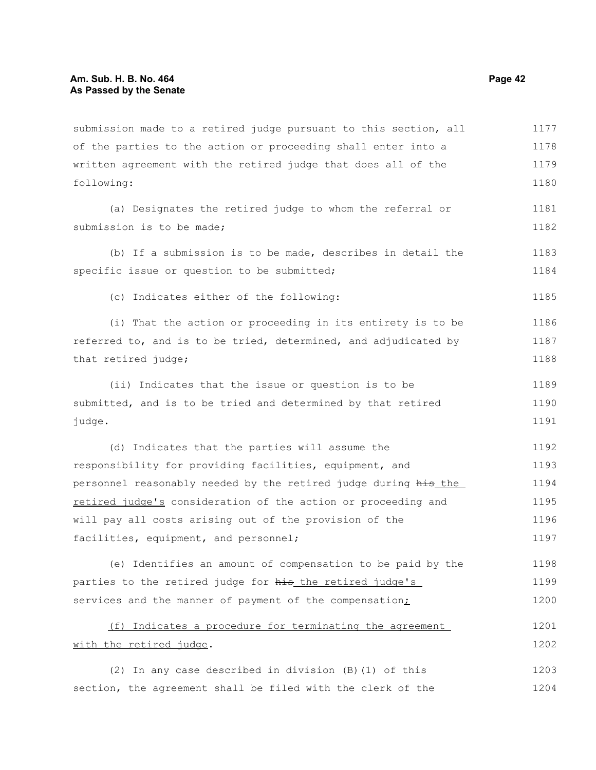| submission made to a retired judge pursuant to this section, all | 1177 |
|------------------------------------------------------------------|------|
| of the parties to the action or proceeding shall enter into a    | 1178 |
| written agreement with the retired judge that does all of the    | 1179 |
| following:                                                       | 1180 |
| (a) Designates the retired judge to whom the referral or         | 1181 |
| submission is to be made;                                        | 1182 |
| (b) If a submission is to be made, describes in detail the       | 1183 |
| specific issue or question to be submitted;                      | 1184 |
| (c) Indicates either of the following:                           | 1185 |
| (i) That the action or proceeding in its entirety is to be       | 1186 |
| referred to, and is to be tried, determined, and adjudicated by  | 1187 |
| that retired judge;                                              | 1188 |
| (ii) Indicates that the issue or question is to be               | 1189 |
| submitted, and is to be tried and determined by that retired     | 1190 |
| judge.                                                           | 1191 |
| (d) Indicates that the parties will assume the                   | 1192 |
| responsibility for providing facilities, equipment, and          | 1193 |
| personnel reasonably needed by the retired judge during his the  | 1194 |
| retired judge's consideration of the action or proceeding and    | 1195 |
| will pay all costs arising out of the provision of the           | 1196 |
| facilities, equipment, and personnel;                            | 1197 |
| (e) Identifies an amount of compensation to be paid by the       | 1198 |
| parties to the retired judge for his the retired judge's         | 1199 |
| services and the manner of payment of the compensation;          | 1200 |
| (f) Indicates a procedure for terminating the agreement          | 1201 |
| with the retired judge.                                          | 1202 |
| (2) In any case described in division (B) (1) of this            | 1203 |
| section, the agreement shall be filed with the clerk of the      | 1204 |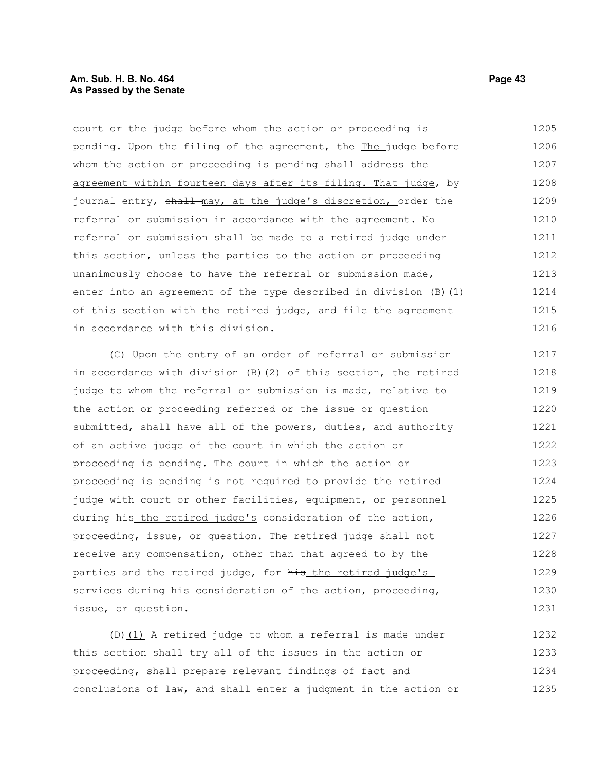court or the judge before whom the action or proceeding is pending. Upon the filing of the agreement, the The judge before whom the action or proceeding is pending shall address the agreement within fourteen days after its filing. That judge, by journal entry, shall may, at the judge's discretion, order the referral or submission in accordance with the agreement. No referral or submission shall be made to a retired judge under this section, unless the parties to the action or proceeding unanimously choose to have the referral or submission made, enter into an agreement of the type described in division (B)(1) of this section with the retired judge, and file the agreement in accordance with this division. 1205 1206 1207 1208 1209 1210 1211 1212 1213 1214 1215 1216

(C) Upon the entry of an order of referral or submission in accordance with division (B)(2) of this section, the retired judge to whom the referral or submission is made, relative to the action or proceeding referred or the issue or question submitted, shall have all of the powers, duties, and authority of an active judge of the court in which the action or proceeding is pending. The court in which the action or proceeding is pending is not required to provide the retired judge with court or other facilities, equipment, or personnel during his the retired judge's consideration of the action, proceeding, issue, or question. The retired judge shall not receive any compensation, other than that agreed to by the parties and the retired judge, for his the retired judge's services during his consideration of the action, proceeding, issue, or question. 1217 1218 1219 1220 1221 1222 1223 1224 1225 1226 1227 1228 1229 1230 1231

(D) $(1)$  A retired judge to whom a referral is made under this section shall try all of the issues in the action or proceeding, shall prepare relevant findings of fact and conclusions of law, and shall enter a judgment in the action or 1232 1233 1234 1235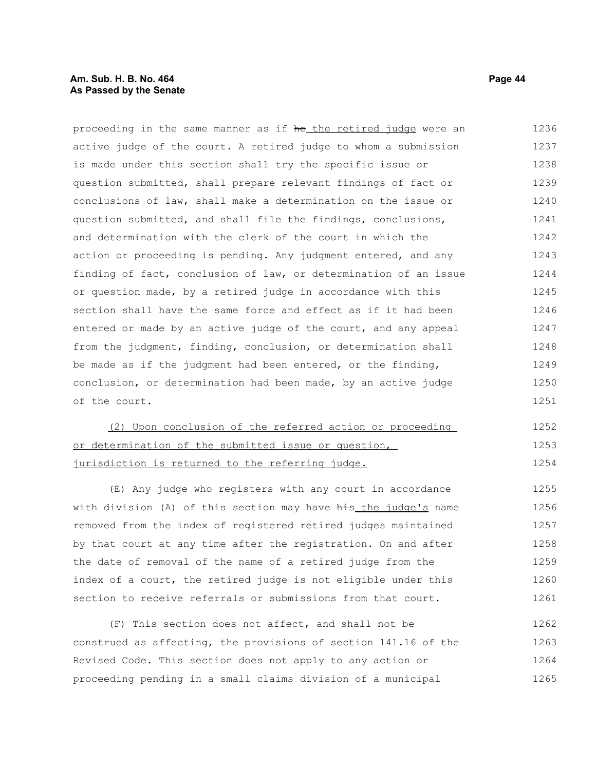## **Am. Sub. H. B. No. 464 Page 44 As Passed by the Senate**

proceeding in the same manner as if he the retired judge were an active judge of the court. A retired judge to whom a submission is made under this section shall try the specific issue or question submitted, shall prepare relevant findings of fact or conclusions of law, shall make a determination on the issue or question submitted, and shall file the findings, conclusions, and determination with the clerk of the court in which the action or proceeding is pending. Any judgment entered, and any finding of fact, conclusion of law, or determination of an issue or question made, by a retired judge in accordance with this section shall have the same force and effect as if it had been entered or made by an active judge of the court, and any appeal from the judgment, finding, conclusion, or determination shall be made as if the judgment had been entered, or the finding, conclusion, or determination had been made, by an active judge of the court. 1236 1237 1238 1239 1240 1241 1242 1243 1244 1245 1246 1247 1248 1249 1250 1251

(2) Upon conclusion of the referred action or proceeding or determination of the submitted issue or question, jurisdiction is returned to the referring judge. 1252 1253 1254

(E) Any judge who registers with any court in accordance with division (A) of this section may have his the judge's name removed from the index of registered retired judges maintained by that court at any time after the registration. On and after the date of removal of the name of a retired judge from the index of a court, the retired judge is not eligible under this section to receive referrals or submissions from that court. 1255 1256 1257 1258 1259 1260 1261

(F) This section does not affect, and shall not be construed as affecting, the provisions of section 141.16 of the Revised Code. This section does not apply to any action or proceeding pending in a small claims division of a municipal 1262 1263 1264 1265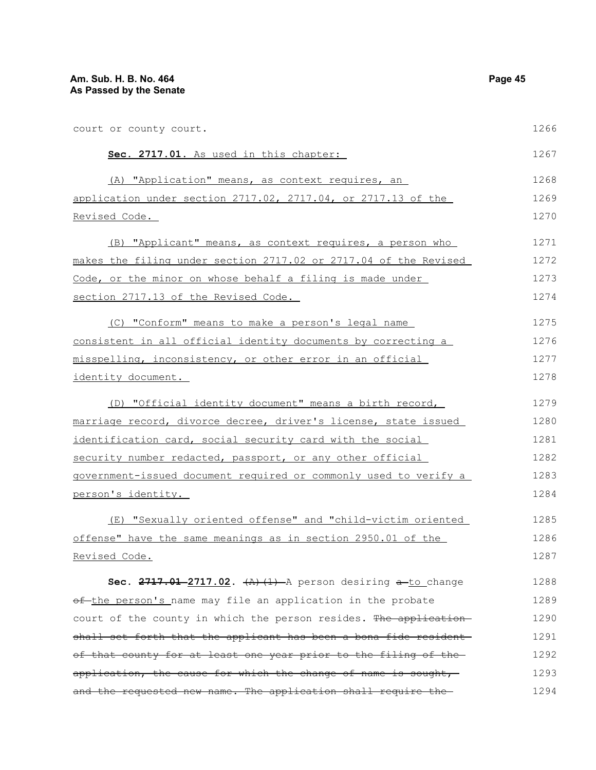| court or county court.                                                 | 1266 |
|------------------------------------------------------------------------|------|
| Sec. 2717.01. As used in this chapter:                                 | 1267 |
| (A) "Application" means, as context requires, an                       | 1268 |
| application under section 2717.02, 2717.04, or 2717.13 of the          | 1269 |
| Revised Code.                                                          | 1270 |
| (B) "Applicant" means, as context requires, a person who               | 1271 |
| makes the filing under section 2717.02 or 2717.04 of the Revised       | 1272 |
| Code, or the minor on whose behalf a filing is made under              | 1273 |
| section 2717.13 of the Revised Code.                                   | 1274 |
| (C) "Conform" means to make a person's legal name                      | 1275 |
| consistent in all official identity documents by correcting a          | 1276 |
| misspelling, inconsistency, or other error in an official              | 1277 |
| identity document.                                                     | 1278 |
| (D) "Official identity document" means a birth record,                 | 1279 |
| marriage record, divorce decree, driver's license, state issued        | 1280 |
| identification card, social security card with the social              | 1281 |
| security number redacted, passport, or any other official              | 1282 |
| government-issued document required or commonly used to verify a       | 1283 |
| person's identity.                                                     | 1284 |
| (E) "Sexually oriented offense" and "child-victim oriented             | 1285 |
| offense" have the same meanings as in section 2950.01 of the           | 1286 |
| Revised Code.                                                          | 1287 |
| <b>Sec. 2717.01-2717.02.</b> $(A)$ $(1)$ A person desiring a to change | 1288 |
| of the person's name may file an application in the probate            | 1289 |
| court of the county in which the person resides. The application-      | 1290 |
| shall set forth that the applicant has been a bona fide resident       | 1291 |
| of that county for at least one year prior to the filing of the-       | 1292 |
| application, the cause for which the change of name is sought,         | 1293 |
| and the requested new name. The application shall require the-         | 1294 |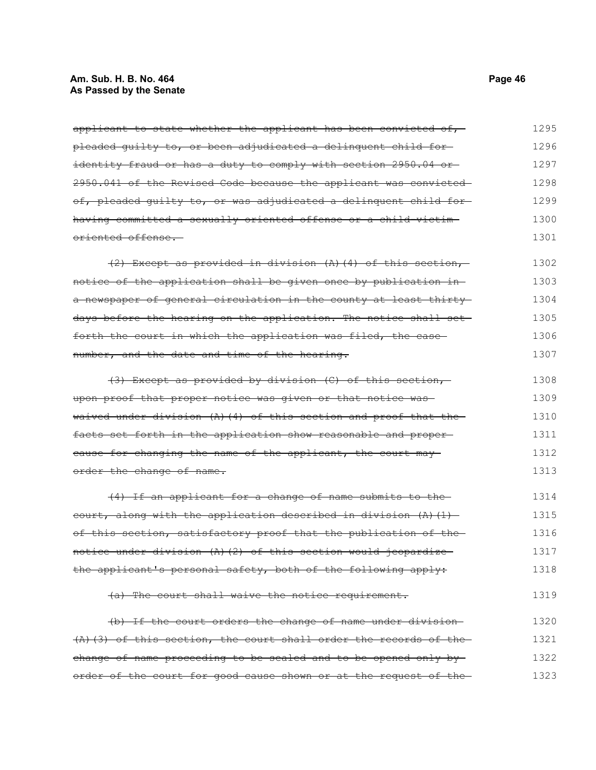# **Am. Sub. H. B. No. 464** Page 46 **As Passed by the Senate**

| applicant to state whether the applicant has been convicted of,      | 1295 |
|----------------------------------------------------------------------|------|
| pleaded quilty to, or been adjudicated a delinquent child for-       | 1296 |
| identity fraud or has a duty to comply with section 2950.04 or-      | 1297 |
| 2950.041 of the Revised Code because the applicant was convicted-    | 1298 |
| of, pleaded quilty to, or was adjudicated a delinquent child for-    | 1299 |
| having committed a sexually oriented offense or a child-victim-      | 1300 |
| oriented offense.                                                    | 1301 |
| $(2)$ Except as provided in division $(A)$ $(4)$ of this section,    | 1302 |
| notice of the application shall be given once by publication in-     | 1303 |
| a newspaper of general circulation in the county at least thirty-    | 1304 |
| days before the hearing on the application. The notice shall set-    | 1305 |
| forth the court in which the application was filed, the case-        | 1306 |
| number, and the date and time of the hearing.                        | 1307 |
| (3) Except as provided by division (C) of this section,              | 1308 |
| upon proof that proper notice was given or that notice was           | 1309 |
| waived under division $(A)$ $(4)$ of this section and proof that the | 1310 |
| facts set forth in the application show reasonable and proper-       | 1311 |
| eause for changing the name of the applicant, the court may          | 1312 |
| order the change of name.                                            | 1313 |
| (4) If an applicant for a change of name submits to the              | 1314 |
| eourt, along with the application described in division (A)(1)       | 1315 |
| of this section, satisfactory proof that the publication of the-     | 1316 |
| notice under division (A) (2) of this section would jeopardize       | 1317 |
| the applicant's personal safety, both of the following apply:        | 1318 |
| (a) The court shall waive the notice requirement.                    | 1319 |
| (b) If the court orders the change of name under division-           | 1320 |
| $(A)$ (3) of this section, the court shall order the records of the  | 1321 |
| change of name proceeding to be sealed and to be opened only by-     | 1322 |
| order of the court for good cause shown or at the request of the-    | 1323 |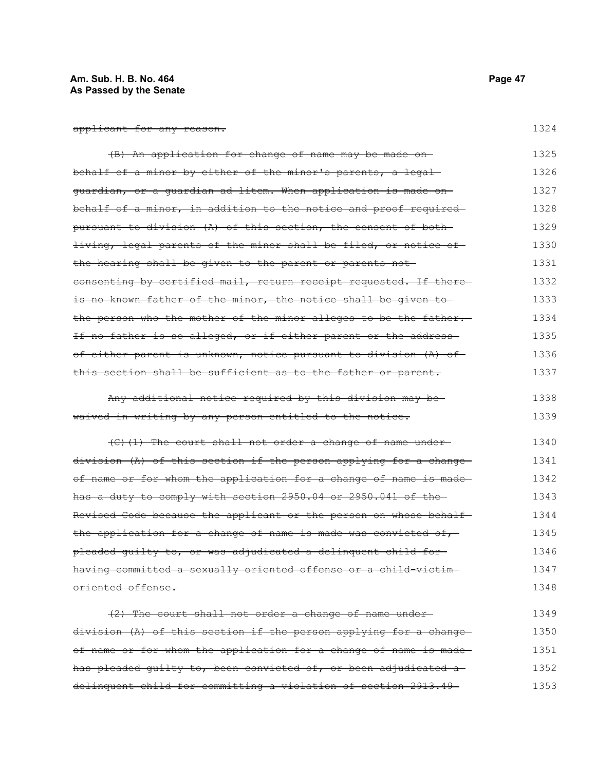applicant for any reason.

1351

| (B) An application for change of name may be made on-                       | 1325 |
|-----------------------------------------------------------------------------|------|
| behalf of a minor by either of the minor's parents, a legal-                | 1326 |
| <del>guardian, or a guardian ad litem. When application is made on-</del>   | 1327 |
| behalf of a minor, in addition to the notice and proof required-            | 1328 |
| <del>pursuant to division (A) of this section, the consent of both-</del>   | 1329 |
| <del>living, legal parents of the minor shall be filed, or notice of-</del> | 1330 |
| the hearing shall be given to the parent or parents not-                    | 1331 |
| consenting by certified mail, return receipt requested. If there-           | 1332 |
| is no known father of the minor, the notice shall be given to-              | 1333 |
| the person who the mother of the minor alleges to be the father.            | 1334 |
| If no father is so alleged, or if either parent or the address-             | 1335 |
| of either parent is unknown, notice pursuant to division (A) of-            | 1336 |
| this section shall be sufficient as to the father or parent.                | 1337 |
| Any additional notice required by this division may be-                     | 1338 |
| waived in writing by any person entitled to the notice.                     | 1339 |
|                                                                             |      |
| $\left(\in C\right)$ (1) The court shall not order a change of name under-  | 1340 |
| division (A) of this section if the person applying for a change-           | 1341 |
| of name or for whom the application for a change of name is made-           | 1342 |
| has a duty to comply with section 2950.04 or 2950.041 of the                | 1343 |
| Revised Code because the applicant or the person on whose behalf-           | 1344 |
| the application for a change of name is made was convicted of,-             | 1345 |
| pleaded guilty to, or was adjudicated a delinquent child for-               | 1346 |
| having committed a sexually oriented offense or a child-victim-             | 1347 |
| <del>oriented offense.</del>                                                | 1348 |
|                                                                             | 1349 |
| (2) The court shall not order a change of name under-                       |      |
| division (A) of this section if the person applying for a change-           | 1350 |

has pleaded guilty to, been convicted of, or been adjudicated adelinquent child for committing a violation of section 2913.49-1352 1353

of name or for whom the application for a change of name is made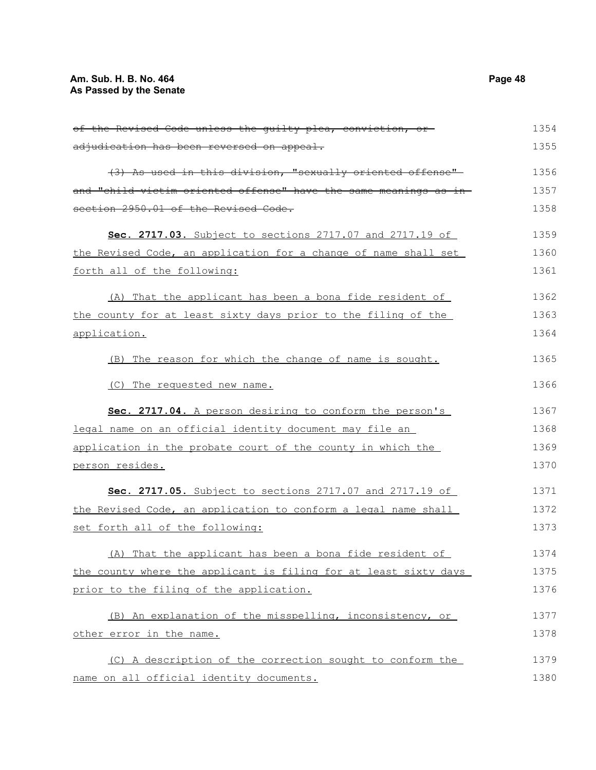| of the Revised Code unless the quilty plea, conviction, or-       | 1354 |
|-------------------------------------------------------------------|------|
| adjudication has been reversed on appeal.                         | 1355 |
| (3) As used in this division, "sexually oriented offense"-        | 1356 |
| and "child-victim oriented offense" have the same meanings as in- | 1357 |
| section 2950.01 of the Revised Code.                              | 1358 |
| Sec. 2717.03. Subject to sections 2717.07 and 2717.19 of          | 1359 |
| the Revised Code, an application for a change of name shall set   | 1360 |
| forth all of the following:                                       | 1361 |
| (A) That the applicant has been a bona fide resident of           | 1362 |
| the county for at least sixty days prior to the filing of the     | 1363 |
| application.                                                      | 1364 |
| (B) The reason for which the change of name is sought.            | 1365 |
| (C) The requested new name.                                       | 1366 |
| Sec. 2717.04. A person desiring to conform the person's           | 1367 |
| legal name on an official identity document may file an           | 1368 |
| application in the probate court of the county in which the       | 1369 |
| person resides.                                                   | 1370 |
| Sec. 2717.05. Subject to sections 2717.07 and 2717.19 of          | 1371 |
| the Revised Code, an application to conform a legal name shall    | 1372 |
| set forth all of the following:                                   |      |
|                                                                   | 1373 |
| (A) That the applicant has been a bona fide resident of           | 1374 |
| the county where the applicant is filing for at least sixty days  | 1375 |
| prior to the filing of the application.                           | 1376 |
| (B) An explanation of the misspelling, inconsistency, or          | 1377 |
| other error in the name.                                          | 1378 |
| (C) A description of the correction sought to conform the         | 1379 |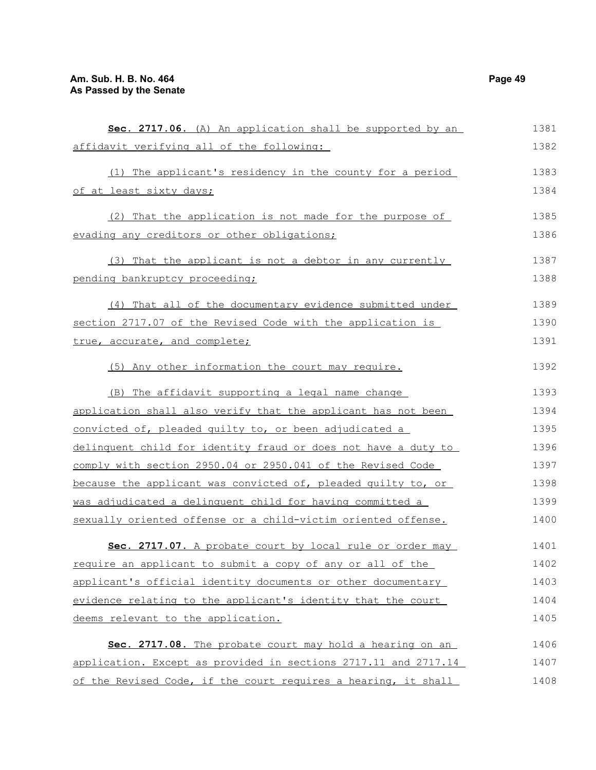| Sec. 2717.06. (A) An application shall be supported by an       | 1381 |
|-----------------------------------------------------------------|------|
| affidavit verifying all of the following:                       | 1382 |
| (1) The applicant's residency in the county for a period        | 1383 |
| of at least sixty days;                                         | 1384 |
| (2) That the application is not made for the purpose of         | 1385 |
| evading any creditors or other obligations;                     | 1386 |
| (3) That the applicant is not a debtor in any currently         | 1387 |
| <u>pending bankruptcy proceeding;</u>                           | 1388 |
| (4) That all of the documentary evidence submitted under        | 1389 |
| section 2717.07 of the Revised Code with the application is     | 1390 |
| true, accurate, and complete;                                   | 1391 |
| (5) Any other information the court may require.                | 1392 |
|                                                                 |      |
| (B) The affidavit supporting a legal name change                | 1393 |
| application shall also verify that the applicant has not been   | 1394 |
| convicted of, pleaded quilty to, or been adjudicated a          | 1395 |
| delinquent child for identity fraud or does not have a duty to  | 1396 |
| comply with section 2950.04 or 2950.041 of the Revised Code     | 1397 |
| because the applicant was convicted of, pleaded quilty to, or   | 1398 |
| was adjudicated a delinguent child for having committed a       | 1399 |
| sexually oriented offense or a child-victim oriented offense.   | 1400 |
| Sec. 2717.07. A probate court by local rule or order may        | 1401 |
| require an applicant to submit a copy of any or all of the      | 1402 |
| applicant's official identity documents or other documentary    | 1403 |
| evidence relating to the applicant's identity that the court    | 1404 |
| deems relevant to the application.                              | 1405 |
| Sec. 2717.08. The probate court may hold a hearing on an        | 1406 |
| application. Except as provided in sections 2717.11 and 2717.14 | 1407 |
| of the Revised Code, if the court requires a hearing, it shall  | 1408 |
|                                                                 |      |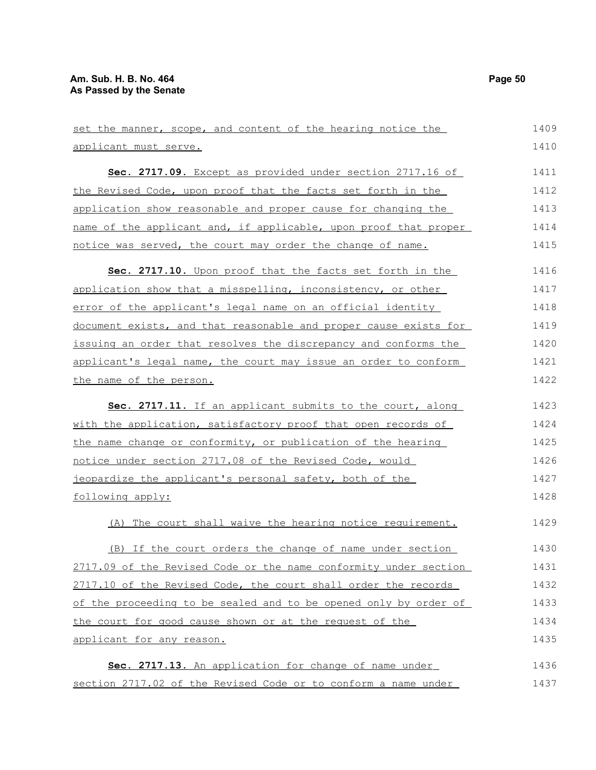| set the manner, scope, and content of the hearing notice the     | 1409 |
|------------------------------------------------------------------|------|
| applicant must serve.                                            | 1410 |
| Sec. 2717.09. Except as provided under section 2717.16 of        | 1411 |
| the Revised Code, upon proof that the facts set forth in the     | 1412 |
| application show reasonable and proper cause for changing the    | 1413 |
| name of the applicant and, if applicable, upon proof that proper | 1414 |
| notice was served, the court may order the change of name.       | 1415 |
| Sec. 2717.10. Upon proof that the facts set forth in the         | 1416 |
| application show that a misspelling, inconsistency, or other     | 1417 |
| error of the applicant's legal name on an official identity      | 1418 |
| document exists, and that reasonable and proper cause exists for | 1419 |
| issuing an order that resolves the discrepancy and conforms the  | 1420 |
| applicant's legal name, the court may issue an order to conform  | 1421 |
| the name of the person.                                          | 1422 |
| Sec. 2717.11. If an applicant submits to the court, along        | 1423 |
| with the application, satisfactory proof that open records of    | 1424 |
| the name change or conformity, or publication of the hearing     | 1425 |
| notice under section 2717.08 of the Revised Code, would          | 1426 |
| jeopardize the applicant's personal safety, both of the          | 1427 |
| following apply:                                                 | 1428 |
| (A) The court shall waive the hearing notice requirement.        | 1429 |
| (B) If the court orders the change of name under section         | 1430 |
| 2717.09 of the Revised Code or the name conformity under section | 1431 |
| 2717.10 of the Revised Code, the court shall order the records   | 1432 |
| of the proceeding to be sealed and to be opened only by order of | 1433 |
| the court for good cause shown or at the request of the          | 1434 |
| applicant for any reason.                                        | 1435 |
| Sec. 2717.13. An application for change of name under            | 1436 |
| section 2717.02 of the Revised Code or to conform a name under   | 1437 |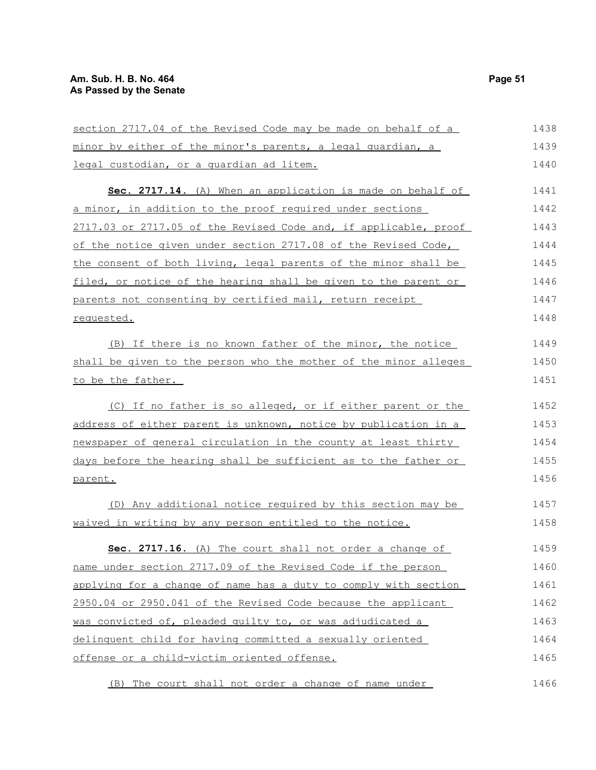| section 2717.04 of the Revised Code may be made on behalf of a    | 1438 |
|-------------------------------------------------------------------|------|
| minor by either of the minor's parents, a legal quardian, a       | 1439 |
| legal custodian, or a quardian ad litem.                          | 1440 |
| Sec. 2717.14. (A) When an application is made on behalf of        | 1441 |
| <u>a minor, in addition to the proof required under sections </u> | 1442 |
| 2717.03 or 2717.05 of the Revised Code and, if applicable, proof  | 1443 |
| of the notice given under section 2717.08 of the Revised Code,    | 1444 |
| the consent of both living, legal parents of the minor shall be   | 1445 |
| filed, or notice of the hearing shall be given to the parent or   | 1446 |
| parents not consenting by certified mail, return receipt          | 1447 |
| <u>requested.</u>                                                 | 1448 |
| (B) If there is no known father of the minor, the notice          | 1449 |
| shall be given to the person who the mother of the minor alleges  | 1450 |
| <u>to be the father.</u>                                          | 1451 |
|                                                                   |      |
| (C) If no father is so alleged, or if either parent or the        | 1452 |
| address of either parent is unknown, notice by publication in a   | 1453 |
| newspaper of general circulation in the county at least thirty    | 1454 |
| days before the hearing shall be sufficient as to the father or   | 1455 |
| parent.                                                           | 1456 |
| (D) Any additional notice required by this section may be         | 1457 |
| <u>waived in writing by any person entitled to the notice.</u>    | 1458 |
| Sec. 2717.16. (A) The court shall not order a change of           | 1459 |
| name under section 2717.09 of the Revised Code if the person      | 1460 |
| applying for a change of name has a duty to comply with section   | 1461 |
| 2950.04 or 2950.041 of the Revised Code because the applicant     | 1462 |
| was convicted of, pleaded quilty to, or was adjudicated a         | 1463 |
| delinquent child for having committed a sexually oriented         | 1464 |
| offense or a child-victim oriented offense.                       | 1465 |
|                                                                   |      |

(B) The court shall not order a change of name under 1466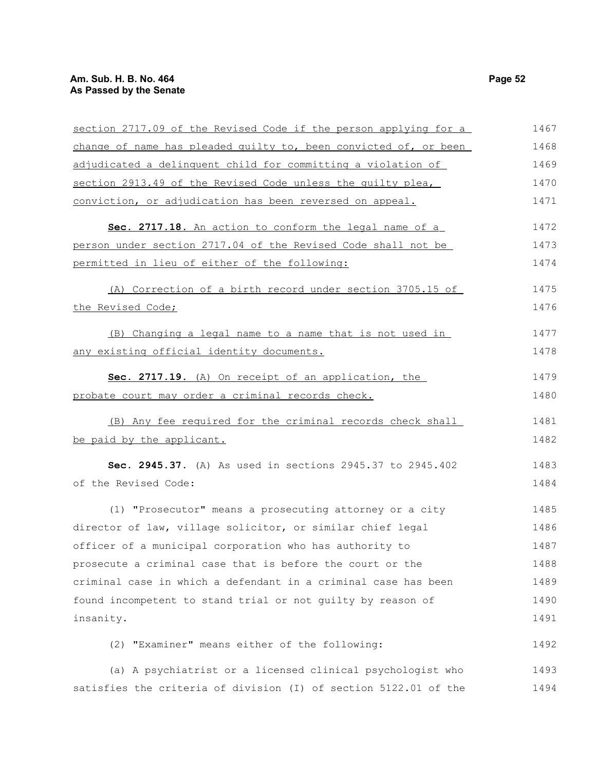| section 2717.09 of the Revised Code if the person applying for a | 1467 |
|------------------------------------------------------------------|------|
| change of name has pleaded quilty to, been convicted of, or been | 1468 |
| adjudicated a delinquent child for committing a violation of     | 1469 |
| section 2913.49 of the Revised Code unless the quilty plea,      | 1470 |
| conviction, or adjudication has been reversed on appeal.         | 1471 |
| Sec. 2717.18. An action to conform the legal name of a           | 1472 |
| person under section 2717.04 of the Revised Code shall not be    | 1473 |
| permitted in lieu of either of the following:                    | 1474 |
| (A) Correction of a birth record under section 3705.15 of        | 1475 |
| the Revised Code;                                                | 1476 |
| (B) Changing a legal name to a name that is not used in          | 1477 |
| any existing official identity documents.                        | 1478 |
| Sec. 2717.19. (A) On receipt of an application, the              | 1479 |
| probate court may order a criminal records check.                | 1480 |
| (B) Any fee required for the criminal records check shall        | 1481 |
| be paid by the applicant.                                        | 1482 |
| Sec. 2945.37. (A) As used in sections 2945.37 to 2945.402        | 1483 |
| of the Revised Code:                                             | 1484 |
| (1) "Prosecutor" means a prosecuting attorney or a city          | 1485 |
| director of law, village solicitor, or similar chief legal       | 1486 |
| officer of a municipal corporation who has authority to          | 1487 |
| prosecute a criminal case that is before the court or the        | 1488 |
| criminal case in which a defendant in a criminal case has been   | 1489 |
| found incompetent to stand trial or not guilty by reason of      | 1490 |
| insanity.                                                        | 1491 |
| (2) "Examiner" means either of the following:                    | 1492 |
| (a) A psychiatrist or a licensed clinical psychologist who       | 1493 |
| satisfies the criteria of division (I) of section 5122.01 of the | 1494 |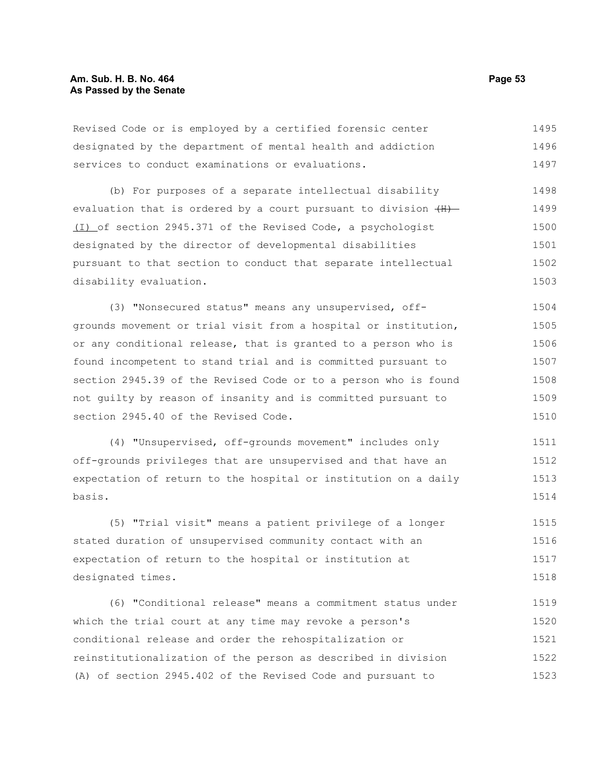Revised Code or is employed by a certified forensic center designated by the department of mental health and addiction services to conduct examinations or evaluations. 1495 1496 1497

(b) For purposes of a separate intellectual disability evaluation that is ordered by a court pursuant to division  $(H)$ (I) of section 2945.371 of the Revised Code, a psychologist designated by the director of developmental disabilities pursuant to that section to conduct that separate intellectual disability evaluation. 1498 1499 1500 1501 1502 1503

(3) "Nonsecured status" means any unsupervised, offgrounds movement or trial visit from a hospital or institution, or any conditional release, that is granted to a person who is found incompetent to stand trial and is committed pursuant to section 2945.39 of the Revised Code or to a person who is found not guilty by reason of insanity and is committed pursuant to section 2945.40 of the Revised Code. 1504 1505 1506 1507 1508 1509 1510

(4) "Unsupervised, off-grounds movement" includes only off-grounds privileges that are unsupervised and that have an expectation of return to the hospital or institution on a daily basis. 1511 1512 1513 1514

(5) "Trial visit" means a patient privilege of a longer stated duration of unsupervised community contact with an expectation of return to the hospital or institution at designated times. 1515 1516 1517 1518

(6) "Conditional release" means a commitment status under which the trial court at any time may revoke a person's conditional release and order the rehospitalization or reinstitutionalization of the person as described in division (A) of section 2945.402 of the Revised Code and pursuant to 1519 1520 1521 1522 1523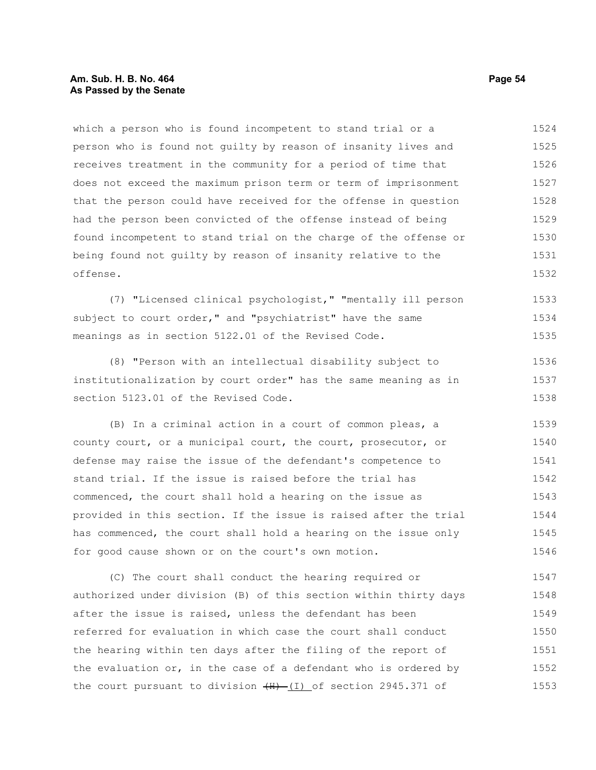## **Am. Sub. H. B. No. 464 Page 54 As Passed by the Senate**

which a person who is found incompetent to stand trial or a person who is found not guilty by reason of insanity lives and receives treatment in the community for a period of time that does not exceed the maximum prison term or term of imprisonment that the person could have received for the offense in question had the person been convicted of the offense instead of being found incompetent to stand trial on the charge of the offense or being found not guilty by reason of insanity relative to the offense. 1524 1525 1526 1527 1528 1529 1530 1531 1532

(7) "Licensed clinical psychologist," "mentally ill person subject to court order," and "psychiatrist" have the same meanings as in section 5122.01 of the Revised Code. 1533 1534 1535

(8) "Person with an intellectual disability subject to institutionalization by court order" has the same meaning as in section 5123.01 of the Revised Code. 1536 1537 1538

(B) In a criminal action in a court of common pleas, a county court, or a municipal court, the court, prosecutor, or defense may raise the issue of the defendant's competence to stand trial. If the issue is raised before the trial has commenced, the court shall hold a hearing on the issue as provided in this section. If the issue is raised after the trial has commenced, the court shall hold a hearing on the issue only for good cause shown or on the court's own motion. 1539 1540 1541 1542 1543 1544 1545 1546

(C) The court shall conduct the hearing required or authorized under division (B) of this section within thirty days after the issue is raised, unless the defendant has been referred for evaluation in which case the court shall conduct the hearing within ten days after the filing of the report of the evaluation or, in the case of a defendant who is ordered by the court pursuant to division  $(H) - (I)$  of section 2945.371 of 1547 1548 1549 1550 1551 1552 1553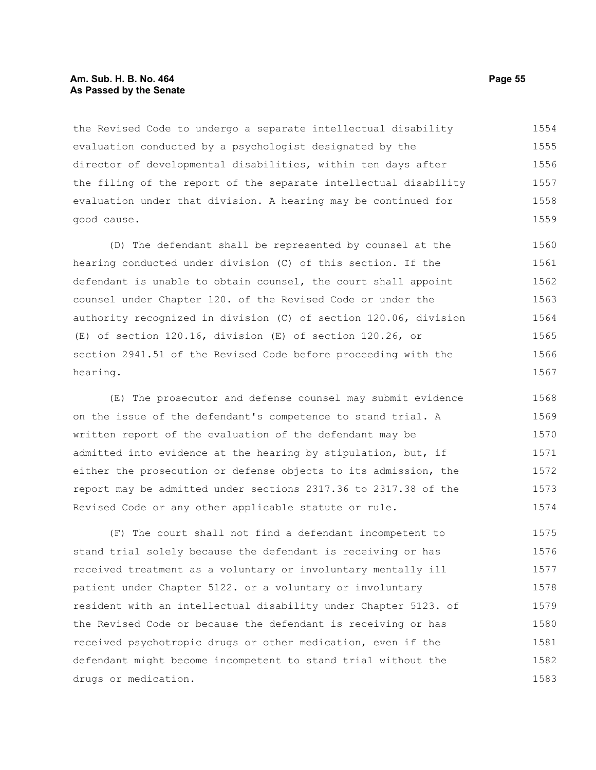### **Am. Sub. H. B. No. 464 Page 55 As Passed by the Senate**

the Revised Code to undergo a separate intellectual disability evaluation conducted by a psychologist designated by the director of developmental disabilities, within ten days after the filing of the report of the separate intellectual disability evaluation under that division. A hearing may be continued for good cause. 1554 1555 1556 1557 1558 1559

(D) The defendant shall be represented by counsel at the hearing conducted under division (C) of this section. If the defendant is unable to obtain counsel, the court shall appoint counsel under Chapter 120. of the Revised Code or under the authority recognized in division (C) of section 120.06, division (E) of section 120.16, division (E) of section 120.26, or section 2941.51 of the Revised Code before proceeding with the hearing. 1560 1561 1562 1563 1564 1565 1566 1567

(E) The prosecutor and defense counsel may submit evidence on the issue of the defendant's competence to stand trial. A written report of the evaluation of the defendant may be admitted into evidence at the hearing by stipulation, but, if either the prosecution or defense objects to its admission, the report may be admitted under sections 2317.36 to 2317.38 of the Revised Code or any other applicable statute or rule. 1568 1569 1570 1571 1572 1573 1574

(F) The court shall not find a defendant incompetent to stand trial solely because the defendant is receiving or has received treatment as a voluntary or involuntary mentally ill patient under Chapter 5122. or a voluntary or involuntary resident with an intellectual disability under Chapter 5123. of the Revised Code or because the defendant is receiving or has received psychotropic drugs or other medication, even if the defendant might become incompetent to stand trial without the drugs or medication. 1575 1576 1577 1578 1579 1580 1581 1582 1583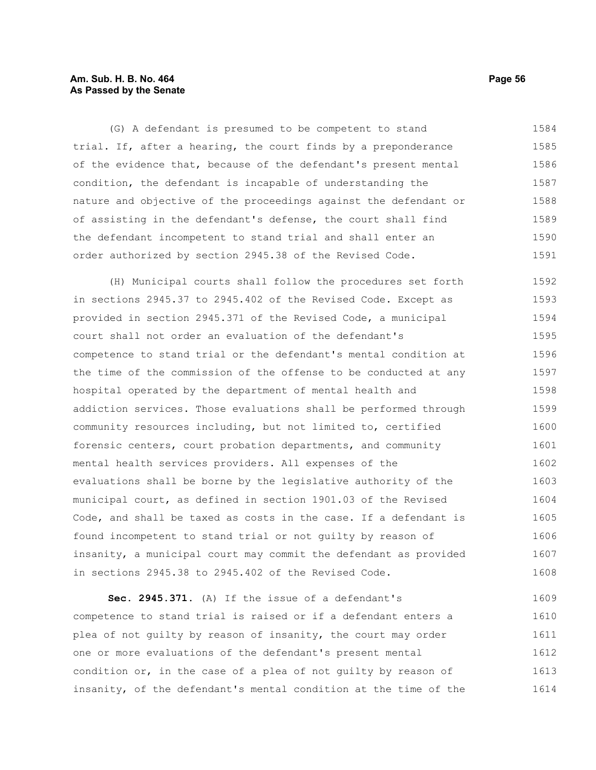## **Am. Sub. H. B. No. 464 Page 56 As Passed by the Senate**

(G) A defendant is presumed to be competent to stand trial. If, after a hearing, the court finds by a preponderance of the evidence that, because of the defendant's present mental condition, the defendant is incapable of understanding the nature and objective of the proceedings against the defendant or of assisting in the defendant's defense, the court shall find the defendant incompetent to stand trial and shall enter an order authorized by section 2945.38 of the Revised Code. 1584 1585 1586 1587 1588 1589 1590 1591

(H) Municipal courts shall follow the procedures set forth in sections 2945.37 to 2945.402 of the Revised Code. Except as provided in section 2945.371 of the Revised Code, a municipal court shall not order an evaluation of the defendant's competence to stand trial or the defendant's mental condition at the time of the commission of the offense to be conducted at any hospital operated by the department of mental health and addiction services. Those evaluations shall be performed through community resources including, but not limited to, certified forensic centers, court probation departments, and community mental health services providers. All expenses of the evaluations shall be borne by the legislative authority of the municipal court, as defined in section 1901.03 of the Revised Code, and shall be taxed as costs in the case. If a defendant is found incompetent to stand trial or not guilty by reason of insanity, a municipal court may commit the defendant as provided in sections 2945.38 to 2945.402 of the Revised Code. 1592 1593 1594 1595 1596 1597 1598 1599 1600 1601 1602 1603 1604 1605 1606 1607 1608

**Sec. 2945.371.** (A) If the issue of a defendant's competence to stand trial is raised or if a defendant enters a plea of not guilty by reason of insanity, the court may order one or more evaluations of the defendant's present mental condition or, in the case of a plea of not guilty by reason of insanity, of the defendant's mental condition at the time of the 1609 1610 1611 1612 1613 1614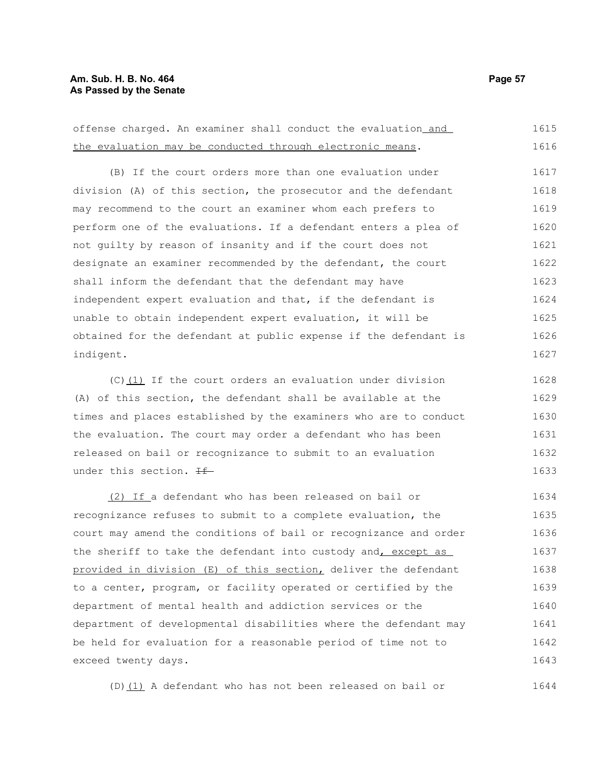### **Am. Sub. H. B. No. 464 Page 57 As Passed by the Senate**

offense charged. An examiner shall conduct the evaluation and the evaluation may be conducted through electronic means. (B) If the court orders more than one evaluation under division (A) of this section, the prosecutor and the defendant may recommend to the court an examiner whom each prefers to perform one of the evaluations. If a defendant enters a plea of not guilty by reason of insanity and if the court does not designate an examiner recommended by the defendant, the court shall inform the defendant that the defendant may have independent expert evaluation and that, if the defendant is unable to obtain independent expert evaluation, it will be obtained for the defendant at public expense if the defendant is indigent. (C)(1) If the court orders an evaluation under division (A) of this section, the defendant shall be available at the times and places established by the examiners who are to conduct the evaluation. The court may order a defendant who has been released on bail or recognizance to submit to an evaluation under this section.  $H$ (2) If a defendant who has been released on bail or recognizance refuses to submit to a complete evaluation, the court may amend the conditions of bail or recognizance and order the sheriff to take the defendant into custody and, except as provided in division (E) of this section, deliver the defendant to a center, program, or facility operated or certified by the department of mental health and addiction services or the department of developmental disabilities where the defendant may be held for evaluation for a reasonable period of time not to exceed twenty days. 1616 1617 1618 1619 1620 1621 1622 1623 1624 1625 1626 1627 1628 1629 1630 1631 1632 1633 1634 1635 1636 1637 1638 1639 1640 1641 1642 1643

(D)(1) A defendant who has not been released on bail or 1644

1615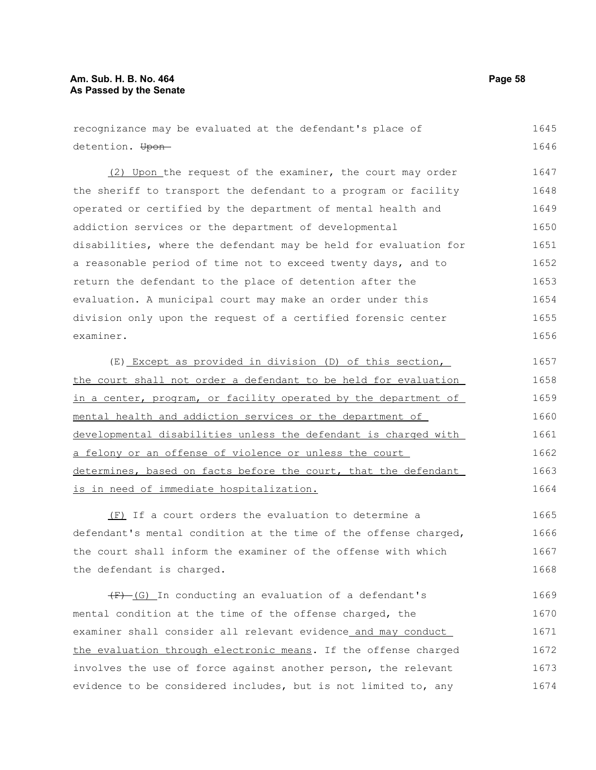## **Am. Sub. H. B. No. 464 Page 58 As Passed by the Senate**

recognizance may be evaluated at the defendant's place of detention. Upon-1645 1646

(2) Upon the request of the examiner, the court may order the sheriff to transport the defendant to a program or facility operated or certified by the department of mental health and addiction services or the department of developmental disabilities, where the defendant may be held for evaluation for a reasonable period of time not to exceed twenty days, and to return the defendant to the place of detention after the evaluation. A municipal court may make an order under this division only upon the request of a certified forensic center examiner. 1647 1648 1649 1650 1651 1652 1653 1654 1655 1656

(E) Except as provided in division (D) of this section, the court shall not order a defendant to be held for evaluation in a center, program, or facility operated by the department of mental health and addiction services or the department of developmental disabilities unless the defendant is charged with a felony or an offense of violence or unless the court determines, based on facts before the court, that the defendant is in need of immediate hospitalization. 1657 1658 1659 1660 1661 1662 1663 1664

(F) If a court orders the evaluation to determine a defendant's mental condition at the time of the offense charged, the court shall inform the examiner of the offense with which the defendant is charged. 1665 1666 1667 1668

 $(F)$  (G) In conducting an evaluation of a defendant's mental condition at the time of the offense charged, the examiner shall consider all relevant evidence and may conduct the evaluation through electronic means. If the offense charged involves the use of force against another person, the relevant evidence to be considered includes, but is not limited to, any 1669 1670 1671 1672 1673 1674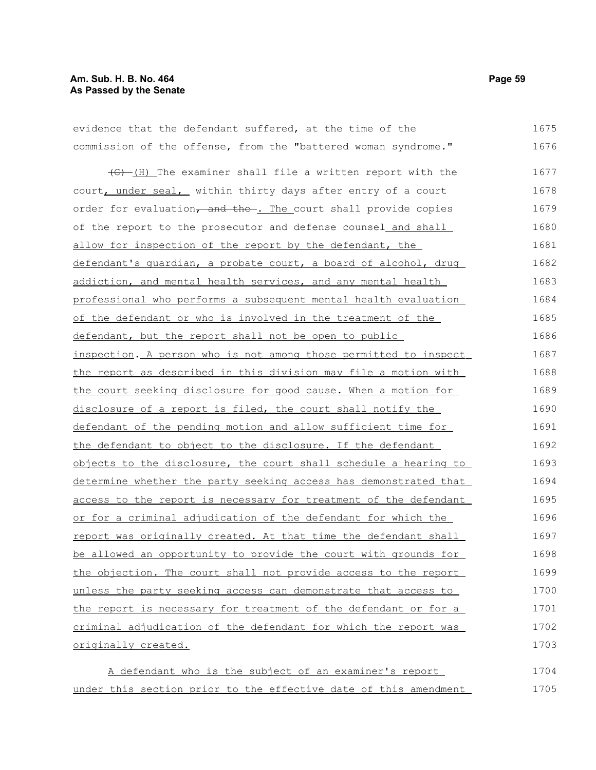## **Am. Sub. H. B. No. 464 Page 59 As Passed by the Senate**

evidence that the defendant suffered, at the time of the commission of the offense, from the "battered woman syndrome."

(G) (H) The examiner shall file a written report with the court, under seal, within thirty days after entry of a court order for evaluation, and the . The court shall provide copies of the report to the prosecutor and defense counsel and shall allow for inspection of the report by the defendant, the defendant's guardian, a probate court, a board of alcohol, drug addiction, and mental health services, and any mental health professional who performs a subsequent mental health evaluation of the defendant or who is involved in the treatment of the defendant, but the report shall not be open to public inspection. A person who is not among those permitted to inspect the report as described in this division may file a motion with the court seeking disclosure for good cause. When a motion for disclosure of a report is filed, the court shall notify the defendant of the pending motion and allow sufficient time for the defendant to object to the disclosure. If the defendant objects to the disclosure, the court shall schedule a hearing to determine whether the party seeking access has demonstrated that access to the report is necessary for treatment of the defendant or for a criminal adjudication of the defendant for which the report was originally created. At that time the defendant shall be allowed an opportunity to provide the court with grounds for the objection. The court shall not provide access to the report unless the party seeking access can demonstrate that access to the report is necessary for treatment of the defendant or for a criminal adjudication of the defendant for which the report was originally created. 1677 1678 1679 1680 1681 1682 1683 1684 1685 1686 1687 1688 1689 1690 1691 1692 1693 1694 1695 1696 1697 1698 1699 1700 1701 1702 1703

A defendant who is the subject of an examiner's report under this section prior to the effective date of this amendment 1704 1705

1675 1676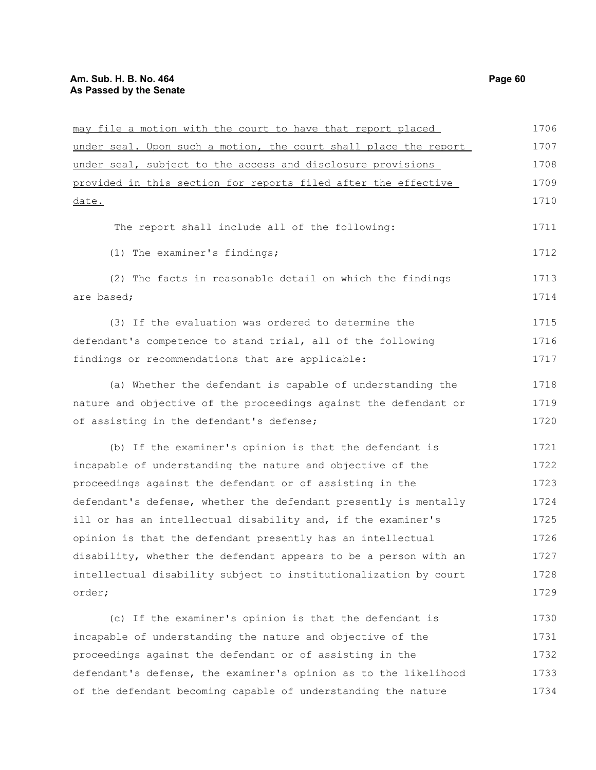# **Am. Sub. H. B. No. 464 Page 60 As Passed by the Senate**

| may file a motion with the court to have that report placed      | 1706 |
|------------------------------------------------------------------|------|
| under seal. Upon such a motion, the court shall place the report | 1707 |
| under seal, subject to the access and disclosure provisions      | 1708 |
| provided in this section for reports filed after the effective   | 1709 |
| date.                                                            | 1710 |
| The report shall include all of the following:                   | 1711 |
| (1) The examiner's findings;                                     | 1712 |
| (2) The facts in reasonable detail on which the findings         | 1713 |
| are based;                                                       | 1714 |
| (3) If the evaluation was ordered to determine the               | 1715 |
| defendant's competence to stand trial, all of the following      | 1716 |
| findings or recommendations that are applicable:                 | 1717 |
| (a) Whether the defendant is capable of understanding the        | 1718 |
| nature and objective of the proceedings against the defendant or | 1719 |
| of assisting in the defendant's defense;                         | 1720 |
| (b) If the examiner's opinion is that the defendant is           | 1721 |
| incapable of understanding the nature and objective of the       | 1722 |
| proceedings against the defendant or of assisting in the         | 1723 |
| defendant's defense, whether the defendant presently is mentally | 1724 |
| ill or has an intellectual disability and, if the examiner's     | 1725 |
| opinion is that the defendant presently has an intellectual      | 1726 |
| disability, whether the defendant appears to be a person with an | 1727 |
| intellectual disability subject to institutionalization by court | 1728 |
| order;                                                           | 1729 |
| (c) If the examiner's opinion is that the defendant is           | 1730 |
| incapable of understanding the nature and objective of the       | 1731 |
| proceedings against the defendant or of assisting in the         | 1732 |
| defendant's defense, the examiner's opinion as to the likelihood | 1733 |
| of the defendant becoming capable of understanding the nature    | 1734 |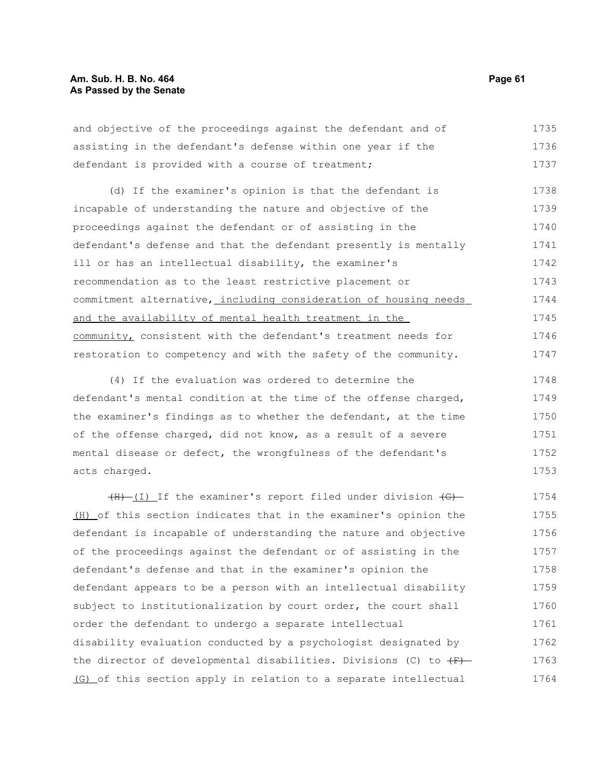### **Am. Sub. H. B. No. 464 Page 61 As Passed by the Senate**

and objective of the proceedings against the defendant and of assisting in the defendant's defense within one year if the defendant is provided with a course of treatment; 1735 1736 1737

(d) If the examiner's opinion is that the defendant is incapable of understanding the nature and objective of the proceedings against the defendant or of assisting in the defendant's defense and that the defendant presently is mentally ill or has an intellectual disability, the examiner's recommendation as to the least restrictive placement or commitment alternative, including consideration of housing needs and the availability of mental health treatment in the community, consistent with the defendant's treatment needs for restoration to competency and with the safety of the community. 1738 1739 1740 1741 1742 1743 1744 1745 1746 1747

(4) If the evaluation was ordered to determine the defendant's mental condition at the time of the offense charged, the examiner's findings as to whether the defendant, at the time of the offense charged, did not know, as a result of a severe mental disease or defect, the wrongfulness of the defendant's acts charged. 1748 1749 1750 1751 1752 1753

 $(H)$  (I) If the examiner's report filed under division  $(G)$ (H) of this section indicates that in the examiner's opinion the defendant is incapable of understanding the nature and objective of the proceedings against the defendant or of assisting in the defendant's defense and that in the examiner's opinion the defendant appears to be a person with an intellectual disability subject to institutionalization by court order, the court shall order the defendant to undergo a separate intellectual disability evaluation conducted by a psychologist designated by the director of developmental disabilities. Divisions (C) to  $\overline{f}$ (G) of this section apply in relation to a separate intellectual 1754 1755 1756 1757 1758 1759 1760 1761 1762 1763 1764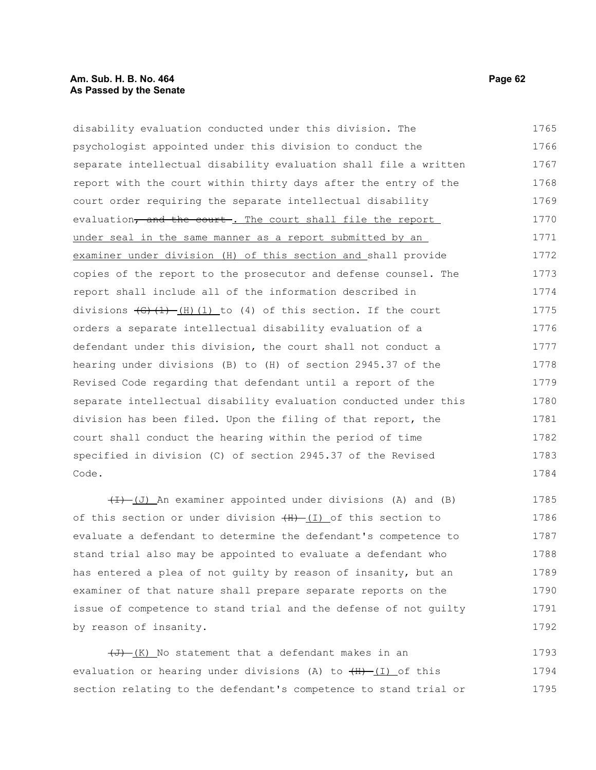### **Am. Sub. H. B. No. 464 Page 62 As Passed by the Senate**

disability evaluation conducted under this division. The psychologist appointed under this division to conduct the separate intellectual disability evaluation shall file a written report with the court within thirty days after the entry of the court order requiring the separate intellectual disability evaluation, and the court. The court shall file the report under seal in the same manner as a report submitted by an examiner under division (H) of this section and shall provide copies of the report to the prosecutor and defense counsel. The report shall include all of the information described in divisions  $\left(\frac{G}{1}\right)$  (H)(1) to (4) of this section. If the court orders a separate intellectual disability evaluation of a defendant under this division, the court shall not conduct a hearing under divisions (B) to (H) of section 2945.37 of the Revised Code regarding that defendant until a report of the separate intellectual disability evaluation conducted under this division has been filed. Upon the filing of that report, the court shall conduct the hearing within the period of time specified in division (C) of section 2945.37 of the Revised Code. 1765 1766 1767 1768 1769 1770 1771 1772 1773 1774 1775 1776 1777 1778 1779 1780 1781 1782 1783 1784

 $(H)$  (J) An examiner appointed under divisions (A) and (B) of this section or under division  $(H)$  (I) of this section to evaluate a defendant to determine the defendant's competence to stand trial also may be appointed to evaluate a defendant who has entered a plea of not guilty by reason of insanity, but an examiner of that nature shall prepare separate reports on the issue of competence to stand trial and the defense of not guilty by reason of insanity. 1785 1786 1787 1788 1789 1790 1791 1792

 $(\overline{J}$  (K) No statement that a defendant makes in an evaluation or hearing under divisions (A) to  $(H)$  (I) of this section relating to the defendant's competence to stand trial or 1793 1794 1795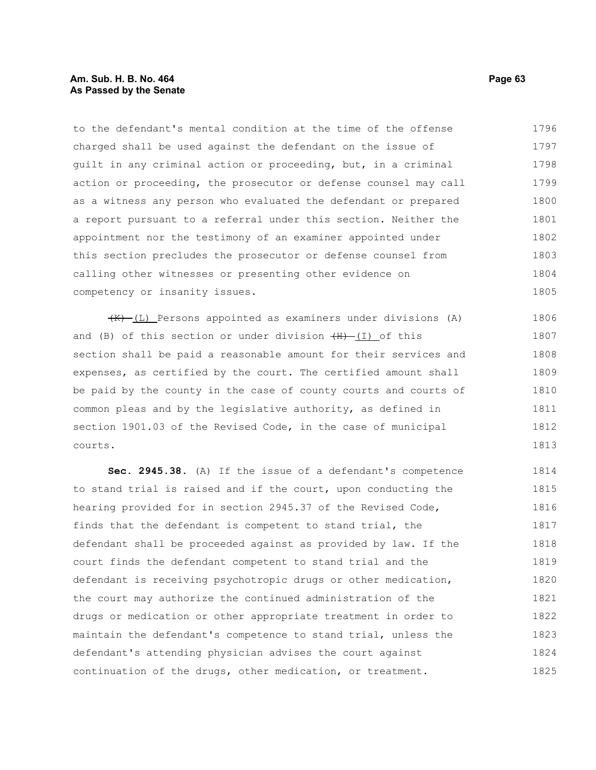## **Am. Sub. H. B. No. 464 Page 63 As Passed by the Senate**

to the defendant's mental condition at the time of the offense charged shall be used against the defendant on the issue of guilt in any criminal action or proceeding, but, in a criminal action or proceeding, the prosecutor or defense counsel may call as a witness any person who evaluated the defendant or prepared a report pursuant to a referral under this section. Neither the appointment nor the testimony of an examiner appointed under this section precludes the prosecutor or defense counsel from calling other witnesses or presenting other evidence on competency or insanity issues. 1796 1797 1798 1799 1800 1801 1802 1803 1804 1805

 $(H)$  (L) Persons appointed as examiners under divisions (A) and (B) of this section or under division  $(H)$  (I) of this section shall be paid a reasonable amount for their services and expenses, as certified by the court. The certified amount shall be paid by the county in the case of county courts and courts of common pleas and by the legislative authority, as defined in section 1901.03 of the Revised Code, in the case of municipal courts. 1806 1807 1808 1809 1810 1811 1812 1813

**Sec. 2945.38.** (A) If the issue of a defendant's competence to stand trial is raised and if the court, upon conducting the hearing provided for in section 2945.37 of the Revised Code, finds that the defendant is competent to stand trial, the defendant shall be proceeded against as provided by law. If the court finds the defendant competent to stand trial and the defendant is receiving psychotropic drugs or other medication, the court may authorize the continued administration of the drugs or medication or other appropriate treatment in order to maintain the defendant's competence to stand trial, unless the defendant's attending physician advises the court against continuation of the drugs, other medication, or treatment. 1814 1815 1816 1817 1818 1819 1820 1821 1822 1823 1824 1825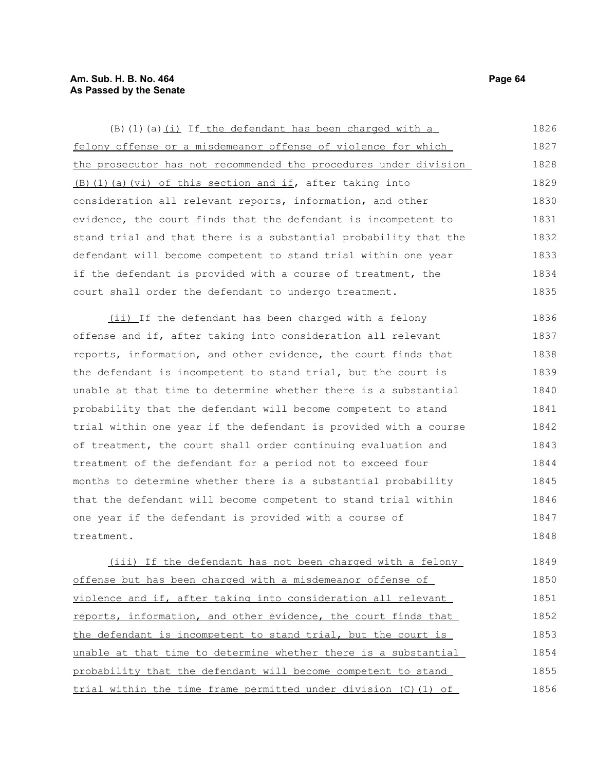# **Am. Sub. H. B. No. 464 Page 64 As Passed by the Senate**

| (B) (1) (a) (i) If the defendant has been charged with a         | 1826 |
|------------------------------------------------------------------|------|
| felony offense or a misdemeanor offense of violence for which    | 1827 |
| the prosecutor has not recommended the procedures under division | 1828 |
| (B) (1) (a) (vi) of this section and if, after taking into       | 1829 |
| consideration all relevant reports, information, and other       | 1830 |
| evidence, the court finds that the defendant is incompetent to   | 1831 |
| stand trial and that there is a substantial probability that the | 1832 |
| defendant will become competent to stand trial within one year   | 1833 |
| if the defendant is provided with a course of treatment, the     | 1834 |
| court shall order the defendant to undergo treatment.            | 1835 |
| (ii) If the defendant has been charged with a felony             | 1836 |
| offense and if, after taking into consideration all relevant     | 1837 |
| reports, information, and other evidence, the court finds that   | 1838 |
| the defendant is incompetent to stand trial, but the court is    | 1839 |
| unable at that time to determine whether there is a substantial  | 1840 |
| probability that the defendant will become competent to stand    | 1841 |
| trial within one year if the defendant is provided with a course | 1842 |
| of treatment, the court shall order continuing evaluation and    | 1843 |
| treatment of the defendant for a period not to exceed four       | 1844 |
| months to determine whether there is a substantial probability   | 1845 |
| that the defendant will become competent to stand trial within   | 1846 |
| one year if the defendant is provided with a course of           | 1847 |
| treatment.                                                       | 1848 |
| (iii) If the defendant has not been charged with a felony        | 1849 |
| offense but has been charged with a misdemeanor offense of       | 1850 |
| violence and if, after taking into consideration all relevant    | 1851 |

reports, information, and other evidence, the court finds that the defendant is incompetent to stand trial, but the court is unable at that time to determine whether there is a substantial probability that the defendant will become competent to stand trial within the time frame permitted under division (C)(1) of 1852 1853 1854 1855 1856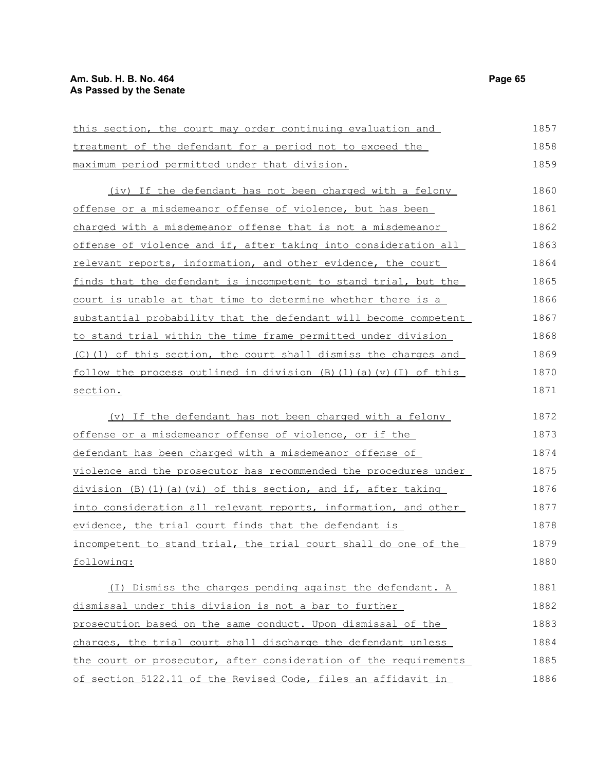| this section, the court may order continuing evaluation and                   | 1857 |
|-------------------------------------------------------------------------------|------|
| treatment of the defendant for a period not to exceed the                     | 1858 |
| maximum period permitted under that division.                                 | 1859 |
|                                                                               | 1860 |
| (iv) If the defendant has not been charged with a felony                      |      |
| offense or a misdemeanor offense of violence, but has been                    | 1861 |
| charged with a misdemeanor offense that is not a misdemeanor                  | 1862 |
| offense of violence and if, after taking into consideration all               | 1863 |
| relevant reports, information, and other evidence, the court                  | 1864 |
| finds that the defendant is incompetent to stand trial, but the               | 1865 |
| court is unable at that time to determine whether there is a                  | 1866 |
| substantial probability that the defendant will become competent              | 1867 |
| to stand trial within the time frame permitted under division                 | 1868 |
| (C)(1) of this section, the court shall dismiss the charges and               | 1869 |
| follow the process outlined in division $(B)$ $(1)$ $(a)$ $(v)$ $(I)$ of this | 1870 |
| section.                                                                      | 1871 |
| (v) If the defendant has not been charged with a felony                       | 1872 |
| offense or a misdemeanor offense of violence, or if the                       | 1873 |
| defendant has been charged with a misdemeanor offense of                      | 1874 |
| violence and the prosecutor has recommended the procedures under              | 1875 |
| $division$ (B) (1) (a) (vi) of this section, and if, after taking             | 1876 |
| into consideration all relevant reports, information, and other               | 1877 |
| evidence, the trial court finds that the defendant is                         | 1878 |
| incompetent to stand trial, the trial court shall do one of the               | 1879 |
| following:                                                                    | 1880 |
| (I) Dismiss the charges pending against the defendant. A                      | 1881 |
| dismissal under this division is not a bar to further                         | 1882 |
| prosecution based on the same conduct. Upon dismissal of the                  | 1883 |
| charges, the trial court shall discharge the defendant unless                 | 1884 |
| the court or prosecutor, after consideration of the requirements              | 1885 |
| of section 5122.11 of the Revised Code, files an affidavit in                 | 1886 |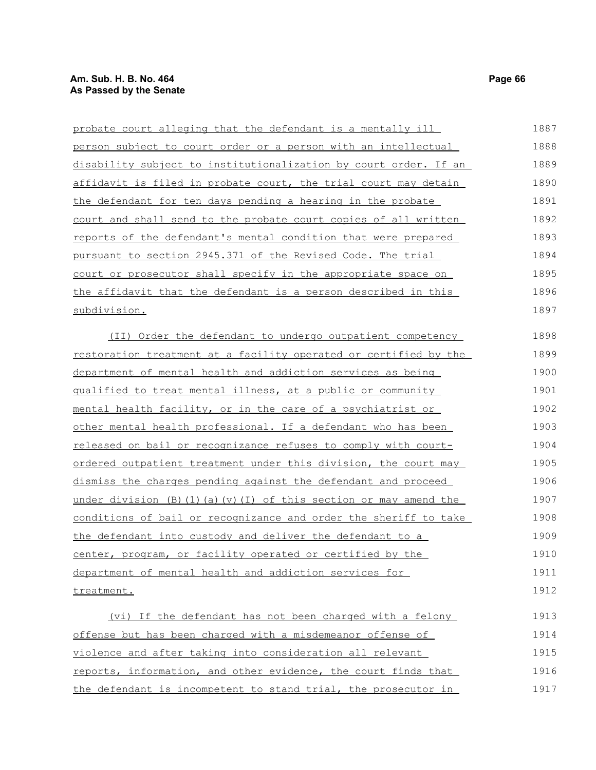| probate court alleging that the defendant is a mentally ill                   | 1887 |
|-------------------------------------------------------------------------------|------|
| person subject to court order or a person with an intellectual                | 1888 |
| disability subject to institutionalization by court order. If an              | 1889 |
| affidavit is filed in probate court, the trial court may detain               | 1890 |
| the defendant for ten days pending a hearing in the probate                   | 1891 |
| court and shall send to the probate court copies of all written               | 1892 |
| reports of the defendant's mental condition that were prepared                | 1893 |
| pursuant to section 2945.371 of the Revised Code. The trial                   | 1894 |
| court or prosecutor shall specify in the appropriate space on                 | 1895 |
| <u>the affidavit that the defendant is a person described in this </u>        | 1896 |
| subdivision.                                                                  | 1897 |
| (II) Order the defendant to undergo outpatient competency                     | 1898 |
| restoration treatment at a facility operated or certified by the              | 1899 |
| department of mental health and addiction services as being                   | 1900 |
| qualified to treat mental illness, at a public or community                   | 1901 |
| mental health facility, or in the care of a psychiatrist or                   | 1902 |
| <u>other mental health professional. If a defendant who has been </u>         | 1903 |
| released on bail or recognizance refuses to comply with court-                | 1904 |
| ordered outpatient treatment under this division, the court may               | 1905 |
| <u>dismiss the charges pending against the defendant and proceed</u>          | 1906 |
| under division $(B)$ $(1)$ $(a)$ $(v)$ $(I)$ of this section or may amend the | 1907 |
| <u>conditions of bail or recognizance and order the sheriff to take</u>       | 1908 |
| the defendant into custody and deliver the defendant to a                     | 1909 |
| <u>center, program, or facility operated or certified by the</u>              | 1910 |
| department of mental health and addiction services for                        | 1911 |
| treatment.                                                                    | 1912 |
| (vi) If the defendant has not been charged with a felony                      | 1913 |
| offense but has been charged with a misdemeanor offense of                    | 1914 |
|                                                                               |      |

violence and after taking into consideration all relevant reports, information, and other evidence, the court finds that the defendant is incompetent to stand trial, the prosecutor in 1915 1916 1917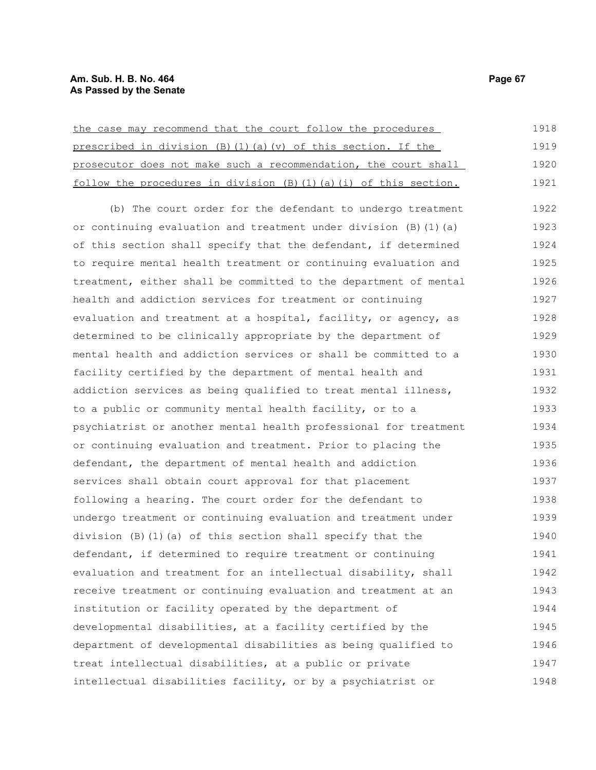# Am. Sub. H. B. No. 464 **Page 67 As Passed by the Senate**

| the case may recommend that the court follow the procedures                | 1918 |
|----------------------------------------------------------------------------|------|
| prescribed in division (B) (1) (a) (v) of this section. If the             | 1919 |
| prosecutor does not make such a recommendation, the court shall            | 1920 |
| follow the procedures in division $(B)$ $(1)$ $(a)$ $(i)$ of this section. | 1921 |
| (b) The court order for the defendant to undergo treatment                 | 1922 |
| or continuing evaluation and treatment under division (B) (1) (a)          | 1923 |
| of this section shall specify that the defendant, if determined            | 1924 |
| to require mental health treatment or continuing evaluation and            | 1925 |
| treatment, either shall be committed to the department of mental           | 1926 |
| health and addiction services for treatment or continuing                  | 1927 |
| evaluation and treatment at a hospital, facility, or agency, as            | 1928 |
| determined to be clinically appropriate by the department of               | 1929 |
| mental health and addiction services or shall be committed to a            | 1930 |
| facility certified by the department of mental health and                  | 1931 |
| addiction services as being qualified to treat mental illness,             | 1932 |
| to a public or community mental health facility, or to a                   | 1933 |
| psychiatrist or another mental health professional for treatment           | 1934 |
| or continuing evaluation and treatment. Prior to placing the               | 1935 |
| defendant, the department of mental health and addiction                   | 1936 |
| services shall obtain court approval for that placement                    | 1937 |
| following a hearing. The court order for the defendant to                  | 1938 |
| undergo treatment or continuing evaluation and treatment under             | 1939 |
| division $(B)$ $(1)$ $(a)$ of this section shall specify that the          | 1940 |
| defendant, if determined to require treatment or continuing                | 1941 |
| evaluation and treatment for an intellectual disability, shall             | 1942 |
| receive treatment or continuing evaluation and treatment at an             | 1943 |
| institution or facility operated by the department of                      | 1944 |
| developmental disabilities, at a facility certified by the                 | 1945 |
| department of developmental disabilities as being qualified to             | 1946 |
| treat intellectual disabilities, at a public or private                    | 1947 |
| intellectual disabilities facility, or by a psychiatrist or                | 1948 |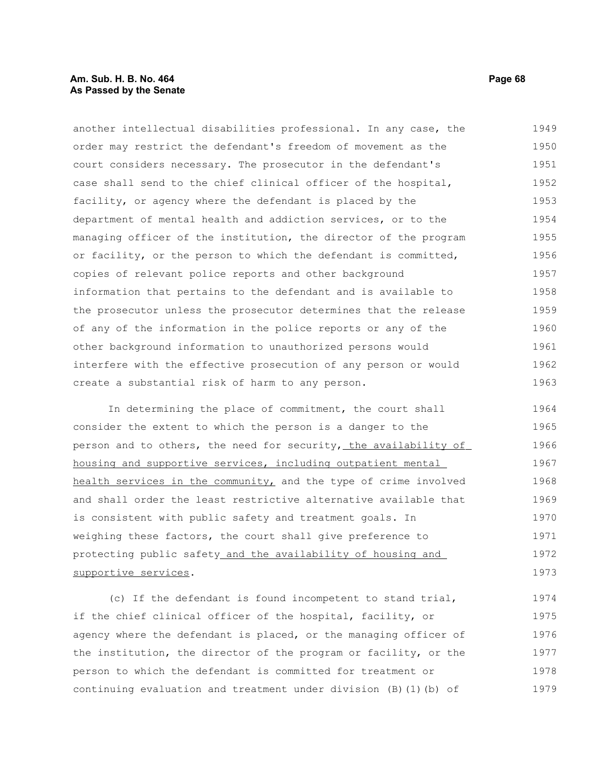## **Am. Sub. H. B. No. 464 Page 68 As Passed by the Senate**

another intellectual disabilities professional. In any case, the order may restrict the defendant's freedom of movement as the court considers necessary. The prosecutor in the defendant's case shall send to the chief clinical officer of the hospital, facility, or agency where the defendant is placed by the department of mental health and addiction services, or to the managing officer of the institution, the director of the program or facility, or the person to which the defendant is committed, copies of relevant police reports and other background information that pertains to the defendant and is available to the prosecutor unless the prosecutor determines that the release of any of the information in the police reports or any of the other background information to unauthorized persons would interfere with the effective prosecution of any person or would create a substantial risk of harm to any person. 1949 1950 1951 1952 1953 1954 1955 1956 1957 1958 1959 1960 1961 1962 1963

In determining the place of commitment, the court shall consider the extent to which the person is a danger to the person and to others, the need for security, the availability of housing and supportive services, including outpatient mental health services in the community, and the type of crime involved and shall order the least restrictive alternative available that is consistent with public safety and treatment goals. In weighing these factors, the court shall give preference to protecting public safety and the availability of housing and supportive services. 1964 1965 1966 1967 1968 1969 1970 1971 1972 1973

(c) If the defendant is found incompetent to stand trial, if the chief clinical officer of the hospital, facility, or agency where the defendant is placed, or the managing officer of the institution, the director of the program or facility, or the person to which the defendant is committed for treatment or continuing evaluation and treatment under division (B)(1)(b) of 1974 1975 1976 1977 1978 1979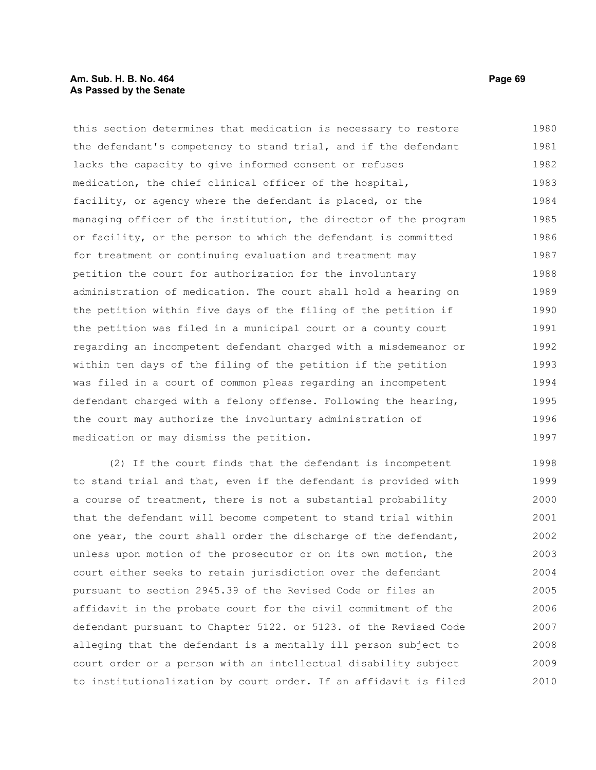## **Am. Sub. H. B. No. 464 Page 69 As Passed by the Senate**

this section determines that medication is necessary to restore the defendant's competency to stand trial, and if the defendant lacks the capacity to give informed consent or refuses medication, the chief clinical officer of the hospital, facility, or agency where the defendant is placed, or the managing officer of the institution, the director of the program or facility, or the person to which the defendant is committed for treatment or continuing evaluation and treatment may petition the court for authorization for the involuntary administration of medication. The court shall hold a hearing on the petition within five days of the filing of the petition if the petition was filed in a municipal court or a county court regarding an incompetent defendant charged with a misdemeanor or within ten days of the filing of the petition if the petition was filed in a court of common pleas regarding an incompetent defendant charged with a felony offense. Following the hearing, the court may authorize the involuntary administration of medication or may dismiss the petition. 1980 1981 1982 1983 1984 1985 1986 1987 1988 1989 1990 1991 1992 1993 1994 1995 1996 1997

(2) If the court finds that the defendant is incompetent to stand trial and that, even if the defendant is provided with a course of treatment, there is not a substantial probability that the defendant will become competent to stand trial within one year, the court shall order the discharge of the defendant, unless upon motion of the prosecutor or on its own motion, the court either seeks to retain jurisdiction over the defendant pursuant to section 2945.39 of the Revised Code or files an affidavit in the probate court for the civil commitment of the defendant pursuant to Chapter 5122. or 5123. of the Revised Code alleging that the defendant is a mentally ill person subject to court order or a person with an intellectual disability subject to institutionalization by court order. If an affidavit is filed 1998 1999 2000 2001 2002 2003 2004 2005 2006 2007 2008 2009 2010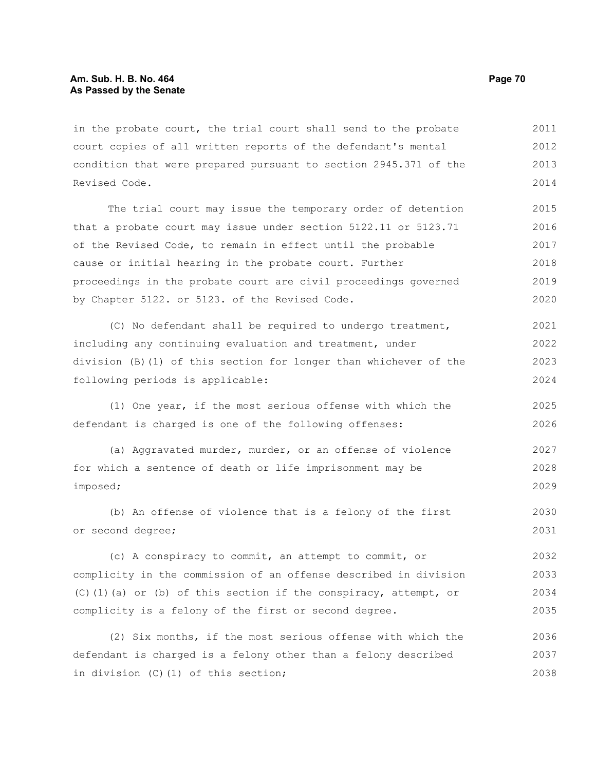### **Am. Sub. H. B. No. 464 Page 70 As Passed by the Senate**

in the probate court, the trial court shall send to the probate court copies of all written reports of the defendant's mental condition that were prepared pursuant to section 2945.371 of the Revised Code. 2011 2012 2013 2014

The trial court may issue the temporary order of detention that a probate court may issue under section 5122.11 or 5123.71 of the Revised Code, to remain in effect until the probable cause or initial hearing in the probate court. Further proceedings in the probate court are civil proceedings governed by Chapter 5122. or 5123. of the Revised Code. 2015 2016 2017 2018 2019 2020

(C) No defendant shall be required to undergo treatment, including any continuing evaluation and treatment, under division (B)(1) of this section for longer than whichever of the following periods is applicable: 2021 2022 2023 2024

(1) One year, if the most serious offense with which the defendant is charged is one of the following offenses: 2025 2026

(a) Aggravated murder, murder, or an offense of violence for which a sentence of death or life imprisonment may be imposed; 2027 2028 2029

(b) An offense of violence that is a felony of the first or second degree; 2030 2031

(c) A conspiracy to commit, an attempt to commit, or complicity in the commission of an offense described in division (C)(1)(a) or (b) of this section if the conspiracy, attempt, or complicity is a felony of the first or second degree. 2032 2033 2034 2035

(2) Six months, if the most serious offense with which the defendant is charged is a felony other than a felony described in division (C)(1) of this section; 2036 2037 2038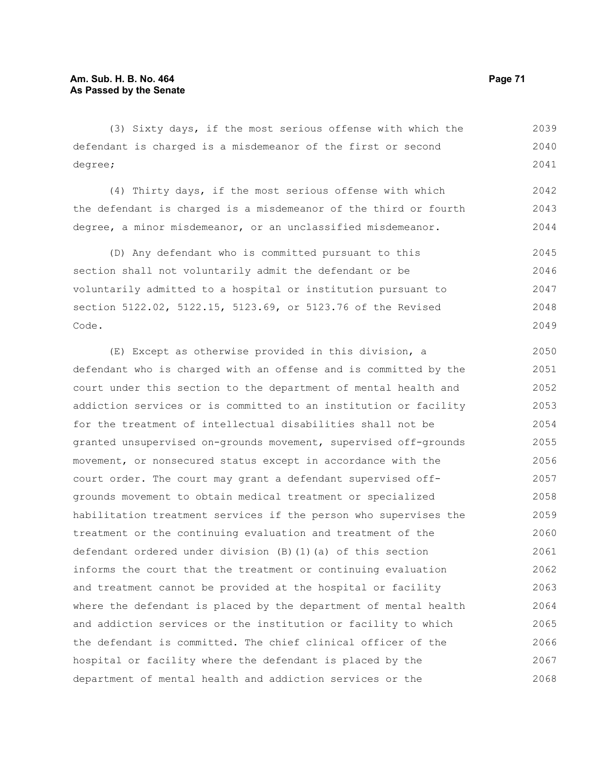(3) Sixty days, if the most serious offense with which the defendant is charged is a misdemeanor of the first or second degree; 2039 2040 2041

(4) Thirty days, if the most serious offense with which the defendant is charged is a misdemeanor of the third or fourth degree, a minor misdemeanor, or an unclassified misdemeanor. 2042 2043 2044

(D) Any defendant who is committed pursuant to this section shall not voluntarily admit the defendant or be voluntarily admitted to a hospital or institution pursuant to section 5122.02, 5122.15, 5123.69, or 5123.76 of the Revised Code. 2045 2046 2047 2048 2049

(E) Except as otherwise provided in this division, a defendant who is charged with an offense and is committed by the court under this section to the department of mental health and addiction services or is committed to an institution or facility for the treatment of intellectual disabilities shall not be granted unsupervised on-grounds movement, supervised off-grounds movement, or nonsecured status except in accordance with the court order. The court may grant a defendant supervised offgrounds movement to obtain medical treatment or specialized habilitation treatment services if the person who supervises the treatment or the continuing evaluation and treatment of the defendant ordered under division (B)(1)(a) of this section informs the court that the treatment or continuing evaluation and treatment cannot be provided at the hospital or facility where the defendant is placed by the department of mental health and addiction services or the institution or facility to which the defendant is committed. The chief clinical officer of the hospital or facility where the defendant is placed by the department of mental health and addiction services or the 2050 2051 2052 2053 2054 2055 2056 2057 2058 2059 2060 2061 2062 2063 2064 2065 2066 2067 2068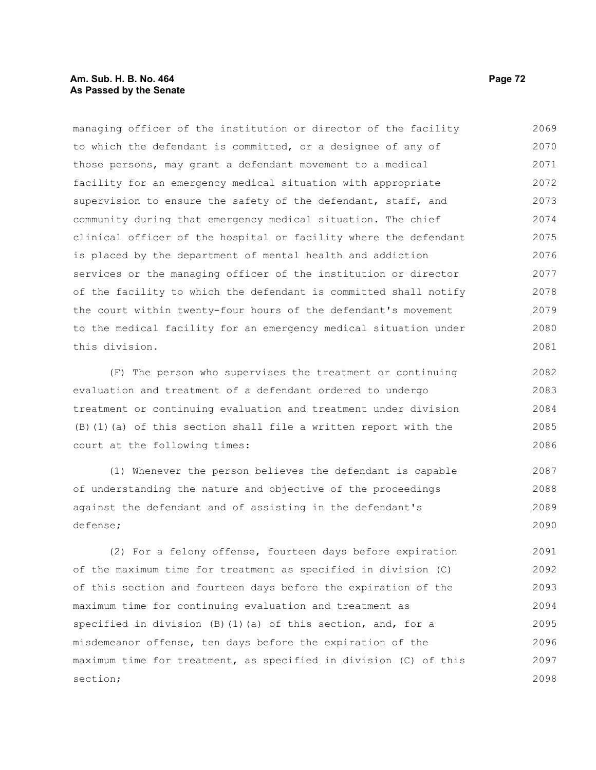## **Am. Sub. H. B. No. 464 Page 72 As Passed by the Senate**

managing officer of the institution or director of the facility to which the defendant is committed, or a designee of any of those persons, may grant a defendant movement to a medical facility for an emergency medical situation with appropriate supervision to ensure the safety of the defendant, staff, and community during that emergency medical situation. The chief clinical officer of the hospital or facility where the defendant is placed by the department of mental health and addiction services or the managing officer of the institution or director of the facility to which the defendant is committed shall notify the court within twenty-four hours of the defendant's movement to the medical facility for an emergency medical situation under this division. 2069 2070 2071 2072 2073 2074 2075 2076 2077 2078 2079 2080 2081

(F) The person who supervises the treatment or continuing evaluation and treatment of a defendant ordered to undergo treatment or continuing evaluation and treatment under division (B)(1)(a) of this section shall file a written report with the court at the following times:

(1) Whenever the person believes the defendant is capable of understanding the nature and objective of the proceedings against the defendant and of assisting in the defendant's defense; 2087 2088 2089 2090

(2) For a felony offense, fourteen days before expiration of the maximum time for treatment as specified in division (C) of this section and fourteen days before the expiration of the maximum time for continuing evaluation and treatment as specified in division  $(B)$  (1)(a) of this section, and, for a misdemeanor offense, ten days before the expiration of the maximum time for treatment, as specified in division (C) of this section; 2091 2092 2093 2094 2095 2096 2097 2098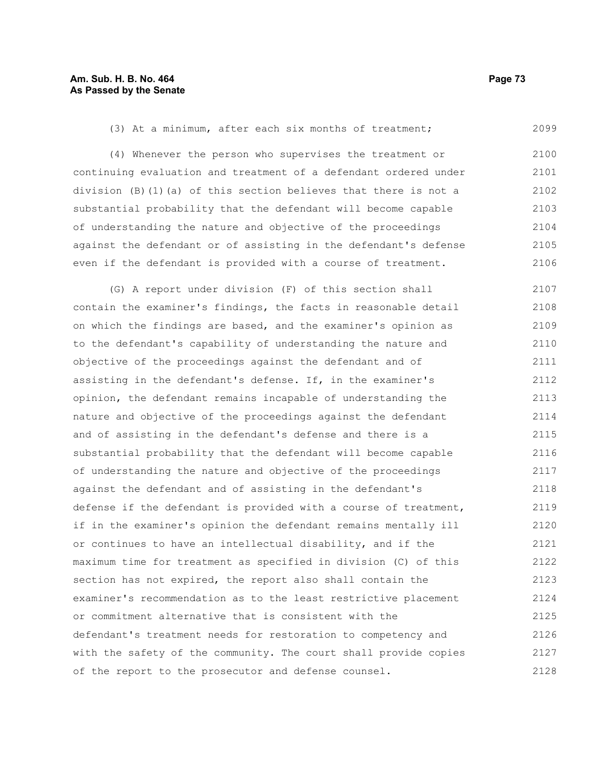(3) At a minimum, after each six months of treatment; 2099

(4) Whenever the person who supervises the treatment or continuing evaluation and treatment of a defendant ordered under division (B)(1)(a) of this section believes that there is not a substantial probability that the defendant will become capable of understanding the nature and objective of the proceedings against the defendant or of assisting in the defendant's defense even if the defendant is provided with a course of treatment. 2100 2101 2102 2103 2104 2105 2106

(G) A report under division (F) of this section shall contain the examiner's findings, the facts in reasonable detail on which the findings are based, and the examiner's opinion as to the defendant's capability of understanding the nature and objective of the proceedings against the defendant and of assisting in the defendant's defense. If, in the examiner's opinion, the defendant remains incapable of understanding the nature and objective of the proceedings against the defendant and of assisting in the defendant's defense and there is a substantial probability that the defendant will become capable of understanding the nature and objective of the proceedings against the defendant and of assisting in the defendant's defense if the defendant is provided with a course of treatment, if in the examiner's opinion the defendant remains mentally ill or continues to have an intellectual disability, and if the maximum time for treatment as specified in division (C) of this section has not expired, the report also shall contain the examiner's recommendation as to the least restrictive placement or commitment alternative that is consistent with the defendant's treatment needs for restoration to competency and with the safety of the community. The court shall provide copies of the report to the prosecutor and defense counsel. 2107 2108 2109 2110 2111 2112 2113 2114 2115 2116 2117 2118 2119 2120 2121 2122 2123 2124 2125 2126 2127 2128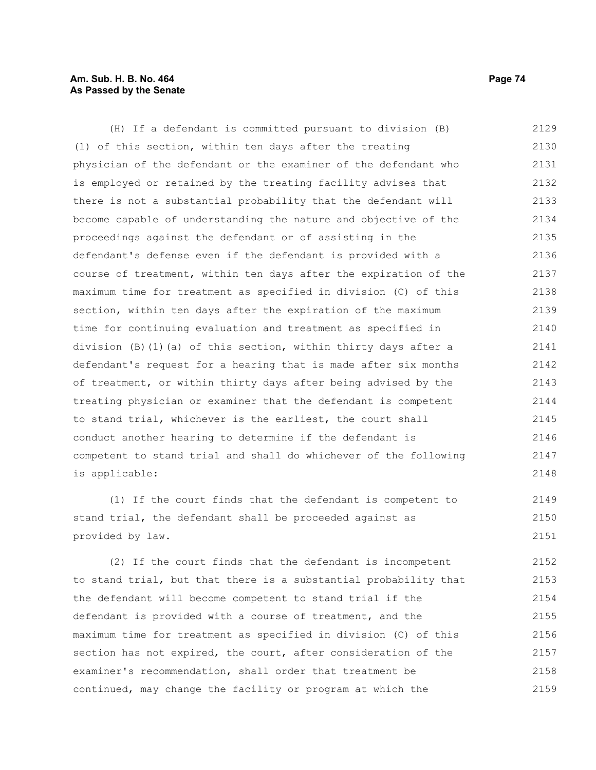## **Am. Sub. H. B. No. 464 Page 74 As Passed by the Senate**

(H) If a defendant is committed pursuant to division (B) (1) of this section, within ten days after the treating physician of the defendant or the examiner of the defendant who is employed or retained by the treating facility advises that there is not a substantial probability that the defendant will become capable of understanding the nature and objective of the proceedings against the defendant or of assisting in the defendant's defense even if the defendant is provided with a course of treatment, within ten days after the expiration of the maximum time for treatment as specified in division (C) of this section, within ten days after the expiration of the maximum time for continuing evaluation and treatment as specified in division (B)(1)(a) of this section, within thirty days after a defendant's request for a hearing that is made after six months of treatment, or within thirty days after being advised by the treating physician or examiner that the defendant is competent to stand trial, whichever is the earliest, the court shall conduct another hearing to determine if the defendant is competent to stand trial and shall do whichever of the following is applicable: 2129 2130 2131 2132 2133 2134 2135 2136 2137 2138 2139 2140 2141 2142 2143 2144 2145 2146 2147 2148

(1) If the court finds that the defendant is competent to stand trial, the defendant shall be proceeded against as provided by law. 2149 2150 2151

(2) If the court finds that the defendant is incompetent to stand trial, but that there is a substantial probability that the defendant will become competent to stand trial if the defendant is provided with a course of treatment, and the maximum time for treatment as specified in division (C) of this section has not expired, the court, after consideration of the examiner's recommendation, shall order that treatment be continued, may change the facility or program at which the 2152 2153 2154 2155 2156 2157 2158 2159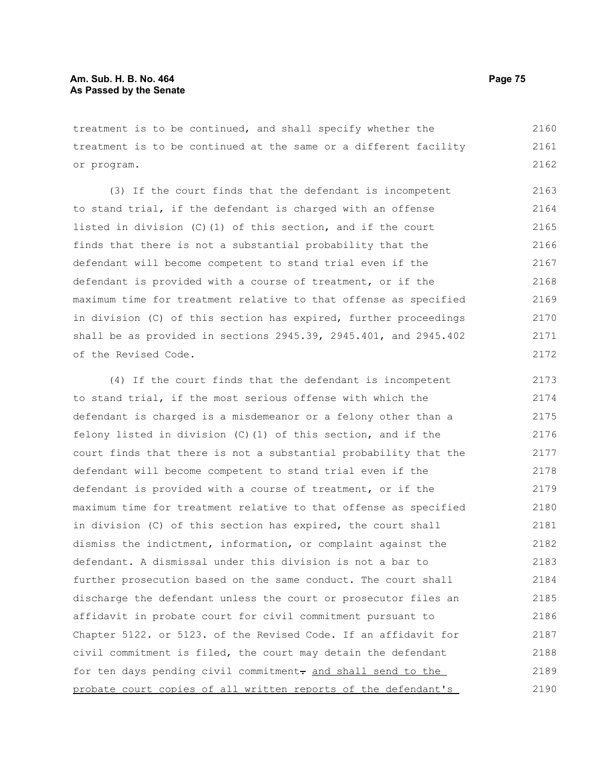treatment is to be continued, and shall specify whether the treatment is to be continued at the same or a different facility or program. 2160 2161 2162

(3) If the court finds that the defendant is incompetent to stand trial, if the defendant is charged with an offense listed in division (C)(1) of this section, and if the court finds that there is not a substantial probability that the defendant will become competent to stand trial even if the defendant is provided with a course of treatment, or if the maximum time for treatment relative to that offense as specified in division (C) of this section has expired, further proceedings shall be as provided in sections 2945.39, 2945.401, and 2945.402 of the Revised Code. 2163 2164 2165 2166 2167 2168 2169 2170 2171 2172

(4) If the court finds that the defendant is incompetent to stand trial, if the most serious offense with which the defendant is charged is a misdemeanor or a felony other than a felony listed in division (C)(1) of this section, and if the court finds that there is not a substantial probability that the defendant will become competent to stand trial even if the defendant is provided with a course of treatment, or if the maximum time for treatment relative to that offense as specified in division (C) of this section has expired, the court shall dismiss the indictment, information, or complaint against the defendant. A dismissal under this division is not a bar to further prosecution based on the same conduct. The court shall discharge the defendant unless the court or prosecutor files an affidavit in probate court for civil commitment pursuant to Chapter 5122. or 5123. of the Revised Code. If an affidavit for civil commitment is filed, the court may detain the defendant for ten days pending civil commitment- and shall send to the probate court copies of all written reports of the defendant's 2173 2174 2175 2176 2177 2178 2179 2180 2181 2182 2183 2184 2185 2186 2187 2188 2189 2190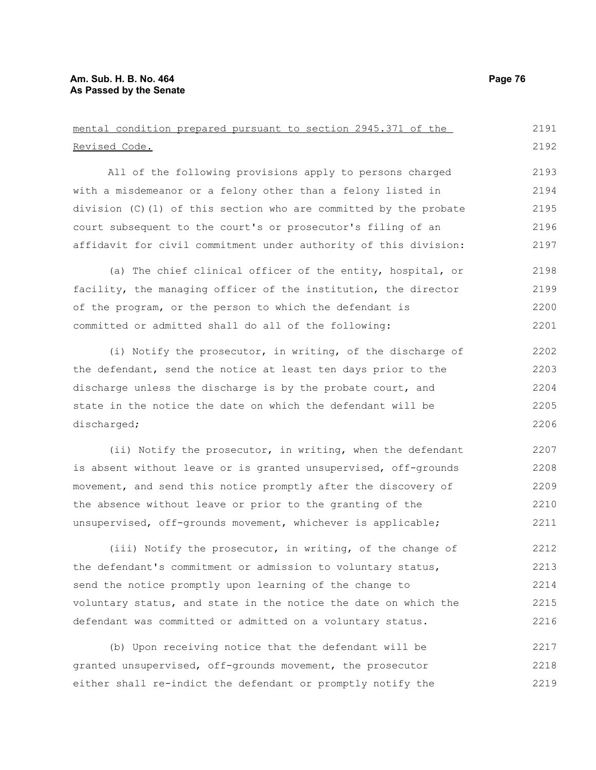| mental condition prepared pursuant to section 2945.371 of the    | 2191 |
|------------------------------------------------------------------|------|
| Revised Code.                                                    | 2192 |
| All of the following provisions apply to persons charged         | 2193 |
| with a misdemeanor or a felony other than a felony listed in     | 2194 |
| division (C)(1) of this section who are committed by the probate | 2195 |
| court subsequent to the court's or prosecutor's filing of an     | 2196 |
| affidavit for civil commitment under authority of this division: | 2197 |
| (a) The chief clinical officer of the entity, hospital, or       | 2198 |
| facility, the managing officer of the institution, the director  | 2199 |
| of the program, or the person to which the defendant is          | 2200 |
| committed or admitted shall do all of the following:             | 2201 |
| (i) Notify the prosecutor, in writing, of the discharge of       | 2202 |
| the defendant, send the notice at least ten days prior to the    | 2203 |
| discharge unless the discharge is by the probate court, and      | 2204 |
| state in the notice the date on which the defendant will be      | 2205 |
| discharged;                                                      | 2206 |
| (ii) Notify the prosecutor, in writing, when the defendant       | 2207 |
| is absent without leave or is granted unsupervised, off-grounds  | 2208 |
| movement, and send this notice promptly after the discovery of   | 2209 |
| the absence without leave or prior to the granting of the        | 2210 |
| unsupervised, off-grounds movement, whichever is applicable;     | 2211 |
| (iii) Notify the prosecutor, in writing, of the change of        | 2212 |
| the defendant's commitment or admission to voluntary status,     | 2213 |
| send the notice promptly upon learning of the change to          | 2214 |
| voluntary status, and state in the notice the date on which the  | 2215 |
| defendant was committed or admitted on a voluntary status.       | 2216 |
| (b) Upon receiving notice that the defendant will be             | 2217 |
| granted unsupervised, off-grounds movement, the prosecutor       | 2218 |

either shall re-indict the defendant or promptly notify the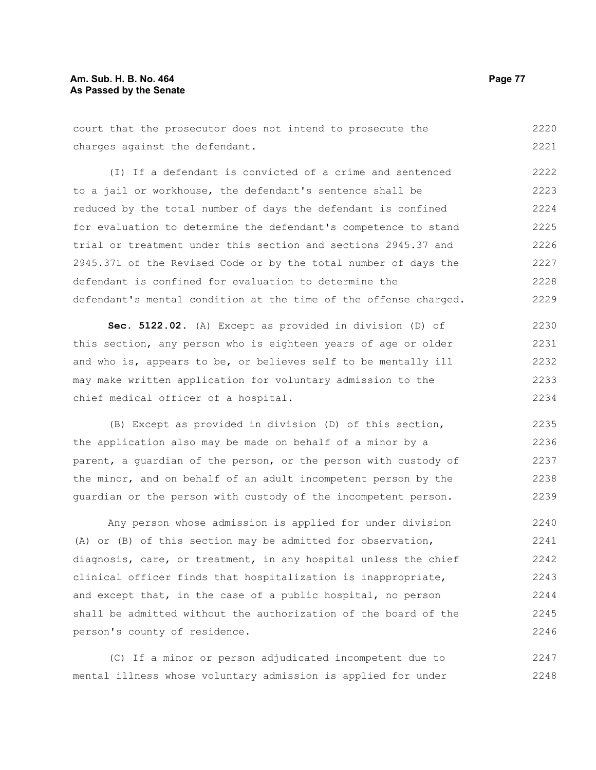(I) If a defendant is convicted of a crime and sentenced to a jail or workhouse, the defendant's sentence shall be reduced by the total number of days the defendant is confined for evaluation to determine the defendant's competence to stand trial or treatment under this section and sections 2945.37 and 2945.371 of the Revised Code or by the total number of days the defendant is confined for evaluation to determine the defendant's mental condition at the time of the offense charged. 2222 2223 2224 2225 2226 2227 2228 2229

**Sec. 5122.02.** (A) Except as provided in division (D) of this section, any person who is eighteen years of age or older and who is, appears to be, or believes self to be mentally ill may make written application for voluntary admission to the chief medical officer of a hospital. 2230 2231 2232 2233 2234

(B) Except as provided in division (D) of this section, the application also may be made on behalf of a minor by a parent, a guardian of the person, or the person with custody of the minor, and on behalf of an adult incompetent person by the guardian or the person with custody of the incompetent person. 2235 2236 2237 2238 2239

Any person whose admission is applied for under division (A) or (B) of this section may be admitted for observation, diagnosis, care, or treatment, in any hospital unless the chief clinical officer finds that hospitalization is inappropriate, and except that, in the case of a public hospital, no person shall be admitted without the authorization of the board of the person's county of residence. 2240 2241 2242 2243 2244 2245 2246

(C) If a minor or person adjudicated incompetent due to mental illness whose voluntary admission is applied for under 2247 2248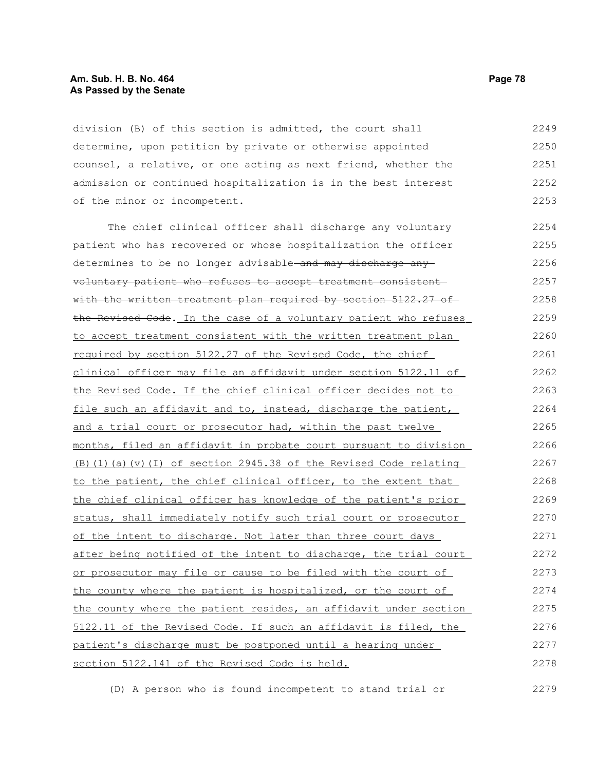## **Am. Sub. H. B. No. 464 Page 78 As Passed by the Senate**

division (B) of this section is admitted, the court shall determine, upon petition by private or otherwise appointed counsel, a relative, or one acting as next friend, whether the admission or continued hospitalization is in the best interest of the minor or incompetent. 2249 2250 2251 2252 2253

The chief clinical officer shall discharge any voluntary patient who has recovered or whose hospitalization the officer determines to be no longer advisable–and may discharge any voluntary patient who refuses to accept treatment consistent with the written treatment plan required by section 5122.27 ofthe Revised Code. In the case of a voluntary patient who refuses to accept treatment consistent with the written treatment plan required by section 5122.27 of the Revised Code, the chief clinical officer may file an affidavit under section 5122.11 of the Revised Code. If the chief clinical officer decides not to file such an affidavit and to, instead, discharge the patient, and a trial court or prosecutor had, within the past twelve months, filed an affidavit in probate court pursuant to division (B)(1)(a)(v)(I) of section 2945.38 of the Revised Code relating to the patient, the chief clinical officer, to the extent that the chief clinical officer has knowledge of the patient's prior status, shall immediately notify such trial court or prosecutor of the intent to discharge. Not later than three court days after being notified of the intent to discharge, the trial court or prosecutor may file or cause to be filed with the court of the county where the patient is hospitalized, or the court of the county where the patient resides, an affidavit under section 5122.11 of the Revised Code. If such an affidavit is filed, the patient's discharge must be postponed until a hearing under section 5122.141 of the Revised Code is held. 2254 2255 2256 2257 2258 2259 2260 2261 2262 2263 2264 2265 2266 2267 2268 2269 2270 2271 2272 2273 2274 2275 2276 2277 2278

(D) A person who is found incompetent to stand trial or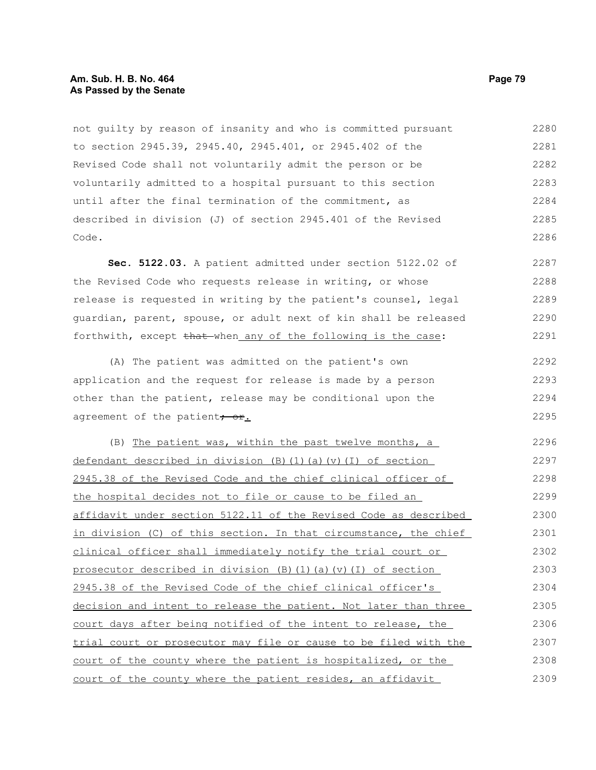## **Am. Sub. H. B. No. 464 Page 79 As Passed by the Senate**

not guilty by reason of insanity and who is committed pursuant to section 2945.39, 2945.40, 2945.401, or 2945.402 of the Revised Code shall not voluntarily admit the person or be voluntarily admitted to a hospital pursuant to this section until after the final termination of the commitment, as described in division (J) of section 2945.401 of the Revised Code. 2280 2281 2282 2283 2284 2285 2286

**Sec. 5122.03.** A patient admitted under section 5122.02 of the Revised Code who requests release in writing, or whose release is requested in writing by the patient's counsel, legal guardian, parent, spouse, or adult next of kin shall be released forthwith, except that when any of the following is the case: 2287 2288 2289 2290 2291

(A) The patient was admitted on the patient's own application and the request for release is made by a person other than the patient, release may be conditional upon the agreement of the patient<del>; or</del>. 2292 2293 2294 2295

(B) The patient was, within the past twelve months, a defendant described in division (B)(1)(a)(v)(I) of section 2945.38 of the Revised Code and the chief clinical officer of the hospital decides not to file or cause to be filed an affidavit under section 5122.11 of the Revised Code as described in division (C) of this section. In that circumstance, the chief clinical officer shall immediately notify the trial court or prosecutor described in division (B)(1)(a)(v)(I) of section 2945.38 of the Revised Code of the chief clinical officer's decision and intent to release the patient. Not later than three court days after being notified of the intent to release, the trial court or prosecutor may file or cause to be filed with the court of the county where the patient is hospitalized, or the court of the county where the patient resides, an affidavit 2296 2297 2298 2299 2300 2301 2302 2303 2304 2305 2306 2307 2308 2309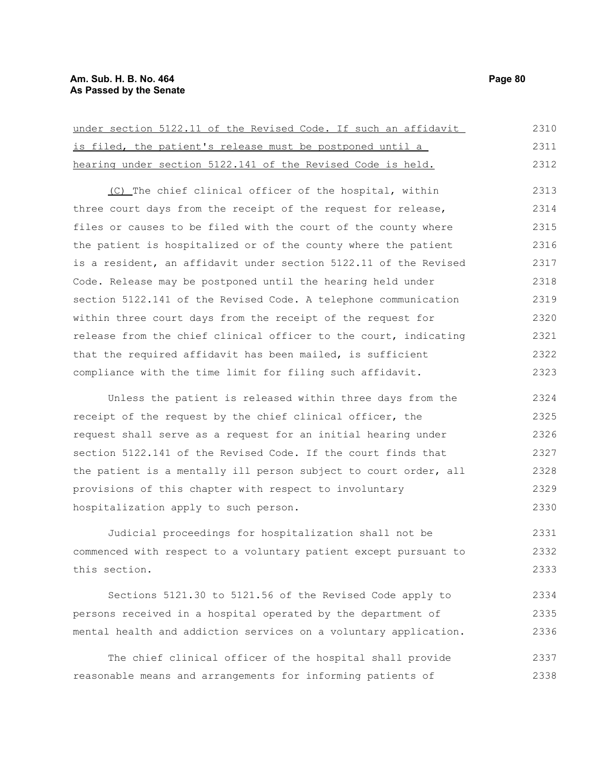under section 5122.11 of the Revised Code. If such an affidavit is filed, the patient's release must be postponed until a hearing under section 5122.141 of the Revised Code is held. (C) The chief clinical officer of the hospital, within three court days from the receipt of the request for release, files or causes to be filed with the court of the county where the patient is hospitalized or of the county where the patient is a resident, an affidavit under section 5122.11 of the Revised Code. Release may be postponed until the hearing held under section 5122.141 of the Revised Code. A telephone communication within three court days from the receipt of the request for release from the chief clinical officer to the court, indicating that the required affidavit has been mailed, is sufficient compliance with the time limit for filing such affidavit. 2310 2311 2312 2313 2314 2315 2316 2317 2318 2319 2320 2321 2322 2323

Unless the patient is released within three days from the receipt of the request by the chief clinical officer, the request shall serve as a request for an initial hearing under section 5122.141 of the Revised Code. If the court finds that the patient is a mentally ill person subject to court order, all provisions of this chapter with respect to involuntary hospitalization apply to such person. 2324 2325 2326 2327 2328 2329 2330

Judicial proceedings for hospitalization shall not be commenced with respect to a voluntary patient except pursuant to this section. 2331 2332 2333

Sections 5121.30 to 5121.56 of the Revised Code apply to persons received in a hospital operated by the department of mental health and addiction services on a voluntary application. 2334 2335 2336

The chief clinical officer of the hospital shall provide reasonable means and arrangements for informing patients of 2337 2338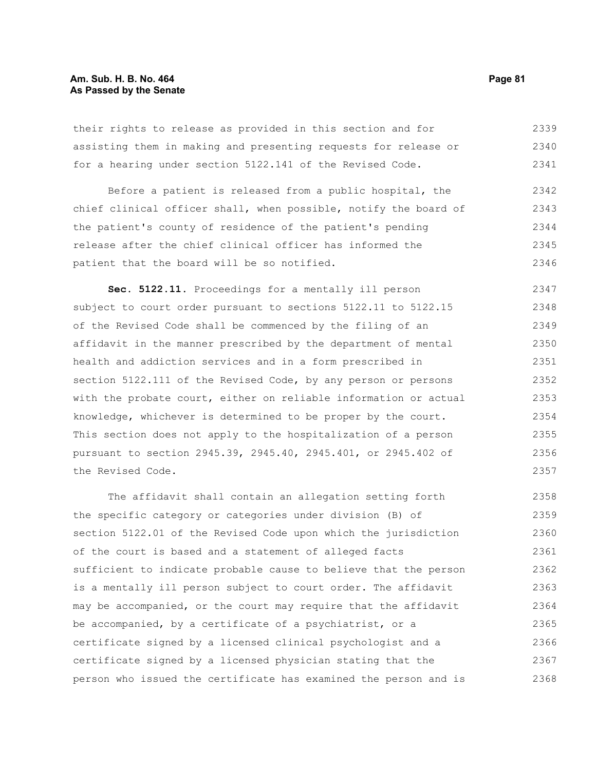## **Am. Sub. H. B. No. 464 Page 81 As Passed by the Senate**

their rights to release as provided in this section and for assisting them in making and presenting requests for release or for a hearing under section 5122.141 of the Revised Code. 2339 2340 2341

Before a patient is released from a public hospital, the chief clinical officer shall, when possible, notify the board of the patient's county of residence of the patient's pending release after the chief clinical officer has informed the patient that the board will be so notified. 2342 2343 2344 2345 2346

**Sec. 5122.11.** Proceedings for a mentally ill person subject to court order pursuant to sections 5122.11 to 5122.15 of the Revised Code shall be commenced by the filing of an affidavit in the manner prescribed by the department of mental health and addiction services and in a form prescribed in section 5122.111 of the Revised Code, by any person or persons with the probate court, either on reliable information or actual knowledge, whichever is determined to be proper by the court. This section does not apply to the hospitalization of a person pursuant to section 2945.39, 2945.40, 2945.401, or 2945.402 of the Revised Code. 2347 2348 2349 2350 2351 2352 2353 2354 2355 2356 2357

The affidavit shall contain an allegation setting forth the specific category or categories under division (B) of section 5122.01 of the Revised Code upon which the jurisdiction of the court is based and a statement of alleged facts sufficient to indicate probable cause to believe that the person is a mentally ill person subject to court order. The affidavit may be accompanied, or the court may require that the affidavit be accompanied, by a certificate of a psychiatrist, or a certificate signed by a licensed clinical psychologist and a certificate signed by a licensed physician stating that the person who issued the certificate has examined the person and is 2358 2359 2360 2361 2362 2363 2364 2365 2366 2367 2368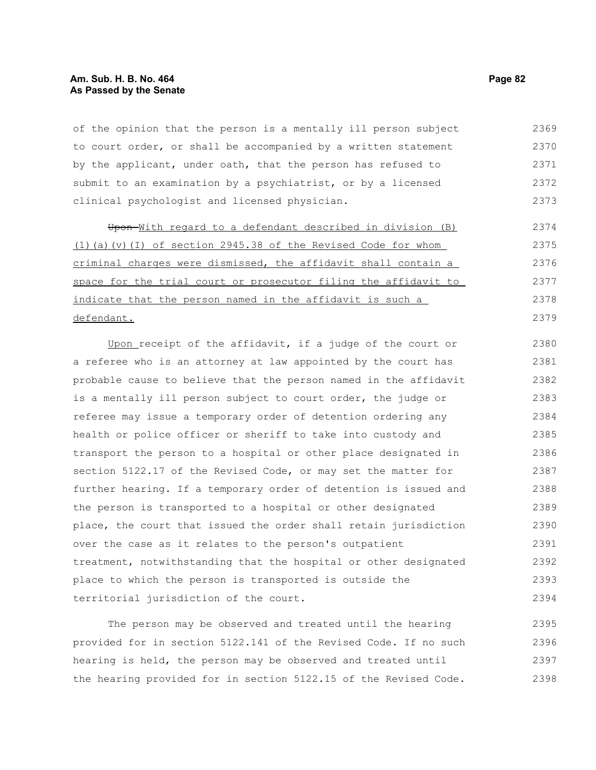## **Am. Sub. H. B. No. 464 Page 82 As Passed by the Senate**

of the opinion that the person is a mentally ill person subject to court order, or shall be accompanied by a written statement by the applicant, under oath, that the person has refused to submit to an examination by a psychiatrist, or by a licensed clinical psychologist and licensed physician. 2369 2370 2371 2372 2373

Upon With regard to a defendant described in division (B) (1)(a)(v)(I) of section 2945.38 of the Revised Code for whom criminal charges were dismissed, the affidavit shall contain a space for the trial court or prosecutor filing the affidavit to indicate that the person named in the affidavit is such a defendant. 2374 2375 2376 2377 2378 2379

Upon receipt of the affidavit, if a judge of the court or a referee who is an attorney at law appointed by the court has probable cause to believe that the person named in the affidavit is a mentally ill person subject to court order, the judge or referee may issue a temporary order of detention ordering any health or police officer or sheriff to take into custody and transport the person to a hospital or other place designated in section 5122.17 of the Revised Code, or may set the matter for further hearing. If a temporary order of detention is issued and the person is transported to a hospital or other designated place, the court that issued the order shall retain jurisdiction over the case as it relates to the person's outpatient treatment, notwithstanding that the hospital or other designated place to which the person is transported is outside the territorial jurisdiction of the court. 2380 2381 2382 2383 2384 2385 2386 2387 2388 2389 2390 2391 2392 2393 2394

The person may be observed and treated until the hearing provided for in section 5122.141 of the Revised Code. If no such hearing is held, the person may be observed and treated until the hearing provided for in section 5122.15 of the Revised Code. 2395 2396 2397 2398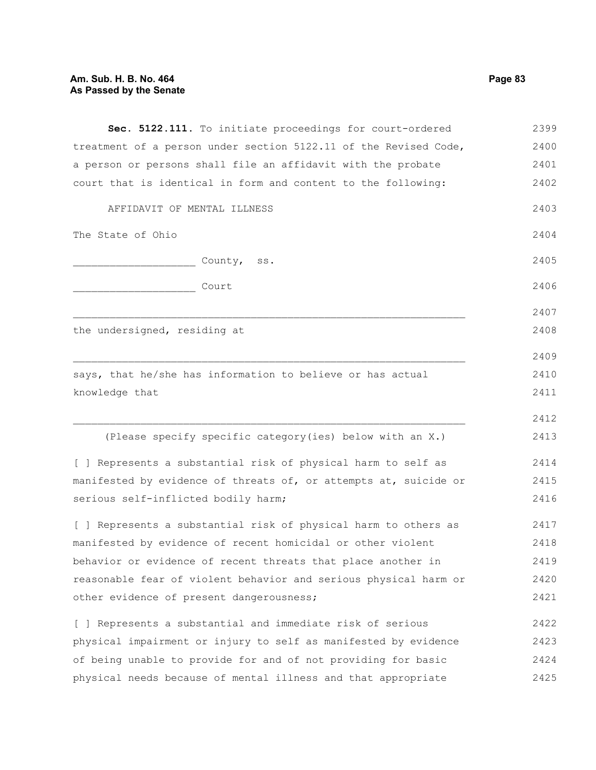| Sec. 5122.111. To initiate proceedings for court-ordered         | 2399 |
|------------------------------------------------------------------|------|
| treatment of a person under section 5122.11 of the Revised Code, | 2400 |
| a person or persons shall file an affidavit with the probate     | 2401 |
| court that is identical in form and content to the following:    | 2402 |
| AFFIDAVIT OF MENTAL ILLNESS                                      | 2403 |
| The State of Ohio                                                | 2404 |
| County,<br>SS.                                                   | 2405 |
| Court                                                            | 2406 |
|                                                                  | 2407 |
| the undersigned, residing at                                     | 2408 |
|                                                                  | 2409 |
| says, that he/she has information to believe or has actual       | 2410 |
| knowledge that                                                   | 2411 |
|                                                                  | 2412 |
| (Please specify specific category (ies) below with an X.)        | 2413 |
| [ ] Represents a substantial risk of physical harm to self as    | 2414 |
| manifested by evidence of threats of, or attempts at, suicide or | 2415 |
| serious self-inflicted bodily harm;                              | 2416 |
| [ ] Represents a substantial risk of physical harm to others as  | 2417 |
| manifested by evidence of recent homicidal or other violent      | 2418 |
| behavior or evidence of recent threats that place another in     | 2419 |
| reasonable fear of violent behavior and serious physical harm or | 2420 |
| other evidence of present dangerousness;                         | 2421 |
| [ ] Represents a substantial and immediate risk of serious       | 2422 |
| physical impairment or injury to self as manifested by evidence  | 2423 |
| of being unable to provide for and of not providing for basic    | 2424 |
| physical needs because of mental illness and that appropriate    | 2425 |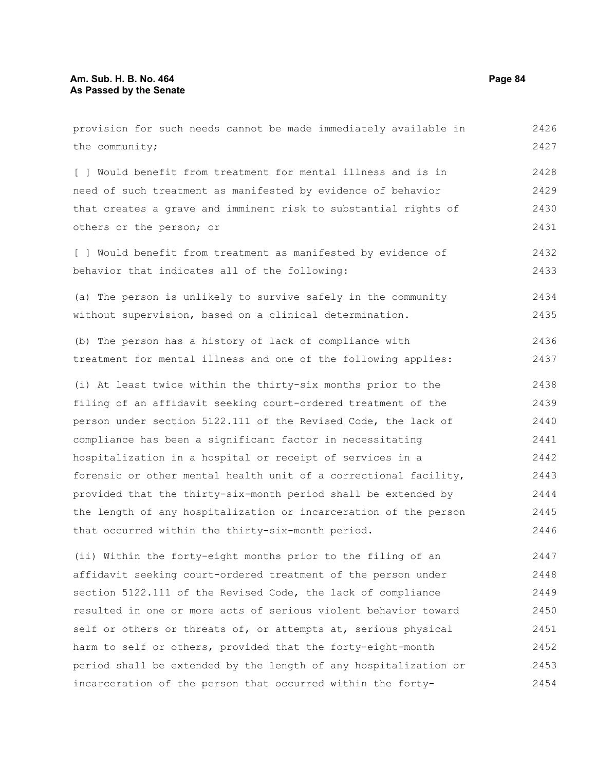| provision for such needs cannot be made immediately available in | 2426 |
|------------------------------------------------------------------|------|
| the community;                                                   | 2427 |
| [ ] Would benefit from treatment for mental illness and is in    | 2428 |
| need of such treatment as manifested by evidence of behavior     | 2429 |
| that creates a grave and imminent risk to substantial rights of  | 2430 |
| others or the person; or                                         | 2431 |
| [ ] Would benefit from treatment as manifested by evidence of    | 2432 |
| behavior that indicates all of the following:                    | 2433 |
| (a) The person is unlikely to survive safely in the community    | 2434 |
| without supervision, based on a clinical determination.          | 2435 |
| (b) The person has a history of lack of compliance with          | 2436 |
| treatment for mental illness and one of the following applies:   | 2437 |
| (i) At least twice within the thirty-six months prior to the     | 2438 |
| filing of an affidavit seeking court-ordered treatment of the    | 2439 |
| person under section 5122.111 of the Revised Code, the lack of   | 2440 |
| compliance has been a significant factor in necessitating        | 2441 |
| hospitalization in a hospital or receipt of services in a        | 2442 |
| forensic or other mental health unit of a correctional facility, | 2443 |
| provided that the thirty-six-month period shall be extended by   | 2444 |
| the length of any hospitalization or incarceration of the person | 2445 |
| that occurred within the thirty-six-month period.                | 2446 |
| (ii) Within the forty-eight months prior to the filing of an     | 2447 |
| affidavit seeking court-ordered treatment of the person under    | 2448 |
| section 5122.111 of the Revised Code, the lack of compliance     | 2449 |
| resulted in one or more acts of serious violent behavior toward  | 2450 |
| self or others or threats of, or attempts at, serious physical   | 2451 |
| harm to self or others, provided that the forty-eight-month      | 2452 |
| period shall be extended by the length of any hospitalization or | 2453 |
| incarceration of the person that occurred within the forty-      | 2454 |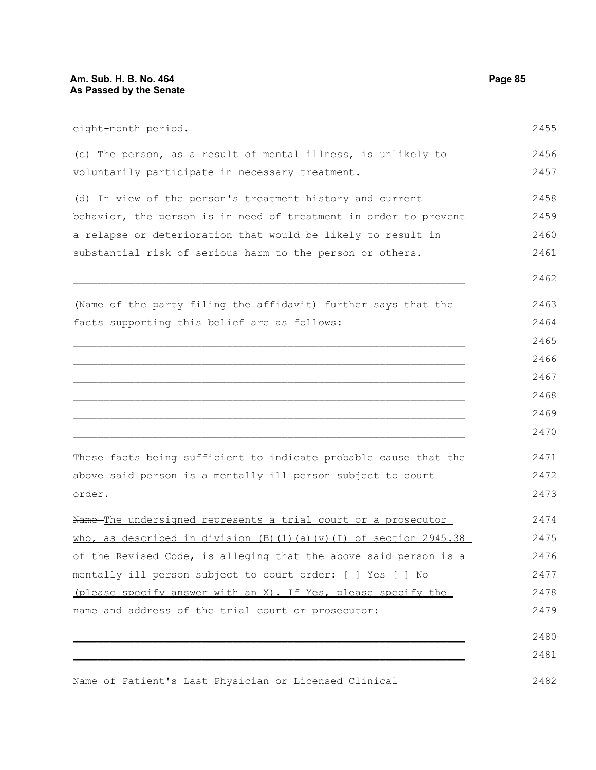| eight-month period.                                                          | 2455 |
|------------------------------------------------------------------------------|------|
| (c) The person, as a result of mental illness, is unlikely to                | 2456 |
| voluntarily participate in necessary treatment.                              | 2457 |
| (d) In view of the person's treatment history and current                    | 2458 |
| behavior, the person is in need of treatment in order to prevent             | 2459 |
| a relapse or deterioration that would be likely to result in                 | 2460 |
| substantial risk of serious harm to the person or others.                    | 2461 |
|                                                                              | 2462 |
| (Name of the party filing the affidavit) further says that the               | 2463 |
| facts supporting this belief are as follows:                                 | 2464 |
|                                                                              | 2465 |
|                                                                              | 2466 |
|                                                                              | 2467 |
|                                                                              | 2468 |
|                                                                              | 2469 |
|                                                                              | 2470 |
| These facts being sufficient to indicate probable cause that the             | 2471 |
| above said person is a mentally ill person subject to court                  | 2472 |
| order.                                                                       | 2473 |
| Name-The undersigned represents a trial court or a prosecutor                | 2474 |
| who, as described in division (B) $(1)$ $(a)$ $(v)$ $(1)$ of section 2945.38 | 2475 |
| of the Revised Code, is alleging that the above said person is a             | 2476 |
| mentally ill person subject to court order: [ ] Yes [ ] No                   | 2477 |
| (please specify answer with an X). If Yes, please specify the                | 2478 |
| name and address of the trial court or prosecutor:                           | 2479 |
|                                                                              | 2480 |
|                                                                              | 2481 |
| Name of Patient's Last Physician or Licensed Clinical                        | 2482 |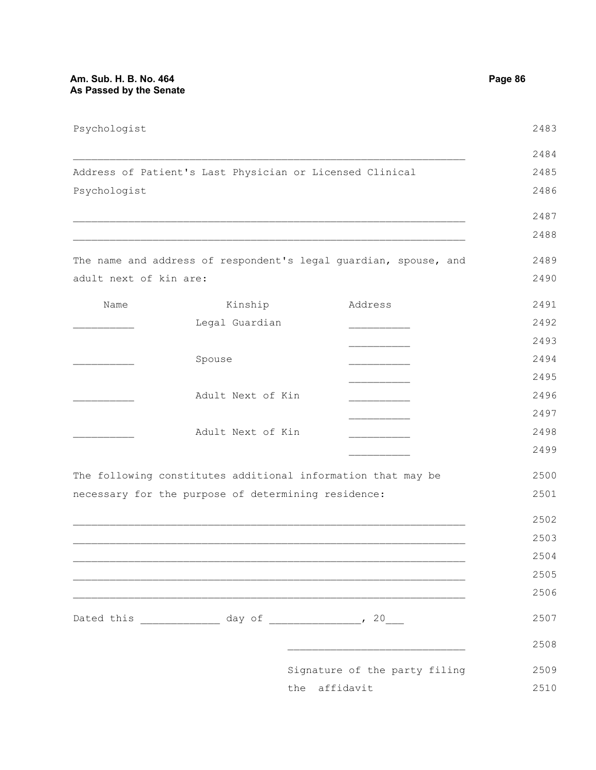# **Am. Sub. H. B. No. 464** Page 86 **As Passed by the Senate**

| Psychologist           |                                                     |                                                                  | 2483 |
|------------------------|-----------------------------------------------------|------------------------------------------------------------------|------|
|                        |                                                     |                                                                  | 2484 |
|                        |                                                     | Address of Patient's Last Physician or Licensed Clinical         | 2485 |
| Psychologist           |                                                     |                                                                  | 2486 |
|                        |                                                     |                                                                  | 2487 |
|                        |                                                     |                                                                  | 2488 |
|                        |                                                     | The name and address of respondent's legal guardian, spouse, and | 2489 |
| adult next of kin are: |                                                     |                                                                  | 2490 |
| Name                   | Kinship                                             | Address                                                          | 2491 |
|                        | Legal Guardian                                      |                                                                  | 2492 |
|                        |                                                     |                                                                  | 2493 |
|                        | Spouse                                              |                                                                  | 2494 |
|                        |                                                     |                                                                  | 2495 |
|                        | Adult Next of Kin                                   |                                                                  | 2496 |
|                        |                                                     |                                                                  | 2497 |
|                        | Adult Next of Kin                                   |                                                                  | 2498 |
|                        |                                                     |                                                                  | 2499 |
|                        |                                                     | The following constitutes additional information that may be     | 2500 |
|                        | necessary for the purpose of determining residence: |                                                                  | 2501 |
|                        |                                                     |                                                                  | 2502 |
|                        |                                                     |                                                                  | 2503 |
|                        |                                                     |                                                                  | 2504 |
|                        |                                                     |                                                                  | 2505 |
|                        |                                                     |                                                                  | 2506 |
|                        |                                                     | Dated this _______________ day of _______________, 20____        | 2507 |
|                        |                                                     |                                                                  | 2508 |
|                        |                                                     | Signature of the party filing                                    | 2509 |
|                        |                                                     | the affidavit                                                    | 2510 |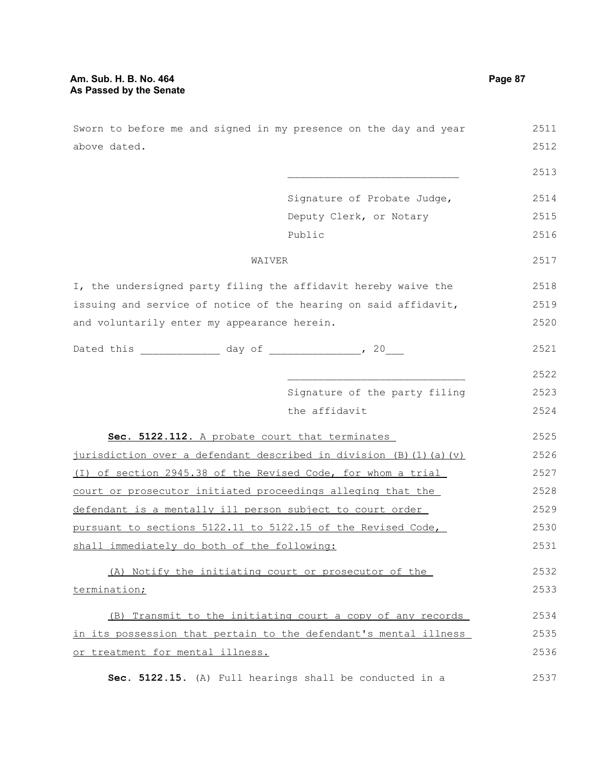|                                  | Sworn to before me and signed in my presence on the day and year    | 2511 |
|----------------------------------|---------------------------------------------------------------------|------|
| above dated.                     |                                                                     | 2512 |
|                                  |                                                                     | 2513 |
|                                  | Signature of Probate Judge,                                         | 2514 |
|                                  | Deputy Clerk, or Notary                                             | 2515 |
|                                  | Public                                                              | 2516 |
|                                  | WAIVER                                                              | 2517 |
|                                  | I, the undersigned party filing the affidavit hereby waive the      | 2518 |
|                                  | issuing and service of notice of the hearing on said affidavit,     | 2519 |
|                                  | and voluntarily enter my appearance herein.                         | 2520 |
|                                  | Dated this _______________ day of _____________, 20____             | 2521 |
|                                  |                                                                     | 2522 |
|                                  | Signature of the party filing                                       | 2523 |
|                                  | the affidavit                                                       | 2524 |
|                                  | Sec. 5122.112. A probate court that terminates                      | 2525 |
|                                  | jurisdiction over a defendant described in division (B) (1) (a) (v) | 2526 |
|                                  | (I) of section 2945.38 of the Revised Code, for whom a trial        | 2527 |
|                                  | court or prosecutor initiated proceedings alleging that the         | 2528 |
|                                  | defendant is a mentally ill person subject to court order           | 2529 |
|                                  | pursuant to sections 5122.11 to 5122.15 of the Revised Code,        | 2530 |
|                                  | shall immediately do both of the following:                         | 2531 |
|                                  | (A) Notify the initiating court or prosecutor of the                | 2532 |
| termination;                     |                                                                     | 2533 |
|                                  | (B) Transmit to the initiating court a copy of any records          | 2534 |
|                                  | in its possession that pertain to the defendant's mental illness    | 2535 |
| or treatment for mental illness. |                                                                     | 2536 |
|                                  | Sec. 5122.15. (A) Full hearings shall be conducted in a             | 2537 |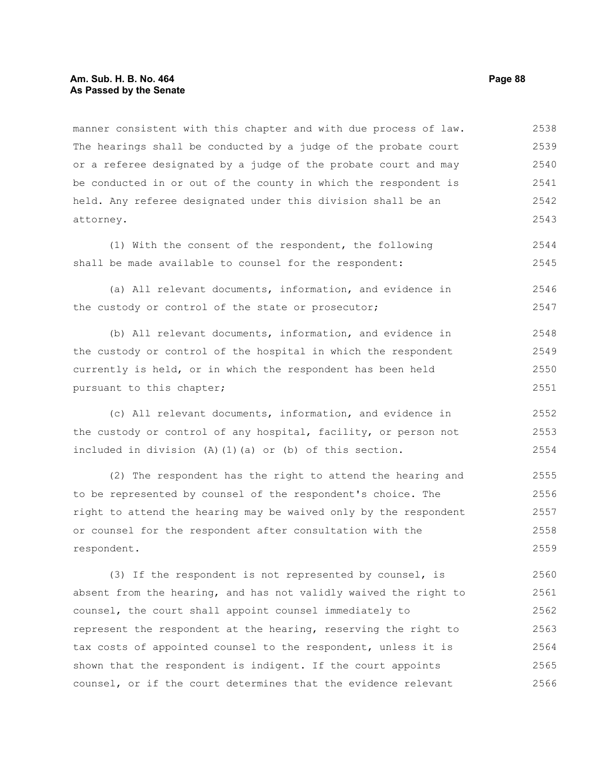## **Am. Sub. H. B. No. 464 Page 88 As Passed by the Senate**

manner consistent with this chapter and with due process of law. The hearings shall be conducted by a judge of the probate court or a referee designated by a judge of the probate court and may be conducted in or out of the county in which the respondent is held. Any referee designated under this division shall be an attorney. 2538 2539 2540 2541 2542 2543

(1) With the consent of the respondent, the following shall be made available to counsel for the respondent: 2544 2545

(a) All relevant documents, information, and evidence in the custody or control of the state or prosecutor; 2546 2547

(b) All relevant documents, information, and evidence in the custody or control of the hospital in which the respondent currently is held, or in which the respondent has been held pursuant to this chapter; 2548 2549 2550 2551

(c) All relevant documents, information, and evidence in the custody or control of any hospital, facility, or person not included in division (A)(1)(a) or (b) of this section. 2552 2553 2554

(2) The respondent has the right to attend the hearing and to be represented by counsel of the respondent's choice. The right to attend the hearing may be waived only by the respondent or counsel for the respondent after consultation with the respondent. 2555 2556 2557 2558 2559

(3) If the respondent is not represented by counsel, is absent from the hearing, and has not validly waived the right to counsel, the court shall appoint counsel immediately to represent the respondent at the hearing, reserving the right to tax costs of appointed counsel to the respondent, unless it is shown that the respondent is indigent. If the court appoints counsel, or if the court determines that the evidence relevant 2560 2561 2562 2563 2564 2565 2566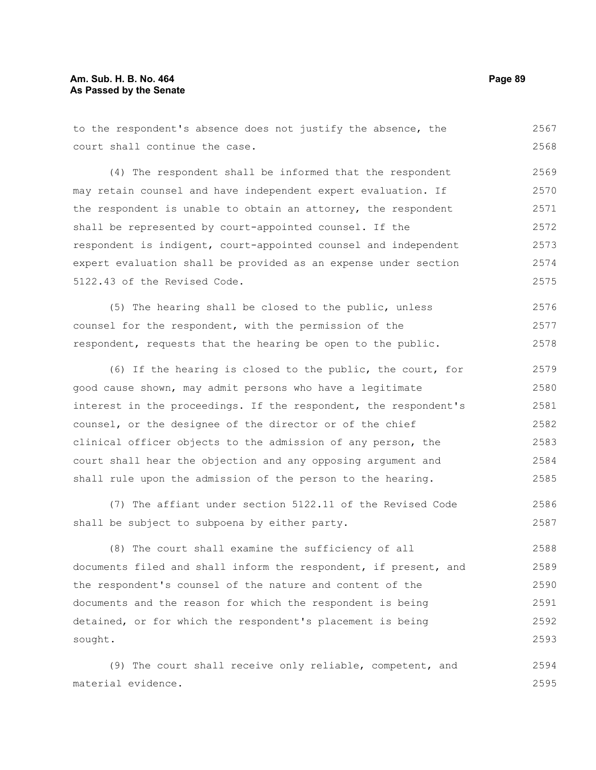## **Am. Sub. H. B. No. 464 Page 89 As Passed by the Senate**

to the respondent's absence does not justify the absence, the court shall continue the case. 2567 2568

(4) The respondent shall be informed that the respondent may retain counsel and have independent expert evaluation. If the respondent is unable to obtain an attorney, the respondent shall be represented by court-appointed counsel. If the respondent is indigent, court-appointed counsel and independent expert evaluation shall be provided as an expense under section 5122.43 of the Revised Code. 2569 2570 2571 2572 2573 2574 2575

(5) The hearing shall be closed to the public, unless counsel for the respondent, with the permission of the respondent, requests that the hearing be open to the public. 2576 2577 2578

(6) If the hearing is closed to the public, the court, for good cause shown, may admit persons who have a legitimate interest in the proceedings. If the respondent, the respondent's counsel, or the designee of the director or of the chief clinical officer objects to the admission of any person, the court shall hear the objection and any opposing argument and shall rule upon the admission of the person to the hearing. 2579 2580 2581 2582 2583 2584 2585

(7) The affiant under section 5122.11 of the Revised Code shall be subject to subpoena by either party. 2586 2587

(8) The court shall examine the sufficiency of all documents filed and shall inform the respondent, if present, and the respondent's counsel of the nature and content of the documents and the reason for which the respondent is being detained, or for which the respondent's placement is being sought. 2588 2589 2590 2591 2592 2593

(9) The court shall receive only reliable, competent, and material evidence. 2594 2595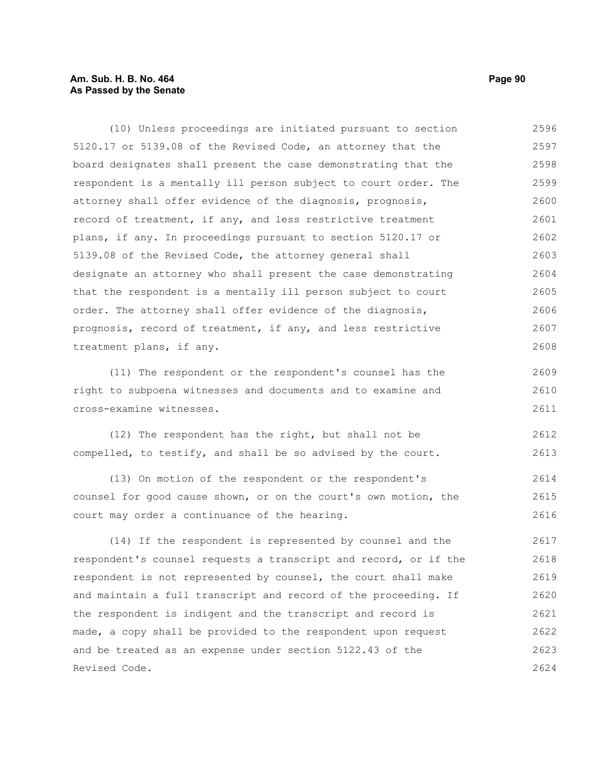# **Am. Sub. H. B. No. 464 Page 90 As Passed by the Senate**

(10) Unless proceedings are initiated pursuant to section 5120.17 or 5139.08 of the Revised Code, an attorney that the board designates shall present the case demonstrating that the respondent is a mentally ill person subject to court order. The attorney shall offer evidence of the diagnosis, prognosis, record of treatment, if any, and less restrictive treatment plans, if any. In proceedings pursuant to section 5120.17 or 5139.08 of the Revised Code, the attorney general shall designate an attorney who shall present the case demonstrating that the respondent is a mentally ill person subject to court order. The attorney shall offer evidence of the diagnosis, prognosis, record of treatment, if any, and less restrictive treatment plans, if any. 2596 2597 2598 2599 2600 2601 2602 2603 2604 2605 2606 2607 2608

(11) The respondent or the respondent's counsel has the right to subpoena witnesses and documents and to examine and cross-examine witnesses. 2609 2610 2611

(12) The respondent has the right, but shall not be compelled, to testify, and shall be so advised by the court. 2612 2613

(13) On motion of the respondent or the respondent's counsel for good cause shown, or on the court's own motion, the court may order a continuance of the hearing. 2614 2615 2616

(14) If the respondent is represented by counsel and the respondent's counsel requests a transcript and record, or if the respondent is not represented by counsel, the court shall make and maintain a full transcript and record of the proceeding. If the respondent is indigent and the transcript and record is made, a copy shall be provided to the respondent upon request and be treated as an expense under section 5122.43 of the Revised Code. 2617 2618 2619 2620 2621 2622 2623 2624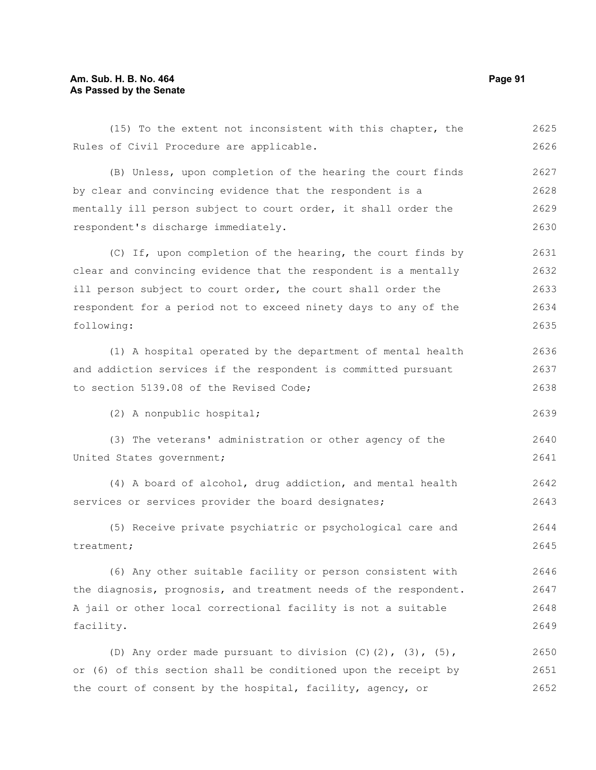## **Am. Sub. H. B. No. 464 Page 91 As Passed by the Senate**

(15) To the extent not inconsistent with this chapter, the Rules of Civil Procedure are applicable. (B) Unless, upon completion of the hearing the court finds by clear and convincing evidence that the respondent is a mentally ill person subject to court order, it shall order the respondent's discharge immediately. (C) If, upon completion of the hearing, the court finds by clear and convincing evidence that the respondent is a mentally ill person subject to court order, the court shall order the respondent for a period not to exceed ninety days to any of the following: (1) A hospital operated by the department of mental health and addiction services if the respondent is committed pursuant to section 5139.08 of the Revised Code; (2) A nonpublic hospital; (3) The veterans' administration or other agency of the United States government; (4) A board of alcohol, drug addiction, and mental health services or services provider the board designates; (5) Receive private psychiatric or psychological care and treatment; (6) Any other suitable facility or person consistent with the diagnosis, prognosis, and treatment needs of the respondent. A jail or other local correctional facility is not a suitable facility. (D) Any order made pursuant to division  $(C)$   $(2)$ ,  $(3)$ ,  $(5)$ , or (6) of this section shall be conditioned upon the receipt by 2625 2626 2627 2628 2629 2630 2631 2632 2633 2634 2635 2636 2637 2638 2639 2640 2641 2642 2643 2644 2645 2646 2647 2648 2649 2650 2651

the court of consent by the hospital, facility, agency, or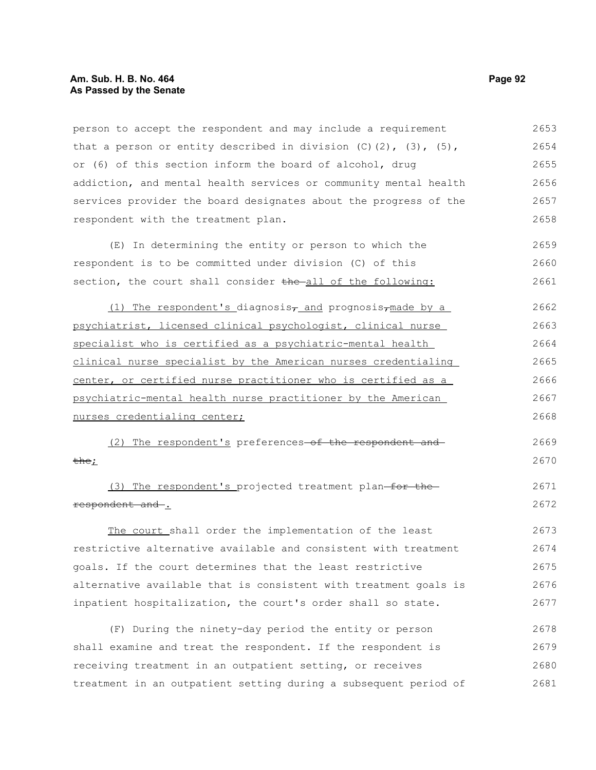## **Am. Sub. H. B. No. 464 Page 92 As Passed by the Senate**

person to accept the respondent and may include a requirement that a person or entity described in division  $(C)(2)$ ,  $(3)$ ,  $(5)$ , or (6) of this section inform the board of alcohol, drug addiction, and mental health services or community mental health services provider the board designates about the progress of the respondent with the treatment plan. 2653 2654 2655 2656 2657 2658

(E) In determining the entity or person to which the respondent is to be committed under division (C) of this section, the court shall consider the all of the following: 2659 2660 2661

(1) The respondent's diagnosis $_{\tau}$  and prognosis $_{\tau}$ made by a psychiatrist, licensed clinical psychologist, clinical nurse specialist who is certified as a psychiatric-mental health clinical nurse specialist by the American nurses credentialing center, or certified nurse practitioner who is certified as a psychiatric-mental health nurse practitioner by the American nurses credentialing center; 2662 2663 2664 2665 2666 2667 2668

(2) The respondent's preferences-of the respondent and the; 2669 2670

(3) The respondent's projected treatment plan-for therespondent and .

The court shall order the implementation of the least restrictive alternative available and consistent with treatment goals. If the court determines that the least restrictive alternative available that is consistent with treatment goals is inpatient hospitalization, the court's order shall so state. 2673 2674 2675 2676 2677

(F) During the ninety-day period the entity or person shall examine and treat the respondent. If the respondent is receiving treatment in an outpatient setting, or receives treatment in an outpatient setting during a subsequent period of 2678 2679 2680 2681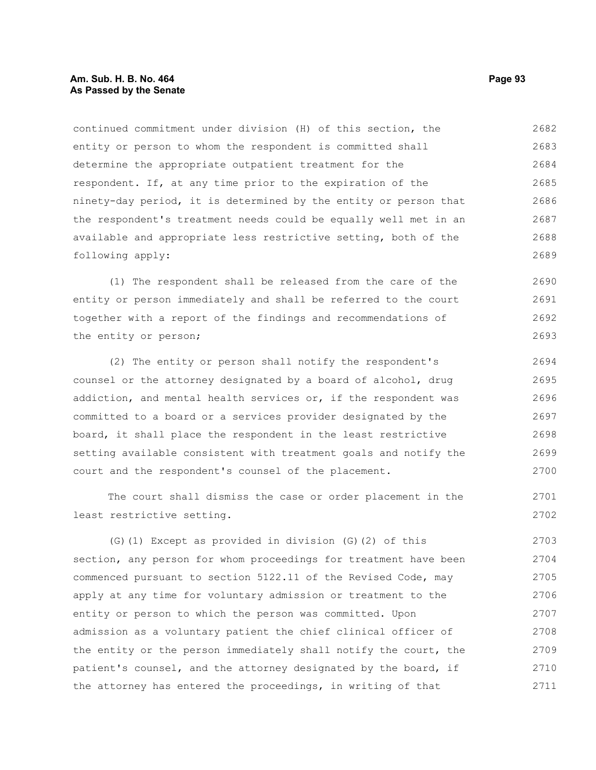## **Am. Sub. H. B. No. 464 Page 93 As Passed by the Senate**

continued commitment under division (H) of this section, the entity or person to whom the respondent is committed shall determine the appropriate outpatient treatment for the respondent. If, at any time prior to the expiration of the ninety-day period, it is determined by the entity or person that the respondent's treatment needs could be equally well met in an available and appropriate less restrictive setting, both of the following apply: 2682 2683 2684 2685 2686 2687 2688 2689

(1) The respondent shall be released from the care of the entity or person immediately and shall be referred to the court together with a report of the findings and recommendations of the entity or person; 2690 2691 2692 2693

(2) The entity or person shall notify the respondent's counsel or the attorney designated by a board of alcohol, drug addiction, and mental health services or, if the respondent was committed to a board or a services provider designated by the board, it shall place the respondent in the least restrictive setting available consistent with treatment goals and notify the court and the respondent's counsel of the placement. 2694 2695 2696 2697 2698 2699 2700

The court shall dismiss the case or order placement in the least restrictive setting.

(G)(1) Except as provided in division (G)(2) of this section, any person for whom proceedings for treatment have been commenced pursuant to section 5122.11 of the Revised Code, may apply at any time for voluntary admission or treatment to the entity or person to which the person was committed. Upon admission as a voluntary patient the chief clinical officer of the entity or the person immediately shall notify the court, the patient's counsel, and the attorney designated by the board, if the attorney has entered the proceedings, in writing of that 2703 2704 2705 2706 2707 2708 2709 2710 2711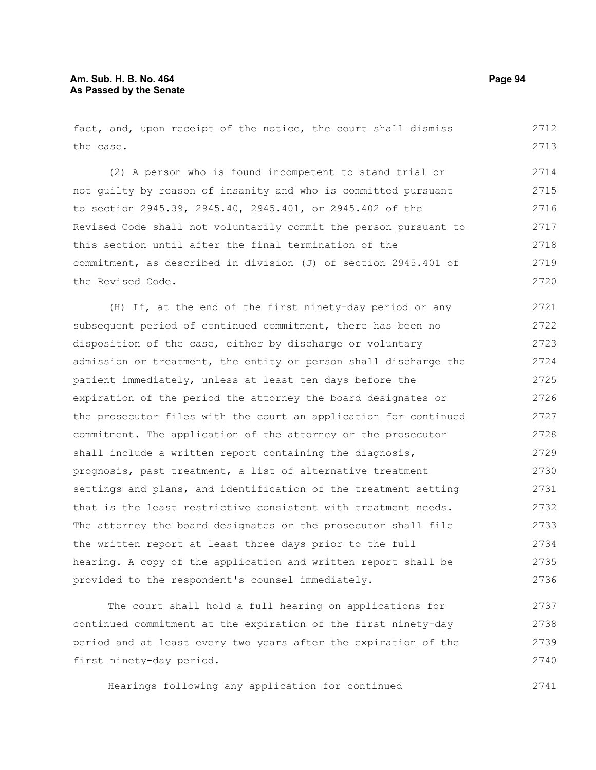fact, and, upon receipt of the notice, the court shall dismiss the case. 2712 2713

(2) A person who is found incompetent to stand trial or not guilty by reason of insanity and who is committed pursuant to section 2945.39, 2945.40, 2945.401, or 2945.402 of the Revised Code shall not voluntarily commit the person pursuant to this section until after the final termination of the commitment, as described in division (J) of section 2945.401 of the Revised Code. 2714 2715 2716 2717 2718 2719 2720

(H) If, at the end of the first ninety-day period or any subsequent period of continued commitment, there has been no disposition of the case, either by discharge or voluntary admission or treatment, the entity or person shall discharge the patient immediately, unless at least ten days before the expiration of the period the attorney the board designates or the prosecutor files with the court an application for continued commitment. The application of the attorney or the prosecutor shall include a written report containing the diagnosis, prognosis, past treatment, a list of alternative treatment settings and plans, and identification of the treatment setting that is the least restrictive consistent with treatment needs. The attorney the board designates or the prosecutor shall file the written report at least three days prior to the full hearing. A copy of the application and written report shall be provided to the respondent's counsel immediately. 2721 2722 2723 2724 2725 2726 2727 2728 2729 2730 2731 2732 2733 2734 2735 2736

The court shall hold a full hearing on applications for continued commitment at the expiration of the first ninety-day period and at least every two years after the expiration of the first ninety-day period. 2737 2738 2739 2740

Hearings following any application for continued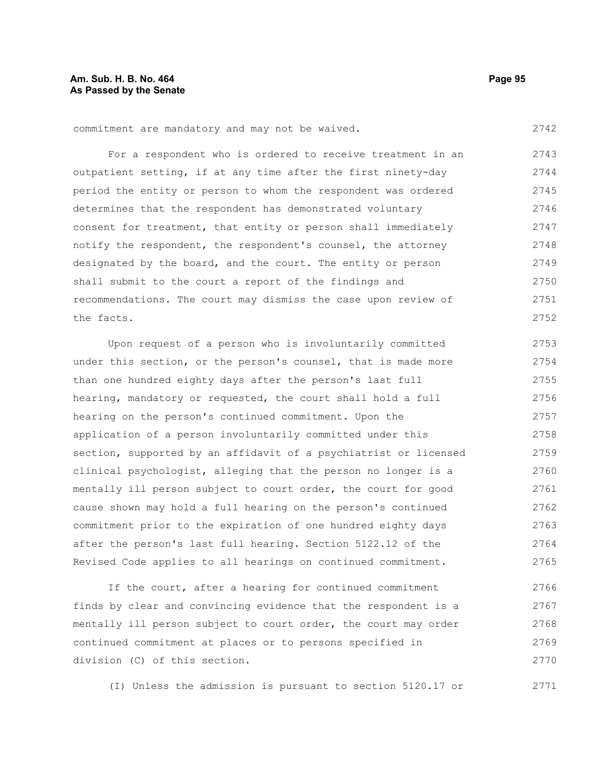# **Am. Sub. H. B. No. 464 Page 95 As Passed by the Senate**

commitment are mandatory and may not be waived.

For a respondent who is ordered to receive treatment in an outpatient setting, if at any time after the first ninety-day period the entity or person to whom the respondent was ordered determines that the respondent has demonstrated voluntary consent for treatment, that entity or person shall immediately notify the respondent, the respondent's counsel, the attorney designated by the board, and the court. The entity or person shall submit to the court a report of the findings and recommendations. The court may dismiss the case upon review of the facts. 2743 2744 2745 2746 2747 2748 2749 2750 2751 2752

Upon request of a person who is involuntarily committed under this section, or the person's counsel, that is made more than one hundred eighty days after the person's last full hearing, mandatory or requested, the court shall hold a full hearing on the person's continued commitment. Upon the application of a person involuntarily committed under this section, supported by an affidavit of a psychiatrist or licensed clinical psychologist, alleging that the person no longer is a mentally ill person subject to court order, the court for good cause shown may hold a full hearing on the person's continued commitment prior to the expiration of one hundred eighty days after the person's last full hearing. Section 5122.12 of the Revised Code applies to all hearings on continued commitment. 2753 2754 2755 2756 2757 2758 2759 2760 2761 2762 2763 2764 2765

If the court, after a hearing for continued commitment finds by clear and convincing evidence that the respondent is a mentally ill person subject to court order, the court may order continued commitment at places or to persons specified in division (C) of this section. 2766 2767 2768 2769 2770

(I) Unless the admission is pursuant to section 5120.17 or 2771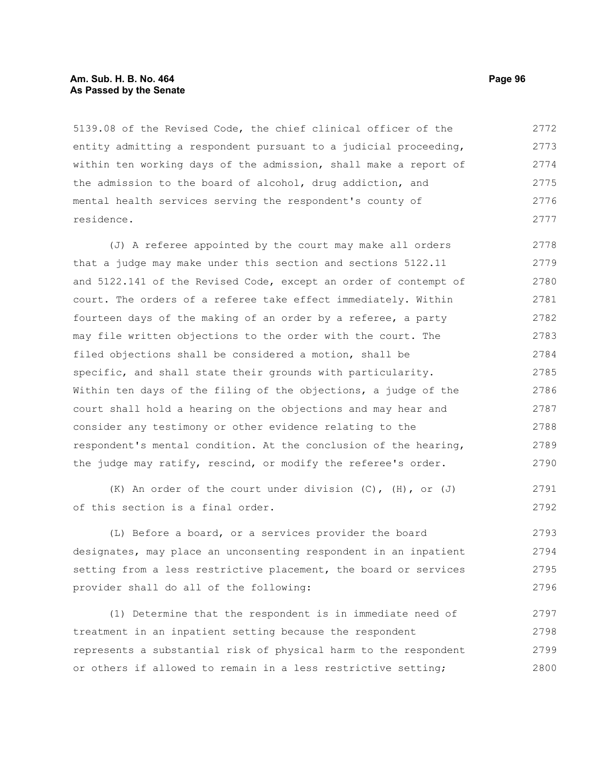## **Am. Sub. H. B. No. 464 Page 96 As Passed by the Senate**

5139.08 of the Revised Code, the chief clinical officer of the entity admitting a respondent pursuant to a judicial proceeding, within ten working days of the admission, shall make a report of the admission to the board of alcohol, drug addiction, and mental health services serving the respondent's county of residence. 2772 2773 2774 2775 2776 2777

(J) A referee appointed by the court may make all orders that a judge may make under this section and sections 5122.11 and 5122.141 of the Revised Code, except an order of contempt of court. The orders of a referee take effect immediately. Within fourteen days of the making of an order by a referee, a party may file written objections to the order with the court. The filed objections shall be considered a motion, shall be specific, and shall state their grounds with particularity. Within ten days of the filing of the objections, a judge of the court shall hold a hearing on the objections and may hear and consider any testimony or other evidence relating to the respondent's mental condition. At the conclusion of the hearing, the judge may ratify, rescind, or modify the referee's order. 2778 2779 2780 2781 2782 2783 2784 2785 2786 2787 2788 2789 2790

(K) An order of the court under division (C), (H), or (J) of this section is a final order.

(L) Before a board, or a services provider the board designates, may place an unconsenting respondent in an inpatient setting from a less restrictive placement, the board or services provider shall do all of the following: 2793 2794 2795 2796

(1) Determine that the respondent is in immediate need of treatment in an inpatient setting because the respondent represents a substantial risk of physical harm to the respondent or others if allowed to remain in a less restrictive setting; 2797 2798 2799 2800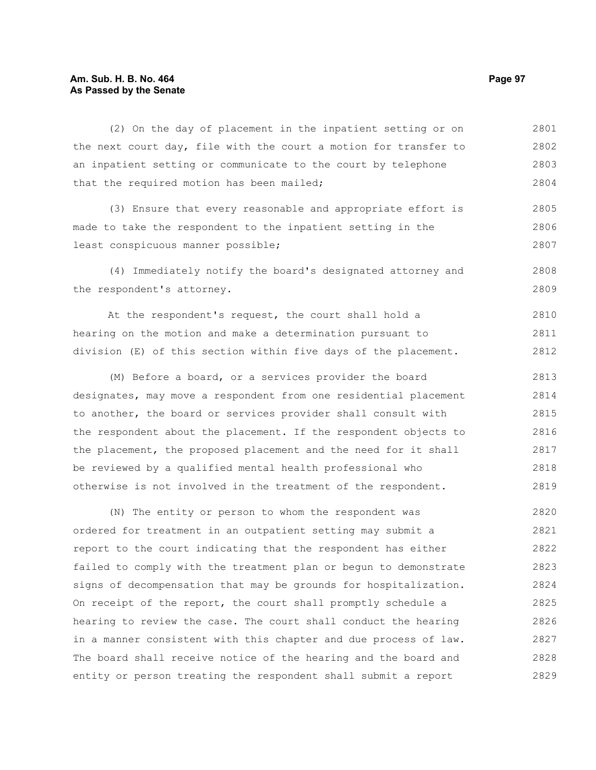## **Am. Sub. H. B. No. 464 Page 97 As Passed by the Senate**

(2) On the day of placement in the inpatient setting or on the next court day, file with the court a motion for transfer to an inpatient setting or communicate to the court by telephone that the required motion has been mailed; 2801 2802 2803 2804

(3) Ensure that every reasonable and appropriate effort is made to take the respondent to the inpatient setting in the least conspicuous manner possible; 2805 2806 2807

(4) Immediately notify the board's designated attorney and the respondent's attorney. 2808 2809

At the respondent's request, the court shall hold a hearing on the motion and make a determination pursuant to division (E) of this section within five days of the placement. 2810 2811 2812

(M) Before a board, or a services provider the board designates, may move a respondent from one residential placement to another, the board or services provider shall consult with the respondent about the placement. If the respondent objects to the placement, the proposed placement and the need for it shall be reviewed by a qualified mental health professional who otherwise is not involved in the treatment of the respondent. 2813 2814 2815 2816 2817 2818 2819

(N) The entity or person to whom the respondent was ordered for treatment in an outpatient setting may submit a report to the court indicating that the respondent has either failed to comply with the treatment plan or begun to demonstrate signs of decompensation that may be grounds for hospitalization. On receipt of the report, the court shall promptly schedule a hearing to review the case. The court shall conduct the hearing in a manner consistent with this chapter and due process of law. The board shall receive notice of the hearing and the board and entity or person treating the respondent shall submit a report 2820 2821 2822 2823 2824 2825 2826 2827 2828 2829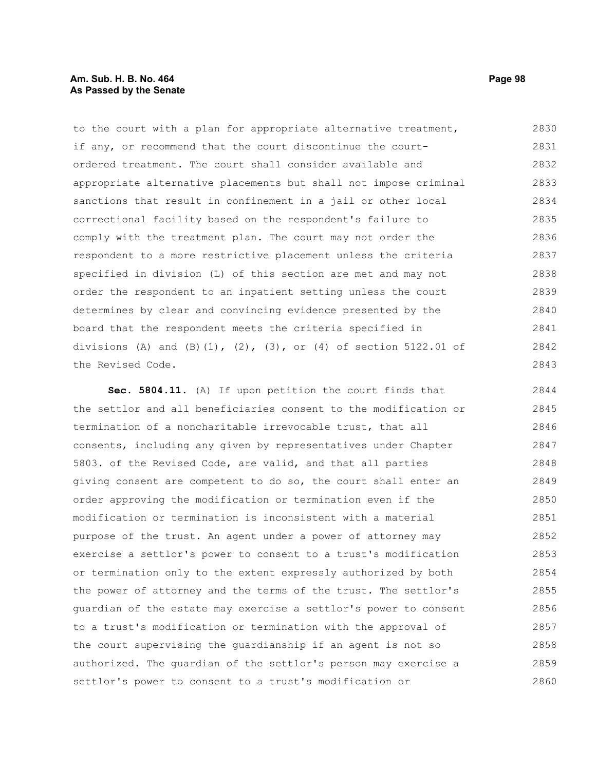## **Am. Sub. H. B. No. 464 Page 98 As Passed by the Senate**

to the court with a plan for appropriate alternative treatment, if any, or recommend that the court discontinue the courtordered treatment. The court shall consider available and appropriate alternative placements but shall not impose criminal sanctions that result in confinement in a jail or other local correctional facility based on the respondent's failure to comply with the treatment plan. The court may not order the respondent to a more restrictive placement unless the criteria specified in division (L) of this section are met and may not order the respondent to an inpatient setting unless the court determines by clear and convincing evidence presented by the board that the respondent meets the criteria specified in divisions (A) and (B)(1), (2), (3), or (4) of section 5122.01 of the Revised Code. 2830 2831 2832 2833 2834 2835 2836 2837 2838 2839 2840 2841 2842 2843

**Sec. 5804.11.** (A) If upon petition the court finds that the settlor and all beneficiaries consent to the modification or termination of a noncharitable irrevocable trust, that all consents, including any given by representatives under Chapter 5803. of the Revised Code, are valid, and that all parties giving consent are competent to do so, the court shall enter an order approving the modification or termination even if the modification or termination is inconsistent with a material purpose of the trust. An agent under a power of attorney may exercise a settlor's power to consent to a trust's modification or termination only to the extent expressly authorized by both the power of attorney and the terms of the trust. The settlor's guardian of the estate may exercise a settlor's power to consent to a trust's modification or termination with the approval of the court supervising the guardianship if an agent is not so authorized. The guardian of the settlor's person may exercise a settlor's power to consent to a trust's modification or 2844 2845 2846 2847 2848 2849 2850 2851 2852 2853 2854 2855 2856 2857 2858 2859 2860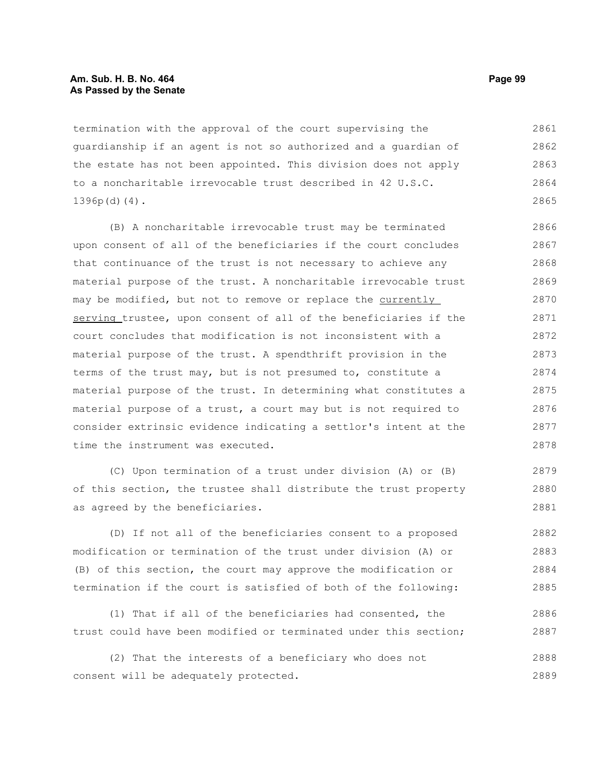## **Am. Sub. H. B. No. 464 Page 99 As Passed by the Senate**

termination with the approval of the court supervising the guardianship if an agent is not so authorized and a guardian of the estate has not been appointed. This division does not apply to a noncharitable irrevocable trust described in 42 U.S.C. 1396p(d)(4). 2861 2862 2863 2864 2865

(B) A noncharitable irrevocable trust may be terminated upon consent of all of the beneficiaries if the court concludes that continuance of the trust is not necessary to achieve any material purpose of the trust. A noncharitable irrevocable trust may be modified, but not to remove or replace the currently serving trustee, upon consent of all of the beneficiaries if the court concludes that modification is not inconsistent with a material purpose of the trust. A spendthrift provision in the terms of the trust may, but is not presumed to, constitute a material purpose of the trust. In determining what constitutes a material purpose of a trust, a court may but is not required to consider extrinsic evidence indicating a settlor's intent at the time the instrument was executed. 2866 2867 2868 2869 2870 2871 2872 2873 2874 2875 2876 2877 2878

(C) Upon termination of a trust under division (A) or (B) of this section, the trustee shall distribute the trust property as agreed by the beneficiaries.

(D) If not all of the beneficiaries consent to a proposed modification or termination of the trust under division (A) or (B) of this section, the court may approve the modification or termination if the court is satisfied of both of the following: 2882 2883 2884 2885

(1) That if all of the beneficiaries had consented, the trust could have been modified or terminated under this section; 2886 2887

(2) That the interests of a beneficiary who does not consent will be adequately protected. 2888 2889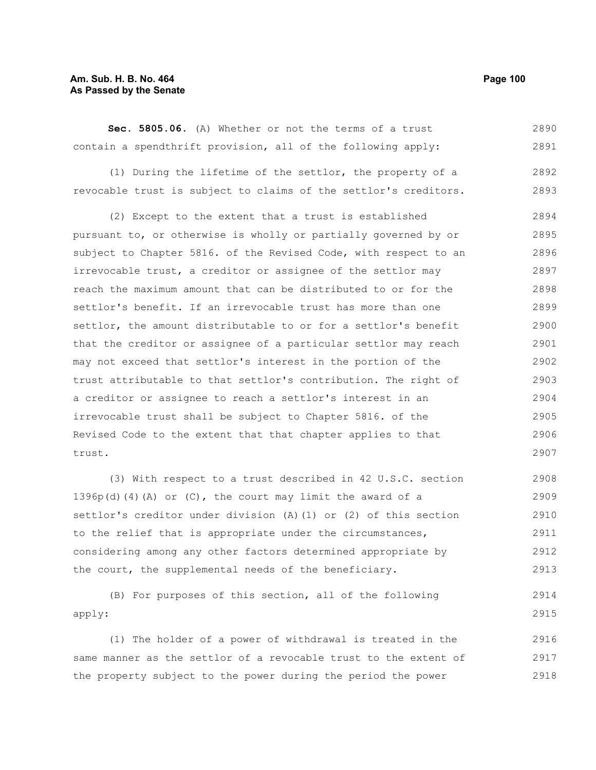## **Am. Sub. H. B. No. 464 Page 100 As Passed by the Senate**

**Sec. 5805.06.** (A) Whether or not the terms of a trust contain a spendthrift provision, all of the following apply: 2890 2891

(1) During the lifetime of the settlor, the property of a revocable trust is subject to claims of the settlor's creditors. 2892 2893

(2) Except to the extent that a trust is established pursuant to, or otherwise is wholly or partially governed by or subject to Chapter 5816. of the Revised Code, with respect to an irrevocable trust, a creditor or assignee of the settlor may reach the maximum amount that can be distributed to or for the settlor's benefit. If an irrevocable trust has more than one settlor, the amount distributable to or for a settlor's benefit that the creditor or assignee of a particular settlor may reach may not exceed that settlor's interest in the portion of the trust attributable to that settlor's contribution. The right of a creditor or assignee to reach a settlor's interest in an irrevocable trust shall be subject to Chapter 5816. of the Revised Code to the extent that that chapter applies to that trust. 2894 2895 2896 2897 2898 2899 2900 2901 2902 2903 2904 2905 2906 2907

(3) With respect to a trust described in 42 U.S.C. section 1396p(d)(4)(A) or (C), the court may limit the award of a settlor's creditor under division (A)(1) or (2) of this section to the relief that is appropriate under the circumstances, considering among any other factors determined appropriate by the court, the supplemental needs of the beneficiary. 2908 2909 2910 2911 2912 2913

(B) For purposes of this section, all of the following apply: 2914 2915

(1) The holder of a power of withdrawal is treated in the same manner as the settlor of a revocable trust to the extent of the property subject to the power during the period the power 2916 2917 2918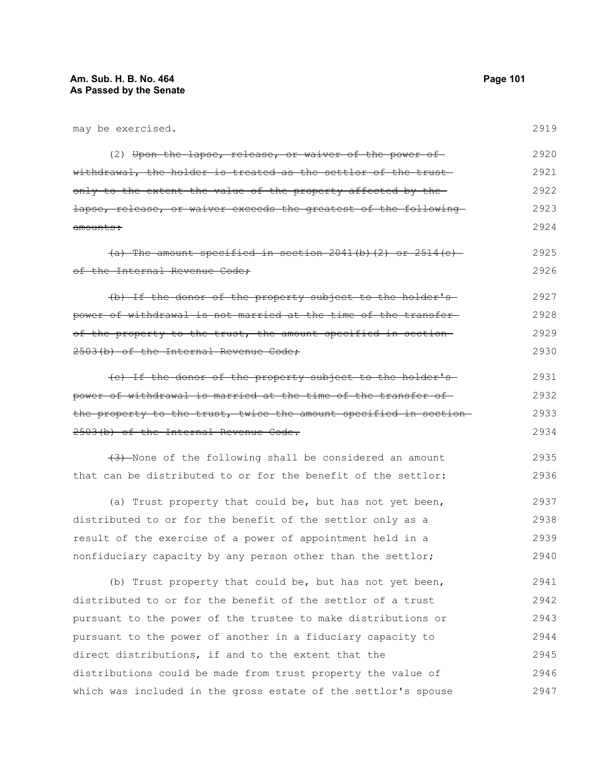| may be exercised.                                                | 2919 |
|------------------------------------------------------------------|------|
| (2) Upon the lapse, release, or waiver of the power of           | 2920 |
| withdrawal, the holder is treated as the settlor of the trust-   | 2921 |
| only to the extent the value of the property affected by the     | 2922 |
| lapse, release, or waiver exceeds the greatest of the following  | 2923 |
| amounts:                                                         | 2924 |
| $(a)$ The amount specified in section 2041(b)(2) or 2514(e)      | 2925 |
| of the Internal Revenue Code;                                    | 2926 |
| (b) If the donor of the property subject to the holder's         | 2927 |
| power of withdrawal is not married at the time of the transfer-  | 2928 |
| of the property to the trust, the amount specified in section-   | 2929 |
| 2503(b) of the Internal Revenue Code;                            | 2930 |
| (c) If the donor of the property subject to the holder's         | 2931 |
| power of withdrawal is married at the time of the transfer of    | 2932 |
| the property to the trust, twice the amount specified in section | 2933 |
| 2503(b) of the Internal Revenue Code.                            | 2934 |
| (3) None of the following shall be considered an amount          | 2935 |
| that can be distributed to or for the benefit of the settlor:    | 2936 |
| (a) Trust property that could be, but has not yet been,          | 2937 |
| distributed to or for the benefit of the settlor only as a       | 2938 |
| result of the exercise of a power of appointment held in a       | 2939 |
| nonfiduciary capacity by any person other than the settlor;      | 2940 |
| (b) Trust property that could be, but has not yet been,          | 2941 |
| distributed to or for the benefit of the settlor of a trust      | 2942 |
| pursuant to the power of the trustee to make distributions or    | 2943 |
| pursuant to the power of another in a fiduciary capacity to      | 2944 |
| direct distributions, if and to the extent that the              | 2945 |
| distributions could be made from trust property the value of     | 2946 |
| which was included in the gross estate of the settlor's spouse   | 2947 |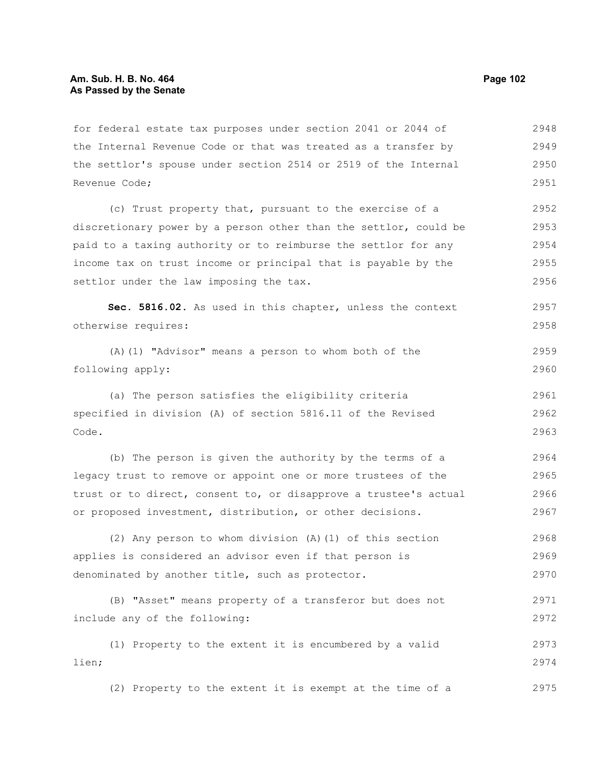for federal estate tax purposes under section 2041 or 2044 of the Internal Revenue Code or that was treated as a transfer by the settlor's spouse under section 2514 or 2519 of the Internal Revenue Code; 2948 2949 2950 2951

(c) Trust property that, pursuant to the exercise of a discretionary power by a person other than the settlor, could be paid to a taxing authority or to reimburse the settlor for any income tax on trust income or principal that is payable by the settlor under the law imposing the tax. 2952 2953 2954 2955 2956

**Sec. 5816.02.** As used in this chapter, unless the context otherwise requires:

(A)(1) "Advisor" means a person to whom both of the following apply: 2959 2960

(a) The person satisfies the eligibility criteria specified in division (A) of section 5816.11 of the Revised Code. 2961 2962 2963

(b) The person is given the authority by the terms of a legacy trust to remove or appoint one or more trustees of the trust or to direct, consent to, or disapprove a trustee's actual or proposed investment, distribution, or other decisions. 2964 2965 2966 2967

(2) Any person to whom division (A)(1) of this section applies is considered an advisor even if that person is denominated by another title, such as protector. 2968 2969 2970

```
(B) "Asset" means property of a transferor but does not
include any of the following:
                                                                            2971
                                                                            2972
```
(1) Property to the extent it is encumbered by a valid lien; 2973 2974

(2) Property to the extent it is exempt at the time of a 2975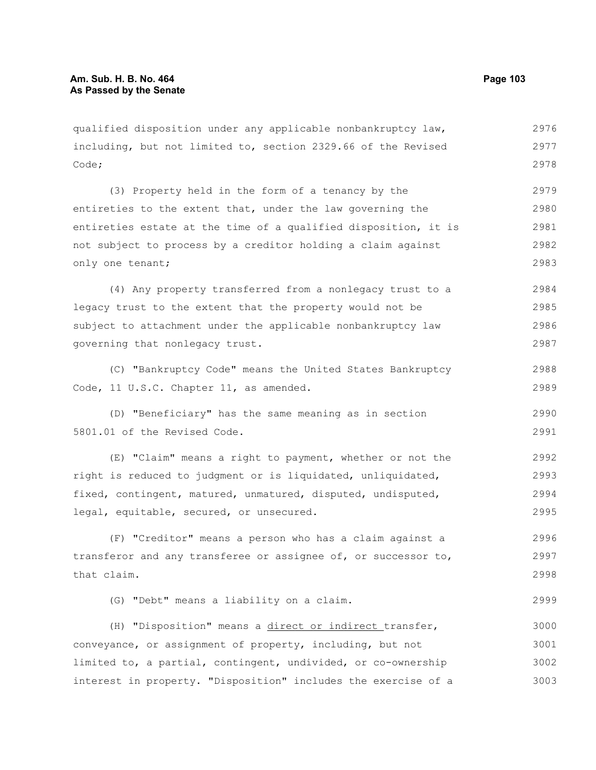| qualified disposition under any applicable nonbankruptcy law,   | 2976 |
|-----------------------------------------------------------------|------|
| including, but not limited to, section 2329.66 of the Revised   | 2977 |
| Code;                                                           | 2978 |
| (3) Property held in the form of a tenancy by the               | 2979 |
| entireties to the extent that, under the law governing the      | 2980 |
| entireties estate at the time of a qualified disposition, it is | 2981 |
| not subject to process by a creditor holding a claim against    | 2982 |
| only one tenant;                                                | 2983 |
|                                                                 |      |
| (4) Any property transferred from a nonlegacy trust to a        | 2984 |
| legacy trust to the extent that the property would not be       | 2985 |
| subject to attachment under the applicable nonbankruptcy law    | 2986 |
| governing that nonlegacy trust.                                 | 2987 |
| (C) "Bankruptcy Code" means the United States Bankruptcy        | 2988 |
| Code, 11 U.S.C. Chapter 11, as amended.                         | 2989 |
| (D) "Beneficiary" has the same meaning as in section            | 2990 |
| 5801.01 of the Revised Code.                                    | 2991 |
| (E) "Claim" means a right to payment, whether or not the        | 2992 |
| right is reduced to judgment or is liquidated, unliquidated,    | 2993 |
| fixed, contingent, matured, unmatured, disputed, undisputed,    | 2994 |
| legal, equitable, secured, or unsecured.                        | 2995 |
| (F) "Creditor" means a person who has a claim against a         | 2996 |
| transferor and any transferee or assignee of, or successor to,  | 2997 |
| that claim.                                                     | 2998 |
| (G) "Debt" means a liability on a claim.                        | 2999 |
| (H) "Disposition" means a direct or indirect transfer,          | 3000 |
| conveyance, or assignment of property, including, but not       | 3001 |
| limited to, a partial, contingent, undivided, or co-ownership   | 3002 |
| interest in property. "Disposition" includes the exercise of a  | 3003 |
|                                                                 |      |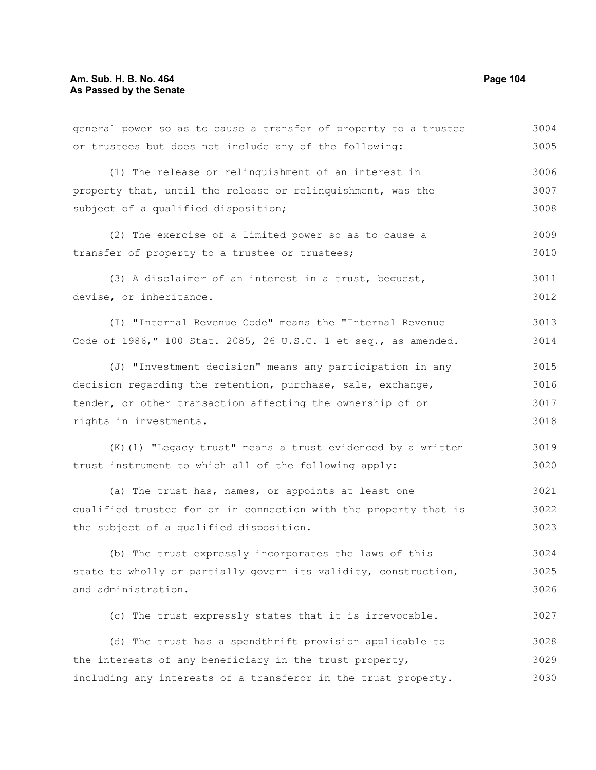| general power so as to cause a transfer of property to a trustee | 3004 |
|------------------------------------------------------------------|------|
| or trustees but does not include any of the following:           | 3005 |
| (1) The release or relinquishment of an interest in              | 3006 |
| property that, until the release or relinquishment, was the      | 3007 |
| subject of a qualified disposition;                              | 3008 |
| (2) The exercise of a limited power so as to cause a             | 3009 |
| transfer of property to a trustee or trustees;                   | 3010 |
| (3) A disclaimer of an interest in a trust, bequest,             | 3011 |
| devise, or inheritance.                                          | 3012 |
| (I) "Internal Revenue Code" means the "Internal Revenue          | 3013 |
| Code of 1986," 100 Stat. 2085, 26 U.S.C. 1 et seq., as amended.  | 3014 |
| (J) "Investment decision" means any participation in any         | 3015 |
| decision regarding the retention, purchase, sale, exchange,      | 3016 |
| tender, or other transaction affecting the ownership of or       | 3017 |
| rights in investments.                                           | 3018 |
| (K) (1) "Legacy trust" means a trust evidenced by a written      | 3019 |
| trust instrument to which all of the following apply:            | 3020 |
| (a) The trust has, names, or appoints at least one               | 3021 |
| qualified trustee for or in connection with the property that is | 3022 |
| the subject of a qualified disposition.                          | 3023 |
| (b) The trust expressly incorporates the laws of this            | 3024 |
| state to wholly or partially govern its validity, construction,  | 3025 |
| and administration.                                              | 3026 |
| (c) The trust expressly states that it is irrevocable.           | 3027 |
| (d) The trust has a spendthrift provision applicable to          | 3028 |
| the interests of any beneficiary in the trust property,          | 3029 |
| including any interests of a transferor in the trust property.   | 3030 |
|                                                                  |      |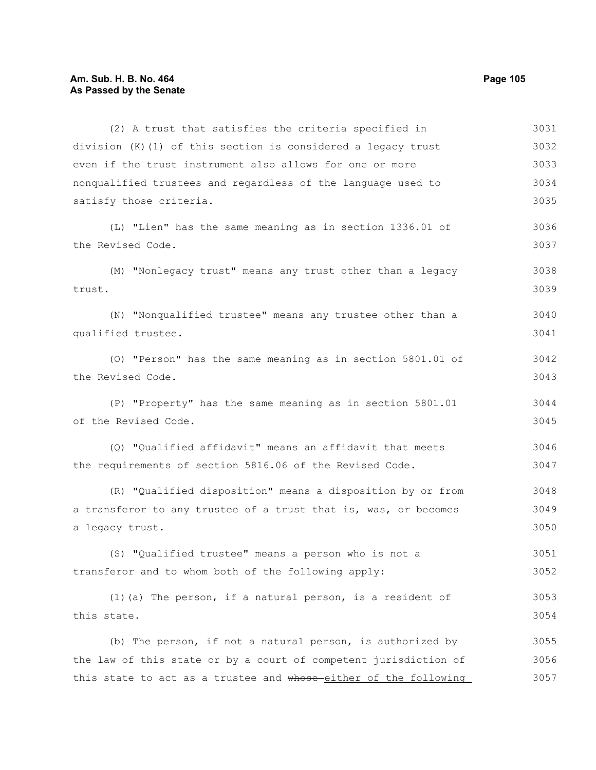## **Am. Sub. H. B. No. 464 Page 105 As Passed by the Senate**

(2) A trust that satisfies the criteria specified in division (K)(1) of this section is considered a legacy trust even if the trust instrument also allows for one or more nonqualified trustees and regardless of the language used to satisfy those criteria. (L) "Lien" has the same meaning as in section 1336.01 of the Revised Code. (M) "Nonlegacy trust" means any trust other than a legacy trust. (N) "Nonqualified trustee" means any trustee other than a qualified trustee. (O) "Person" has the same meaning as in section 5801.01 of the Revised Code. (P) "Property" has the same meaning as in section 5801.01 of the Revised Code. (Q) "Qualified affidavit" means an affidavit that meets the requirements of section 5816.06 of the Revised Code. (R) "Qualified disposition" means a disposition by or from a transferor to any trustee of a trust that is, was, or becomes a legacy trust. (S) "Qualified trustee" means a person who is not a transferor and to whom both of the following apply: (1)(a) The person, if a natural person, is a resident of this state. (b) The person, if not a natural person, is authorized by the law of this state or by a court of competent jurisdiction of 3031 3032 3033 3034 3035 3036 3037 3038 3039 3040 3041 3042 3043 3044 3045 3046 3047 3048 3049 3050 3051 3052 3053 3054 3055 3056

this state to act as a trustee and whose-either of the following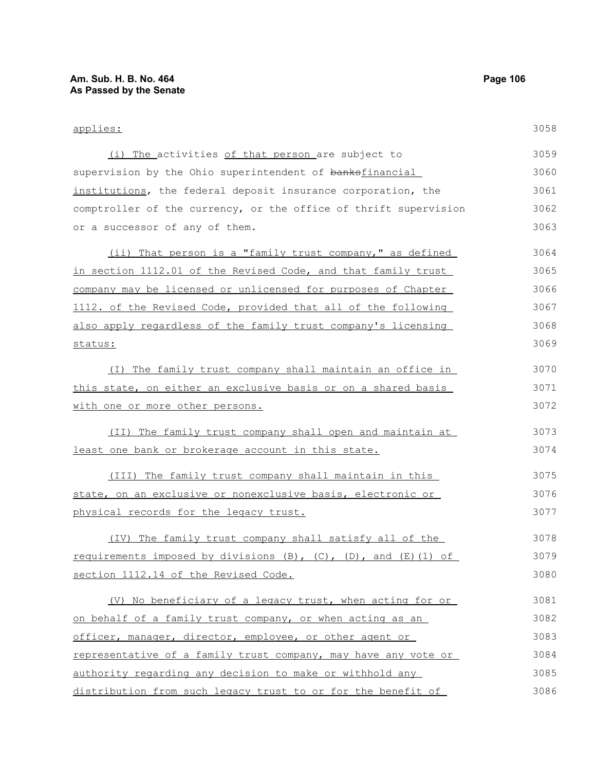| applies:                                                                     | 3058 |
|------------------------------------------------------------------------------|------|
| (i) The activities of that person are subject to                             | 3059 |
| supervision by the Ohio superintendent of banksfinancial                     | 3060 |
| institutions, the federal deposit insurance corporation, the                 | 3061 |
| comptroller of the currency, or the office of thrift supervision             | 3062 |
| or a successor of any of them.                                               | 3063 |
| (ii) That person is a "family trust company," as defined                     | 3064 |
| in section 1112.01 of the Revised Code, and that family trust                | 3065 |
| company may be licensed or unlicensed for purposes of Chapter                | 3066 |
| 1112. of the Revised Code, provided that all of the following                | 3067 |
| also apply regardless of the family trust company's licensing                | 3068 |
| <u>status:</u>                                                               | 3069 |
| (I) The family trust company shall maintain an office in                     | 3070 |
| this state, on either an exclusive basis or on a shared basis                | 3071 |
| with one or more other persons.                                              | 3072 |
| (II) The family trust company shall open and maintain at                     | 3073 |
| least one bank or brokerage account in this state.                           | 3074 |
| (III) The family trust company shall maintain in this                        | 3075 |
| state, on an exclusive or nonexclusive basis, electronic or                  | 3076 |
| physical records for the legacy trust.                                       | 3077 |
| (IV) The family trust company shall satisfy all of the                       | 3078 |
| requirements imposed by divisions $(B)$ , $(C)$ , $(D)$ , and $(E)$ $(1)$ of | 3079 |
| section 1112.14 of the Revised Code.                                         | 3080 |
| (V) No beneficiary of a legacy trust, when acting for or                     | 3081 |
| on behalf of a family trust company, or when acting as an                    | 3082 |
| officer, manager, director, employee, or other agent or                      | 3083 |
| representative of a family trust company, may have any vote or               | 3084 |
| authority regarding any decision to make or withhold any                     | 3085 |
| distribution from such legacy trust to or for the benefit of                 | 3086 |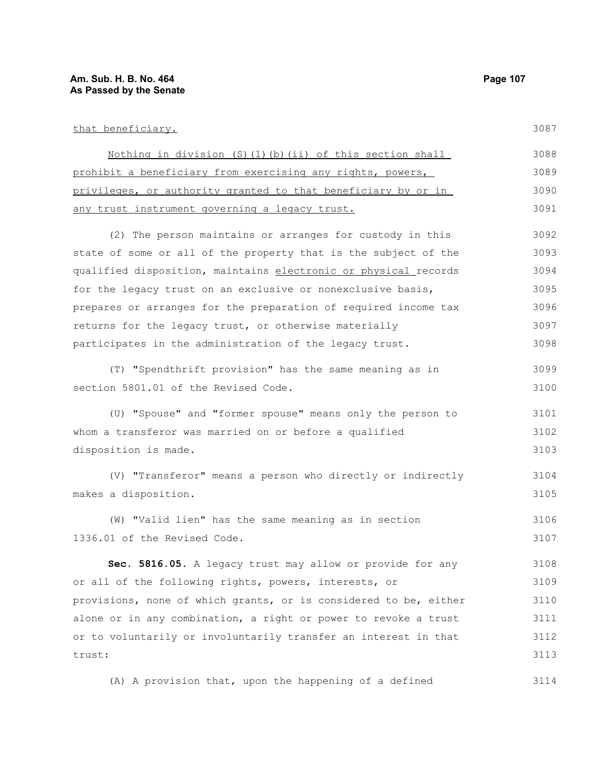| that beneficiary.                                                | 3087 |
|------------------------------------------------------------------|------|
| Nothing in division $(S)$ (1) (b) (ii) of this section shall     | 3088 |
| prohibit a beneficiary from exercising any rights, powers,       | 3089 |
| privileges, or authority granted to that beneficiary by or in    | 3090 |
| any trust instrument governing a legacy trust.                   | 3091 |
| (2) The person maintains or arranges for custody in this         | 3092 |
| state of some or all of the property that is the subject of the  | 3093 |
| qualified disposition, maintains electronic or physical records  | 3094 |
| for the legacy trust on an exclusive or nonexclusive basis,      | 3095 |
| prepares or arranges for the preparation of required income tax  | 3096 |
| returns for the legacy trust, or otherwise materially            | 3097 |
| participates in the administration of the legacy trust.          | 3098 |
| (T) "Spendthrift provision" has the same meaning as in           | 3099 |
| section 5801.01 of the Revised Code.                             | 3100 |
| (U) "Spouse" and "former spouse" means only the person to        | 3101 |
| whom a transferor was married on or before a qualified           | 3102 |
| disposition is made.                                             | 3103 |
| (V) "Transferor" means a person who directly or indirectly       | 3104 |
| makes a disposition.                                             | 3105 |
| (W) "Valid lien" has the same meaning as in section              | 3106 |
| 1336.01 of the Revised Code.                                     | 3107 |
| Sec. 5816.05. A legacy trust may allow or provide for any        | 3108 |
| or all of the following rights, powers, interests, or            | 3109 |
| provisions, none of which grants, or is considered to be, either | 3110 |
| alone or in any combination, a right or power to revoke a trust  | 3111 |
| or to voluntarily or involuntarily transfer an interest in that  | 3112 |
| trust:                                                           | 3113 |
| (A) A provision that, upon the happening of a defined            | 3114 |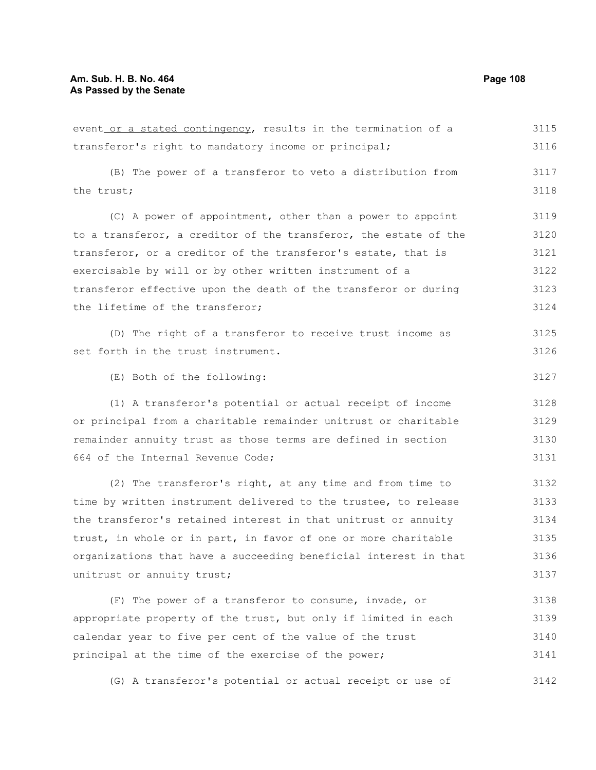event or a stated contingency, results in the termination of a transferor's right to mandatory income or principal; (B) The power of a transferor to veto a distribution from the trust; (C) A power of appointment, other than a power to appoint to a transferor, a creditor of the transferor, the estate of the transferor, or a creditor of the transferor's estate, that is exercisable by will or by other written instrument of a transferor effective upon the death of the transferor or during the lifetime of the transferor; (D) The right of a transferor to receive trust income as set forth in the trust instrument. (E) Both of the following: (1) A transferor's potential or actual receipt of income or principal from a charitable remainder unitrust or charitable remainder annuity trust as those terms are defined in section 664 of the Internal Revenue Code; (2) The transferor's right, at any time and from time to time by written instrument delivered to the trustee, to release the transferor's retained interest in that unitrust or annuity trust, in whole or in part, in favor of one or more charitable organizations that have a succeeding beneficial interest in that unitrust or annuity trust; (F) The power of a transferor to consume, invade, or appropriate property of the trust, but only if limited in each calendar year to five per cent of the value of the trust principal at the time of the exercise of the power; 3115 3116 3117 3118 3119 3120 3121 3122 3123 3124 3125 3126 3127 3128 3129 3130 3131 3132 3133 3134 3135 3136 3137 3138 3139 3140 3141

(G) A transferor's potential or actual receipt or use of 3142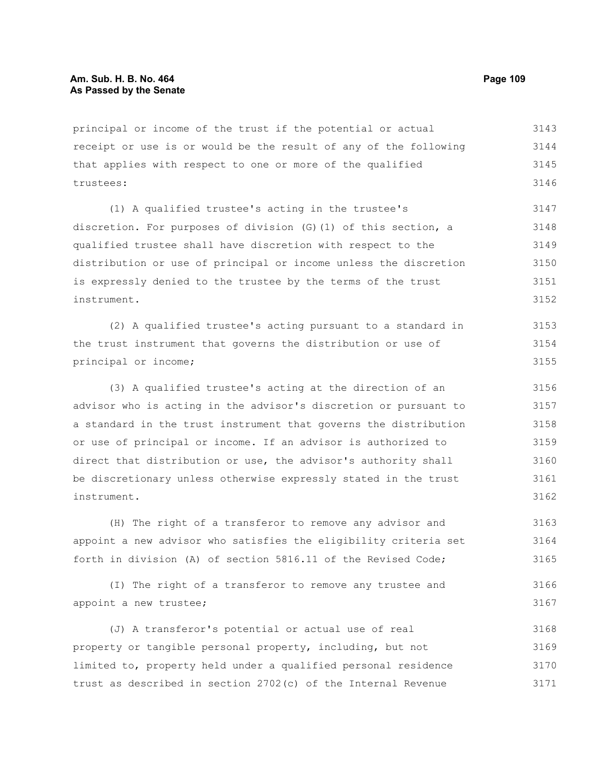principal or income of the trust if the potential or actual receipt or use is or would be the result of any of the following that applies with respect to one or more of the qualified trustees: 3143 3144 3145 3146

(1) A qualified trustee's acting in the trustee's discretion. For purposes of division (G)(1) of this section, a qualified trustee shall have discretion with respect to the distribution or use of principal or income unless the discretion is expressly denied to the trustee by the terms of the trust instrument. 3147 3148 3149 3150 3151 3152

(2) A qualified trustee's acting pursuant to a standard in the trust instrument that governs the distribution or use of principal or income; 3153 3154 3155

(3) A qualified trustee's acting at the direction of an advisor who is acting in the advisor's discretion or pursuant to a standard in the trust instrument that governs the distribution or use of principal or income. If an advisor is authorized to direct that distribution or use, the advisor's authority shall be discretionary unless otherwise expressly stated in the trust instrument. 3156 3157 3158 3159 3160 3161 3162

(H) The right of a transferor to remove any advisor and appoint a new advisor who satisfies the eligibility criteria set forth in division (A) of section 5816.11 of the Revised Code; 3163 3164 3165

(I) The right of a transferor to remove any trustee and appoint a new trustee; 3166 3167

(J) A transferor's potential or actual use of real property or tangible personal property, including, but not limited to, property held under a qualified personal residence trust as described in section 2702(c) of the Internal Revenue 3168 3169 3170 3171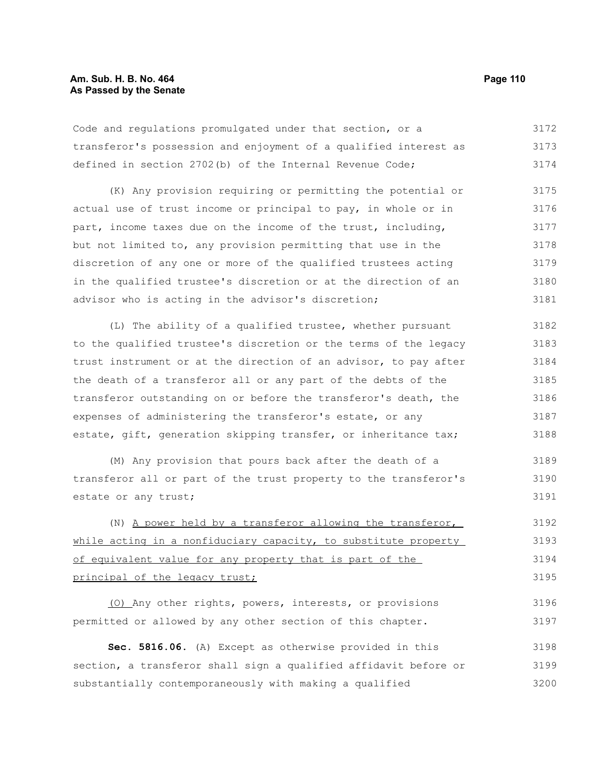Code and regulations promulgated under that section, or a transferor's possession and enjoyment of a qualified interest as defined in section 2702(b) of the Internal Revenue Code; 3172 3173 3174

(K) Any provision requiring or permitting the potential or actual use of trust income or principal to pay, in whole or in part, income taxes due on the income of the trust, including, but not limited to, any provision permitting that use in the discretion of any one or more of the qualified trustees acting in the qualified trustee's discretion or at the direction of an advisor who is acting in the advisor's discretion; 3175 3176 3177 3178 3179 3180 3181

(L) The ability of a qualified trustee, whether pursuant to the qualified trustee's discretion or the terms of the legacy trust instrument or at the direction of an advisor, to pay after the death of a transferor all or any part of the debts of the transferor outstanding on or before the transferor's death, the expenses of administering the transferor's estate, or any estate, gift, generation skipping transfer, or inheritance tax; 3182 3183 3184 3185 3186 3187 3188

(M) Any provision that pours back after the death of a transferor all or part of the trust property to the transferor's estate or any trust;

(N) A power held by a transferor allowing the transferor, while acting in a nonfiduciary capacity, to substitute property of equivalent value for any property that is part of the principal of the legacy trust; 3192 3193 3195

(O) Any other rights, powers, interests, or provisions permitted or allowed by any other section of this chapter. 3196 3197

**Sec. 5816.06.** (A) Except as otherwise provided in this section, a transferor shall sign a qualified affidavit before or substantially contemporaneously with making a qualified 3198 3199 3200

3194

3189 3190 3191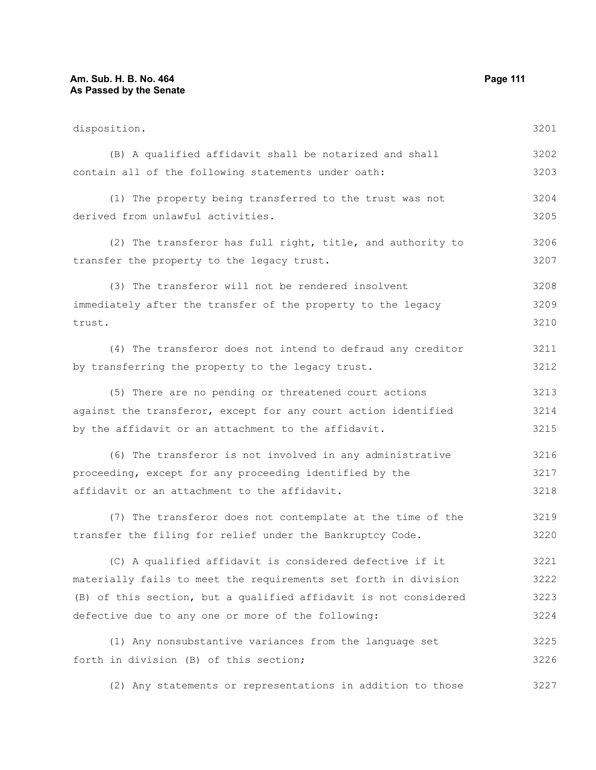| disposition.                                                     | 3201 |
|------------------------------------------------------------------|------|
| (B) A qualified affidavit shall be notarized and shall           | 3202 |
| contain all of the following statements under oath:              | 3203 |
| (1) The property being transferred to the trust was not          | 3204 |
| derived from unlawful activities.                                | 3205 |
| (2) The transferor has full right, title, and authority to       | 3206 |
| transfer the property to the legacy trust.                       | 3207 |
| (3) The transferor will not be rendered insolvent                | 3208 |
| immediately after the transfer of the property to the legacy     | 3209 |
| trust.                                                           | 3210 |
| (4) The transferor does not intend to defraud any creditor       | 3211 |
| by transferring the property to the legacy trust.                | 3212 |
| (5) There are no pending or threatened court actions             | 3213 |
| against the transferor, except for any court action identified   | 3214 |
| by the affidavit or an attachment to the affidavit.              | 3215 |
| (6) The transferor is not involved in any administrative         | 3216 |
| proceeding, except for any proceeding identified by the          | 3217 |
| affidavit or an attachment to the affidavit.                     | 3218 |
| (7) The transferor does not contemplate at the time of the       | 3219 |
| transfer the filing for relief under the Bankruptcy Code.        | 3220 |
| (C) A qualified affidavit is considered defective if it          | 3221 |
| materially fails to meet the requirements set forth in division  | 3222 |
| (B) of this section, but a qualified affidavit is not considered | 3223 |
| defective due to any one or more of the following:               | 3224 |
| (1) Any nonsubstantive variances from the language set           | 3225 |
| forth in division (B) of this section;                           | 3226 |
| (2) Any statements or representations in addition to those       | 3227 |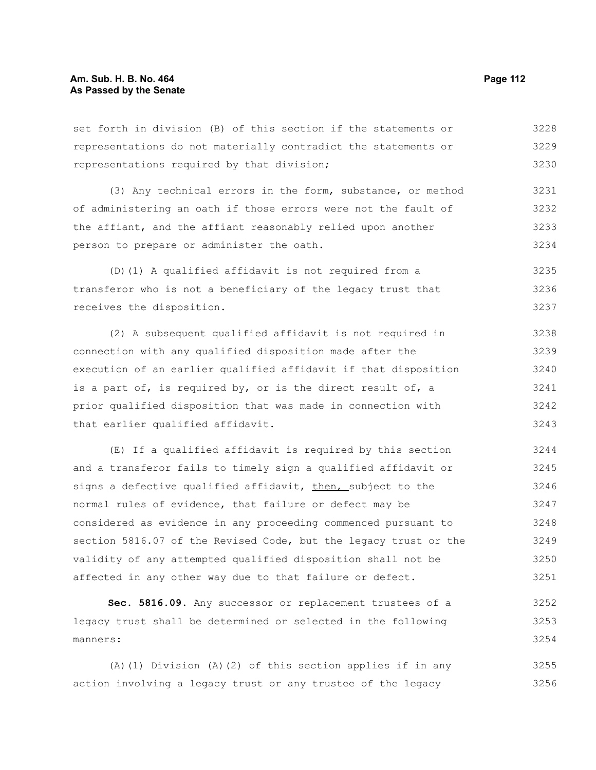set forth in division (B) of this section if the statements or representations do not materially contradict the statements or representations required by that division; 3228 3229 3230

(3) Any technical errors in the form, substance, or method of administering an oath if those errors were not the fault of the affiant, and the affiant reasonably relied upon another person to prepare or administer the oath. 3231 3232 3233 3234

(D)(1) A qualified affidavit is not required from a transferor who is not a beneficiary of the legacy trust that receives the disposition. 3235 3236 3237

(2) A subsequent qualified affidavit is not required in connection with any qualified disposition made after the execution of an earlier qualified affidavit if that disposition is a part of, is required by, or is the direct result of, a prior qualified disposition that was made in connection with that earlier qualified affidavit. 3238 3239 3240 3241 3242 3243

(E) If a qualified affidavit is required by this section and a transferor fails to timely sign a qualified affidavit or signs a defective qualified affidavit, then, subject to the normal rules of evidence, that failure or defect may be considered as evidence in any proceeding commenced pursuant to section 5816.07 of the Revised Code, but the legacy trust or the validity of any attempted qualified disposition shall not be affected in any other way due to that failure or defect. 3244 3245 3246 3247 3248 3249 3250 3251

**Sec. 5816.09.** Any successor or replacement trustees of a legacy trust shall be determined or selected in the following manners: 3252 3253 3254

(A)(1) Division (A)(2) of this section applies if in any action involving a legacy trust or any trustee of the legacy 3255 3256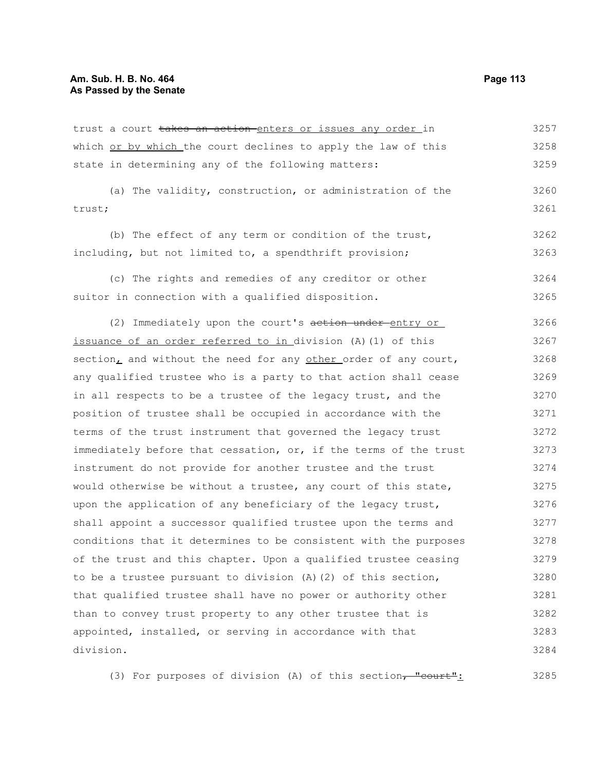trust a court takes an action enters or issues any order in which or by which the court declines to apply the law of this state in determining any of the following matters: 3257 3258 3259

(a) The validity, construction, or administration of the trust; 3260 3261

(b) The effect of any term or condition of the trust, including, but not limited to, a spendthrift provision; 3262 3263

(c) The rights and remedies of any creditor or other suitor in connection with a qualified disposition. 3264 3265

(2) Immediately upon the court's action under-entry or issuance of an order referred to in division (A)(1) of this section, and without the need for any other order of any court, any qualified trustee who is a party to that action shall cease in all respects to be a trustee of the legacy trust, and the position of trustee shall be occupied in accordance with the terms of the trust instrument that governed the legacy trust immediately before that cessation, or, if the terms of the trust instrument do not provide for another trustee and the trust would otherwise be without a trustee, any court of this state, upon the application of any beneficiary of the legacy trust, shall appoint a successor qualified trustee upon the terms and conditions that it determines to be consistent with the purposes of the trust and this chapter. Upon a qualified trustee ceasing to be a trustee pursuant to division (A)(2) of this section, that qualified trustee shall have no power or authority other than to convey trust property to any other trustee that is appointed, installed, or serving in accordance with that division. 3266 3267 3268 3269 3270 3271 3272 3273 3274 3275 3276 3277 3278 3279 3280 3281 3282 3283 3284

(3) For purposes of division (A) of this section, "court": 3285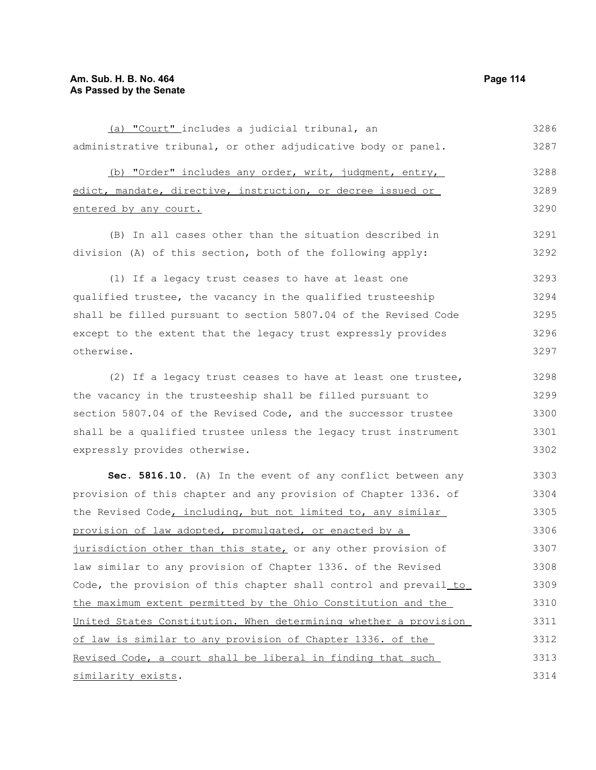similarity exists.

(a) "Court" includes a judicial tribunal, an administrative tribunal, or other adjudicative body or panel. (b) "Order" includes any order, writ, judgment, entry, edict, mandate, directive, instruction, or decree issued or entered by any court. (B) In all cases other than the situation described in division (A) of this section, both of the following apply: (1) If a legacy trust ceases to have at least one qualified trustee, the vacancy in the qualified trusteeship shall be filled pursuant to section 5807.04 of the Revised Code except to the extent that the legacy trust expressly provides otherwise. (2) If a legacy trust ceases to have at least one trustee, the vacancy in the trusteeship shall be filled pursuant to section 5807.04 of the Revised Code, and the successor trustee shall be a qualified trustee unless the legacy trust instrument expressly provides otherwise. **Sec. 5816.10.** (A) In the event of any conflict between any provision of this chapter and any provision of Chapter 1336. of the Revised Code, including, but not limited to, any similar provision of law adopted, promulgated, or enacted by a jurisdiction other than this state, or any other provision of law similar to any provision of Chapter 1336. of the Revised Code, the provision of this chapter shall control and prevail to the maximum extent permitted by the Ohio Constitution and the United States Constitution. When determining whether a provision of law is similar to any provision of Chapter 1336. of the Revised Code, a court shall be liberal in finding that such 3286 3287 3288 3289 3290 3291 3292 3293 3294 3295 3296 3297 3298 3299 3300 3301 3302 3303 3304 3305 3306 3307 3308 3309 3310 3311 3312 3313

3314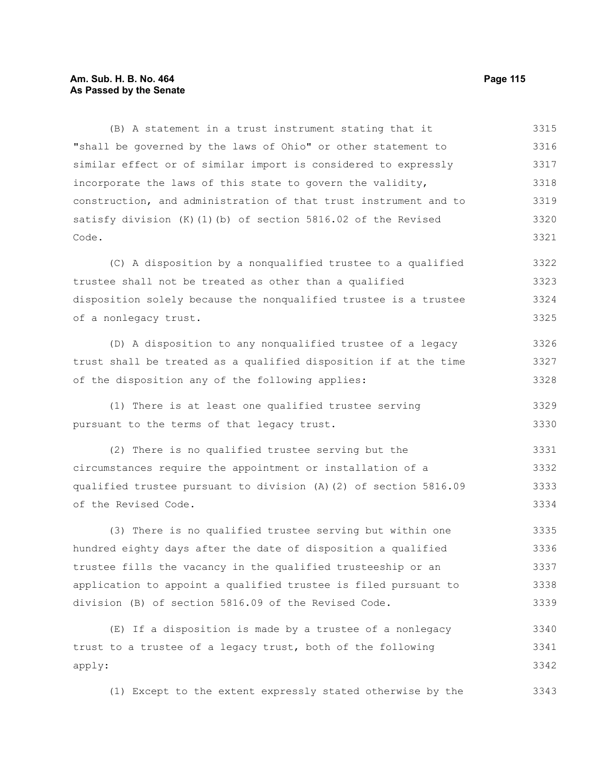## **Am. Sub. H. B. No. 464 Page 115 As Passed by the Senate**

(B) A statement in a trust instrument stating that it "shall be governed by the laws of Ohio" or other statement to similar effect or of similar import is considered to expressly incorporate the laws of this state to govern the validity, construction, and administration of that trust instrument and to satisfy division (K)(1)(b) of section 5816.02 of the Revised Code. 3315 3316 3317 3318 3319 3320 3321

(C) A disposition by a nonqualified trustee to a qualified trustee shall not be treated as other than a qualified disposition solely because the nonqualified trustee is a trustee of a nonlegacy trust. 3322 3323 3324 3325

(D) A disposition to any nonqualified trustee of a legacy trust shall be treated as a qualified disposition if at the time of the disposition any of the following applies: 3326 3327 3328

(1) There is at least one qualified trustee serving pursuant to the terms of that legacy trust. 3329 3330

(2) There is no qualified trustee serving but the circumstances require the appointment or installation of a qualified trustee pursuant to division (A)(2) of section 5816.09 of the Revised Code. 3331 3332 3333 3334

(3) There is no qualified trustee serving but within one hundred eighty days after the date of disposition a qualified trustee fills the vacancy in the qualified trusteeship or an application to appoint a qualified trustee is filed pursuant to division (B) of section 5816.09 of the Revised Code. 3335 3336 3337 3338 3339

(E) If a disposition is made by a trustee of a nonlegacy trust to a trustee of a legacy trust, both of the following apply: 3340 3341 3342

(1) Except to the extent expressly stated otherwise by the 3343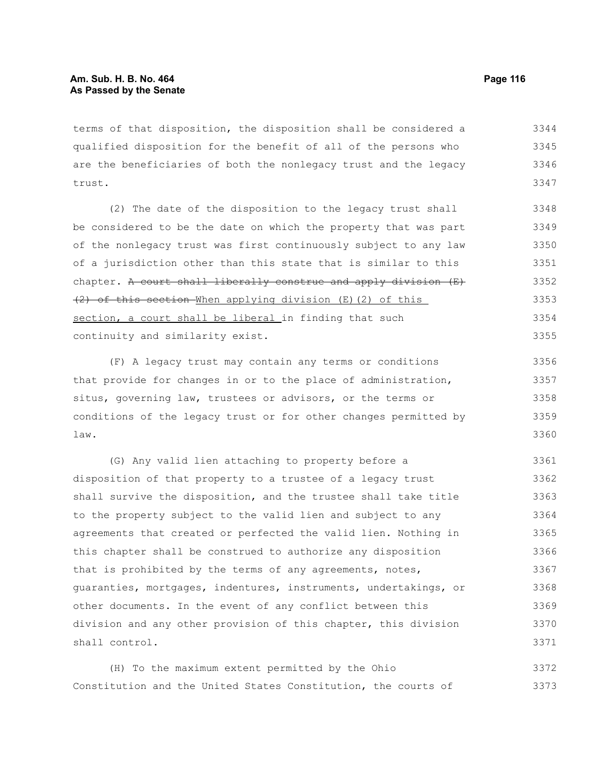terms of that disposition, the disposition shall be considered a qualified disposition for the benefit of all of the persons who are the beneficiaries of both the nonlegacy trust and the legacy trust. 3344 3345 3346 3347

(2) The date of the disposition to the legacy trust shall be considered to be the date on which the property that was part of the nonlegacy trust was first continuously subject to any law of a jurisdiction other than this state that is similar to this chapter. A court shall liberally construe and apply division (E) (2) of this section When applying division (E)(2) of this section, a court shall be liberal in finding that such continuity and similarity exist.

(F) A legacy trust may contain any terms or conditions that provide for changes in or to the place of administration, situs, governing law, trustees or advisors, or the terms or conditions of the legacy trust or for other changes permitted by law. 3356 3357 3358 3359 3360

(G) Any valid lien attaching to property before a disposition of that property to a trustee of a legacy trust shall survive the disposition, and the trustee shall take title to the property subject to the valid lien and subject to any agreements that created or perfected the valid lien. Nothing in this chapter shall be construed to authorize any disposition that is prohibited by the terms of any agreements, notes, guaranties, mortgages, indentures, instruments, undertakings, or other documents. In the event of any conflict between this division and any other provision of this chapter, this division shall control. 3361 3362 3363 3364 3365 3366 3367 3368 3369 3370 3371

(H) To the maximum extent permitted by the Ohio Constitution and the United States Constitution, the courts of 3372 3373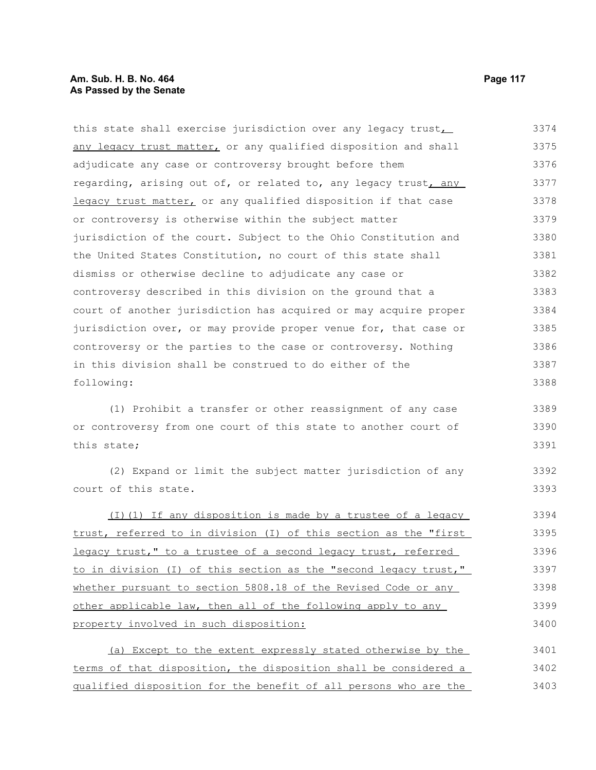## **Am. Sub. H. B. No. 464 Page 117 As Passed by the Senate**

this state shall exercise jurisdiction over any legacy trust, any legacy trust matter, or any qualified disposition and shall adjudicate any case or controversy brought before them regarding, arising out of, or related to, any legacy trust, any legacy trust matter, or any qualified disposition if that case or controversy is otherwise within the subject matter jurisdiction of the court. Subject to the Ohio Constitution and the United States Constitution, no court of this state shall dismiss or otherwise decline to adjudicate any case or controversy described in this division on the ground that a court of another jurisdiction has acquired or may acquire proper jurisdiction over, or may provide proper venue for, that case or controversy or the parties to the case or controversy. Nothing in this division shall be construed to do either of the following: (1) Prohibit a transfer or other reassignment of any case 3374 3375 3376 3377 3378 3379 3380 3381 3382 3383 3384 3385 3386 3387 3388 3389

or controversy from one court of this state to another court of this state; 3390 3391

(2) Expand or limit the subject matter jurisdiction of any court of this state. 3392 3393

(I)(1) If any disposition is made by a trustee of a legacy trust, referred to in division (I) of this section as the "first legacy trust," to a trustee of a second legacy trust, referred to in division (I) of this section as the "second legacy trust," whether pursuant to section 5808.18 of the Revised Code or any other applicable law, then all of the following apply to any property involved in such disposition: 3394 3395 3396 3397 3398 3399 3400

(a) Except to the extent expressly stated otherwise by the terms of that disposition, the disposition shall be considered a qualified disposition for the benefit of all persons who are the 3401 3402 3403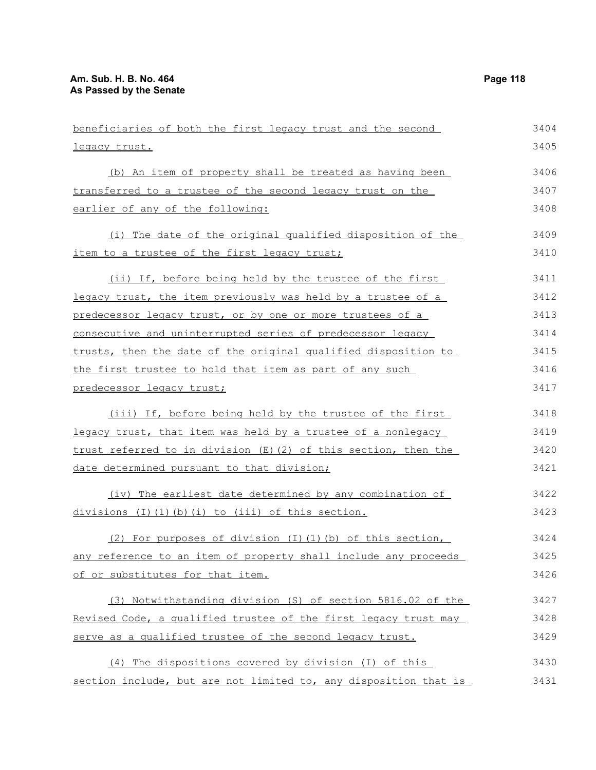| beneficiaries of both the first legacy trust and the second      | 3404 |
|------------------------------------------------------------------|------|
| legacy trust.                                                    | 3405 |
| (b) An item of property shall be treated as having been          | 3406 |
| transferred to a trustee of the second legacy trust on the       | 3407 |
| earlier of any of the following:                                 | 3408 |
| (i) The date of the original qualified disposition of the        | 3409 |
| item to a trustee of the first legacy trust;                     | 3410 |
| (ii) If, before being held by the trustee of the first           | 3411 |
| legacy trust, the item previously was held by a trustee of a     | 3412 |
| predecessor legacy trust, or by one or more trustees of a        | 3413 |
| consecutive and uninterrupted series of predecessor legacy       | 3414 |
| trusts, then the date of the original qualified disposition to   | 3415 |
| the first trustee to hold that item as part of any such          | 3416 |
| predecessor legacy trust;                                        | 3417 |
| (iii) If, before being held by the trustee of the first          | 3418 |
| legacy trust, that item was held by a trustee of a nonlegacy     | 3419 |
| trust referred to in division (E) (2) of this section, then the  | 3420 |
| date determined pursuant to that division;                       | 3421 |
| The earliest date determined by any combination of<br>(iv)       | 3422 |
| divisions (I)(1)(b)(i) to (iii) of this section.                 | 3423 |
| (2) For purposes of division (I)(1)(b) of this section,          | 3424 |
| any reference to an item of property shall include any proceeds  | 3425 |
| of or substitutes for that item.                                 | 3426 |
| (3) Notwithstanding division (S) of section 5816.02 of the       | 3427 |
| Revised Code, a qualified trustee of the first legacy trust may  | 3428 |
| serve as a qualified trustee of the second legacy trust.         | 3429 |
| (4) The dispositions covered by division (I) of this             | 3430 |
| section include, but are not limited to, any disposition that is | 3431 |